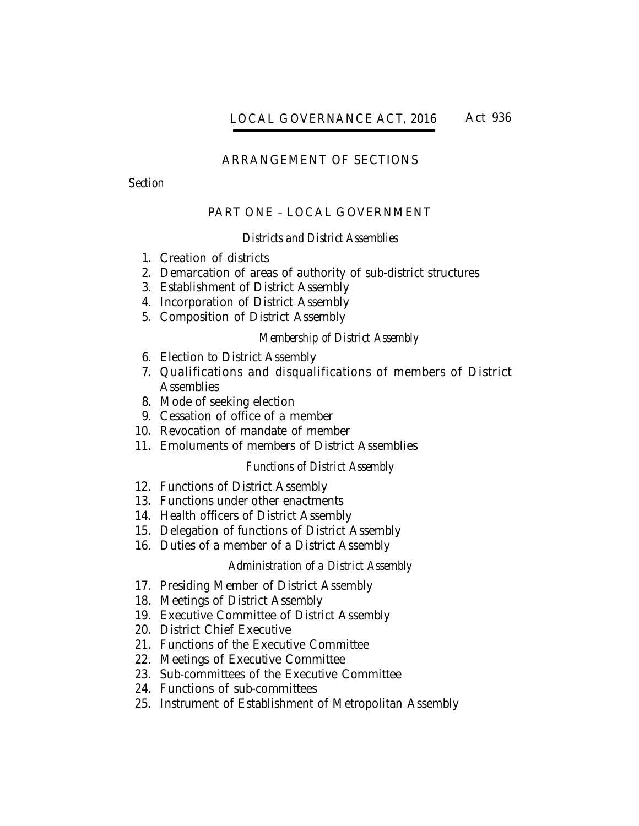# LOCAL GOVERNANCE ACT, 2016 Act 936

# ARRANGEMENT OF SECTIONS

*Section*

# PART ONE – LOCAL GOVERNMENT

## *Districts and District Assemblies*

- 1. Creation of districts
- 2. Demarcation of areas of authority of sub-district structures
- 3. Establishment of District Assembly
- 4. Incorporation of District Assembly
- 5. Composition of District Assembly

## *Membership of District Assembly*

- 6. Election to District Assembly
- 7. Qualifications and disqualifications of members of District **Assemblies**
- 8. Mode of seeking election
- 9. Cessation of office of a member
- 10. Revocation of mandate of member
- 11. Emoluments of members of District Assemblies

# *Functions of District Assembly*

- 12. Functions of District Assembly
- 13. Functions under other enactments
- 14. Health officers of District Assembly
- 15. Delegation of functions of District Assembly
- 16. Duties of a member of a District Assembly

## *Administration of a District Assembly*

- 17. Presiding Member of District Assembly
- 18. Meetings of District Assembly
- 19. Executive Committee of District Assembly
- 20. District Chief Executive
- 21. Functions of the Executive Committee
- 22. Meetings of Executive Committee
- 23. Sub-committees of the Executive Committee
- 24. Functions of sub-committees
- 1 25. Instrument of Establishment of Metropolitan Assembly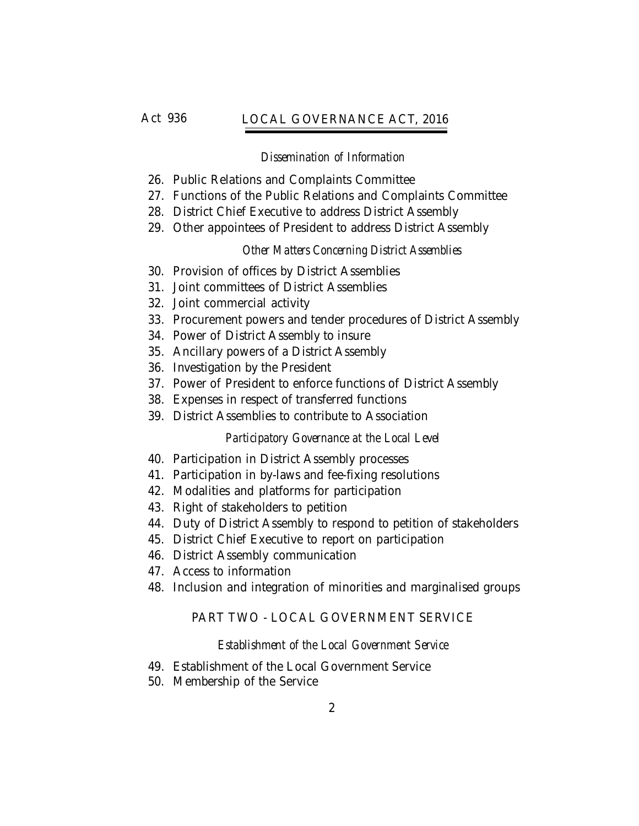# Act 936 *Local Governance Act, 2016* LOCAL GOVERNANCE ACT, 2016

# *Dissemination of Information*

- 26. Public Relations and Complaints Committee
- 27. Functions of the Public Relations and Complaints Committee
- 28. District Chief Executive to address District Assembly
- 29. Other appointees of President to address District Assembly

# *Other Matters Concerning District Assemblies*

- 30. Provision of offices by District Assemblies
- 31. Joint committees of District Assemblies
- 32. Joint commercial activity
- 33. Procurement powers and tender procedures of District Assembly
- 34. Power of District Assembly to insure
- 35. Ancillary powers of a District Assembly
- 36. Investigation by the President
- 37. Power of President to enforce functions of District Assembly
- 38. Expenses in respect of transferred functions
- 39. District Assemblies to contribute to Association

# *Participatory Governance at the Local Level*

- 40. Participation in District Assembly processes
- 41. Participation in by-laws and fee-fixing resolutions
- 42. Modalities and platforms for participation
- 43. Right of stakeholders to petition
- 44. Duty of District Assembly to respond to petition of stakeholders
- 45. District Chief Executive to report on participation
- 46. District Assembly communication
- 47. Access to information
- 48. Inclusion and integration of minorities and marginalised groups

# PART TWO - LOCAL GOVERNMENT SERVICE

# *Establishment of the Local Government Service*

- 49. Establishment of the Local Government Service
- 50. Membership of the Service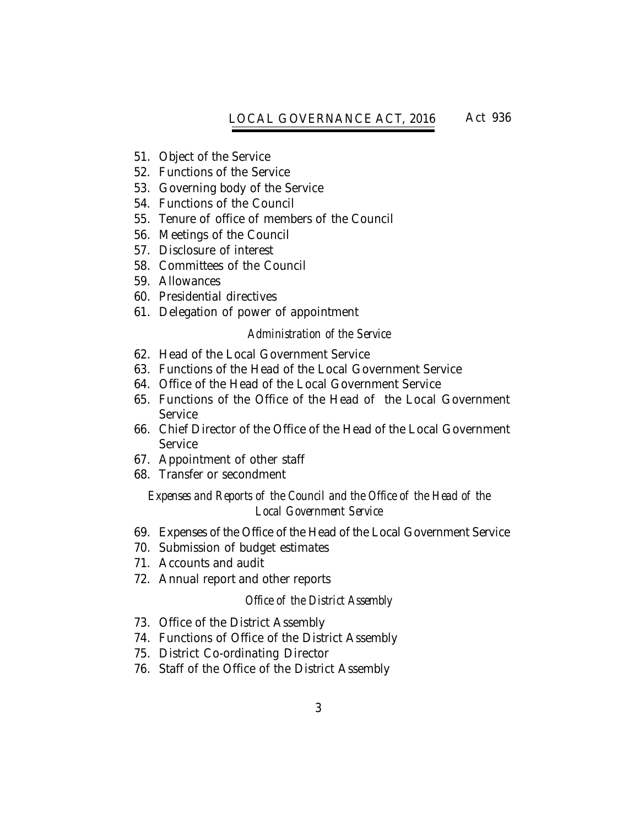# LOCAL GOVERNANCE ACT, 2016 *Local Governance Act, 2016* Act 936

- 51. Object of the Service
- 52. Functions of the Service
- 53. Governing body of the Service
- 54. Functions of the Council
- 55. Tenure of office of members of the Council
- 56. Meetings of the Council
- 57. Disclosure of interest
- 58. Committees of the Council
- 59. Allowances
- 60. Presidential directives
- 61. Delegation of power of appointment

## *Administration of the Service*

- 62. Head of the Local Government Service
- 63. Functions of the Head of the Local Government Service
- 64. Office of the Head of the Local Government Service
- 65. Functions of the Office of the Head of the Local Government Service
- 66. Chief Director of the Office of the Head of the Local Government **Service**
- 67. Appointment of other staff
- 68. Transfer or secondment

# *Expenses and Reports of the Council and the Office of the Head of the Local Government Service*

- 69. Expenses of the Office of the Head of the Local Government Service
- 70. Submission of budget estimates
- 71. Accounts and audit
- 72. Annual report and other reports

## *Office of the District Assembly*

- 73. Office of the District Assembly
- 74. Functions of Office of the District Assembly
- 75. District Co-ordinating Director
- 76. Staff of the Office of the District Assembly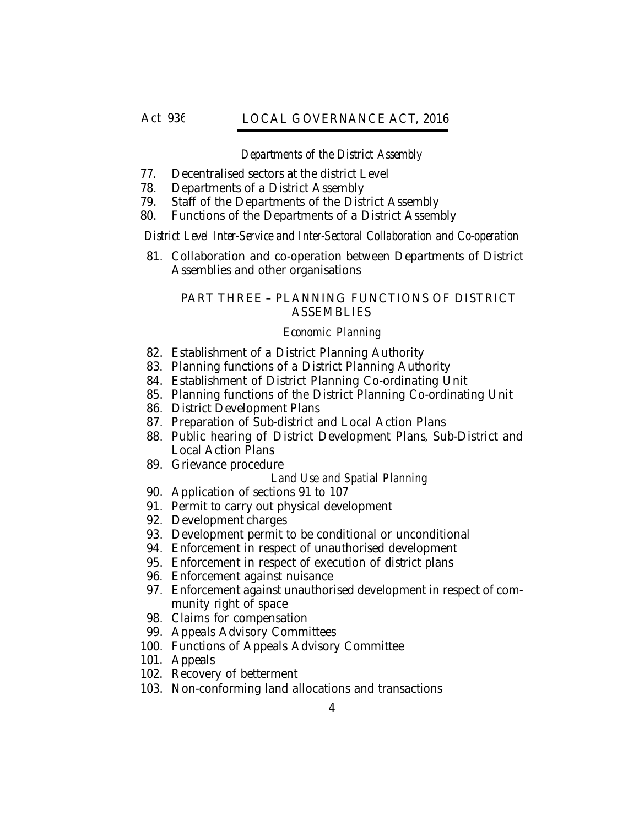# Act 936 *Local Governance Act, 2016* LOCAL GOVERNANCE ACT, 2016

## *Departments of the District Assembly*

- 77. Decentralised sectors at the district Level
- 78. Departments of a District Assembly
- 79. Staff of the Departments of the District Assembly
- 80. Functions of the Departments of a District Assembly

*District Level Inter-Service and Inter-Sectoral Collaboration and Co-operation*

81. Collaboration and co-operation between Departments of District Assemblies and other organisations

# PART THREE – PLANNING FUNCTIONS OF DISTRICT ASSEMBLIES

# *Economic Planning*

- 82. Establishment of a District Planning Authority
- 83. Planning functions of a District Planning Authority
- 84. Establishment of District Planning Co-ordinating Unit
- 85. Planning functions of the District Planning Co-ordinating Unit
- 86. District Development Plans
- 87. Preparation of Sub-district and Local Action Plans
- 88. Public hearing of District Development Plans, Sub-District and Local Action Plans
- 89. Grievance procedure
	- *Land Use and Spatial Planning*
- 90. Application of sections 91 to 107
- 91. Permit to carry out physical development
- 92. Development charges
- 93. Development permit to be conditional or unconditional
- 94. Enforcement in respect of unauthorised development
- 95. Enforcement in respect of execution of district plans
- 96. Enforcement against nuisance
- 97. Enforcement against unauthorised development in respect of community right of space
- 98. Claims for compensation
- 99. Appeals Advisory Committees
- 100. Functions of Appeals Advisory Committee
- 101. Appeals
- 102. Recovery of betterment
- 103. Non-conforming land allocations and transactions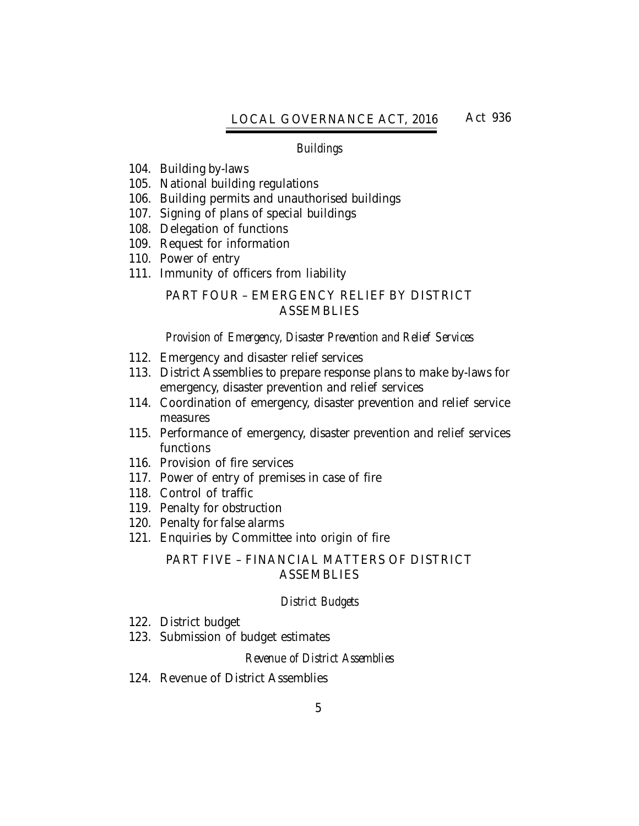#### *Buildings*

- 104. Building by-laws
- 105. National building regulations
- 106. Building permits and unauthorised buildings
- 107. Signing of plans of special buildings
- 108. Delegation of functions
- 109. Request for information
- 110. Power of entry
- 111. Immunity of officers from liability

# PART FOUR – EMERGENCY RELIEF BY DISTRICT **ASSEMBLIES**

#### *Provision of Emergency, Disaster Prevention and Relief Services*

- 112. Emergency and disaster relief services
- 113. District Assemblies to prepare response plans to make by-laws for emergency, disaster prevention and relief services
- 114. Coordination of emergency, disaster prevention and relief service measures
- 115. Performance of emergency, disaster prevention and relief services functions
- 116. Provision of fire services
- 117. Power of entry of premises in case of fire
- 118. Control of traffic
- 119. Penalty for obstruction
- 120. Penalty for false alarms
- 121. Enquiries by Committee into origin of fire

## PART FIVE – FINANCIAL MATTERS OF DISTRICT **ASSEMBLIES**

#### *District Budgets*

- 122. District budget
- 123. Submission of budget estimates

#### *Revenue of District Assemblies*

124. Revenue of District Assemblies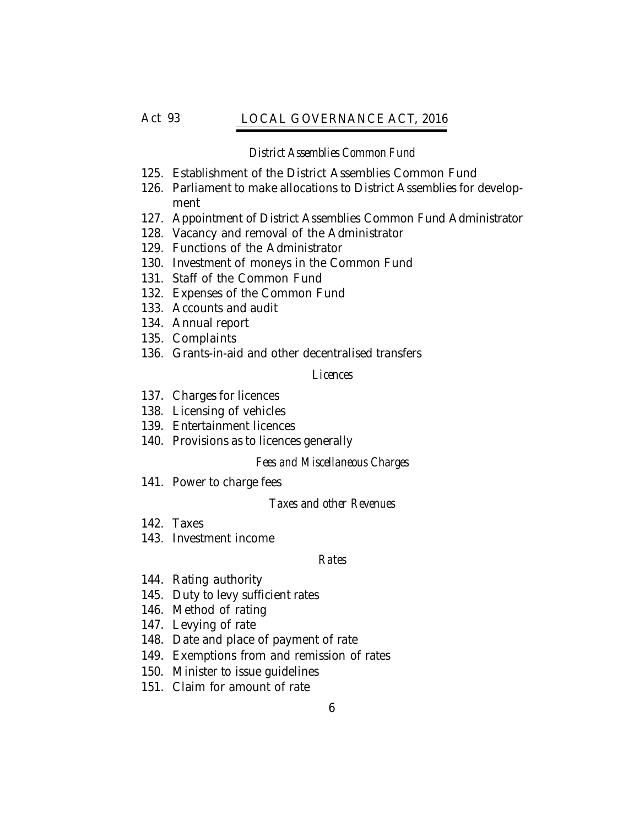## Act 936 *Local Governance Act, 2016* LOCAL GOVERNANCE ACT, 2016

#### *District Assemblies Common Fund*

- 125. Establishment of the District Assemblies Common Fund
- 126. Parliament to make allocations to District Assemblies for development
- 127. Appointment of District Assemblies Common Fund Administrator
- 128. Vacancy and removal of the Administrator
- 129. Functions of the Administrator
- 130. Investment of moneys in the Common Fund
- 131. Staff of the Common Fund
- 132. Expenses of the Common Fund
- 133. Accounts and audit
- 134. Annual report
- 135. Complaints
- 136. Grants-in-aid and other decentralised transfers

#### *Licences*

- 137. Charges for licences
- 138. Licensing of vehicles
- 139. Entertainment licences
- 140. Provisions as to licences generally

#### *Fees and Miscellaneous Charges*

141. Power to charge fees

#### *Taxes and other Revenues*

- 142. Taxes
- 143. Investment income

#### *Rates*

- 144. Rating authority
- 145. Duty to levy sufficient rates
- 146. Method of rating
- 147. Levying of rate
- 148. Date and place of payment of rate
- 149. Exemptions from and remission of rates
- 150. Minister to issue guidelines
- 151. Claim for amount of rate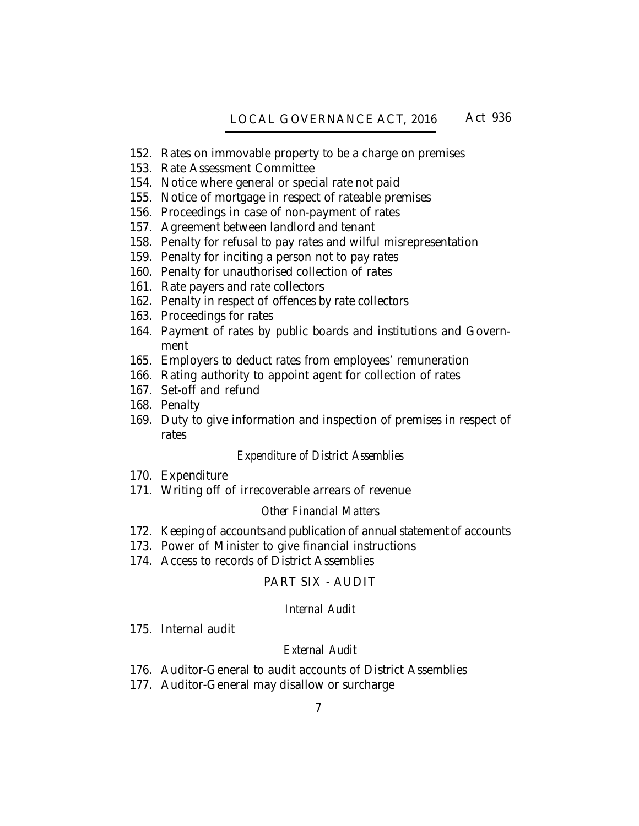# LOCAL GOVERNANCE ACT, 2016 Act 936

- 152. Rates on immovable property to be a charge on premises
- 153. Rate Assessment Committee
- 154. Notice where general or special rate not paid
- 155. Notice of mortgage in respect of rateable premises
- 156. Proceedings in case of non-payment of rates
- 157. Agreement between landlord and tenant
- 158. Penalty for refusal to pay rates and wilful misrepresentation
- 159. Penalty for inciting a person not to pay rates
- 160. Penalty for unauthorised collection of rates
- 161. Rate payers and rate collectors
- 162. Penalty in respect of offences by rate collectors
- 163. Proceedings for rates
- 164. Payment of rates by public boards and institutions and Government
- 165. Employers to deduct rates from employees' remuneration
- 166. Rating authority to appoint agent for collection of rates
- 167. Set-off and refund
- 168. Penalty
- 169. Duty to give information and inspection of premises in respect of rates

#### *Expenditure of District Assemblies*

- 170. Expenditure
- 171. Writing off of irrecoverable arrears of revenue

## *Other Financial Matters*

- 172. Keeping of accounts and publication of annual statement of accounts
- 173. Power of Minister to give financial instructions
- 174. Access to records of District Assemblies

## PART SIX - AUDIT

## *Internal Audit*

175. Internal audit

## *External Audit*

- 176. Auditor-General to audit accounts of District Assemblies
- 177. Auditor-General may disallow or surcharge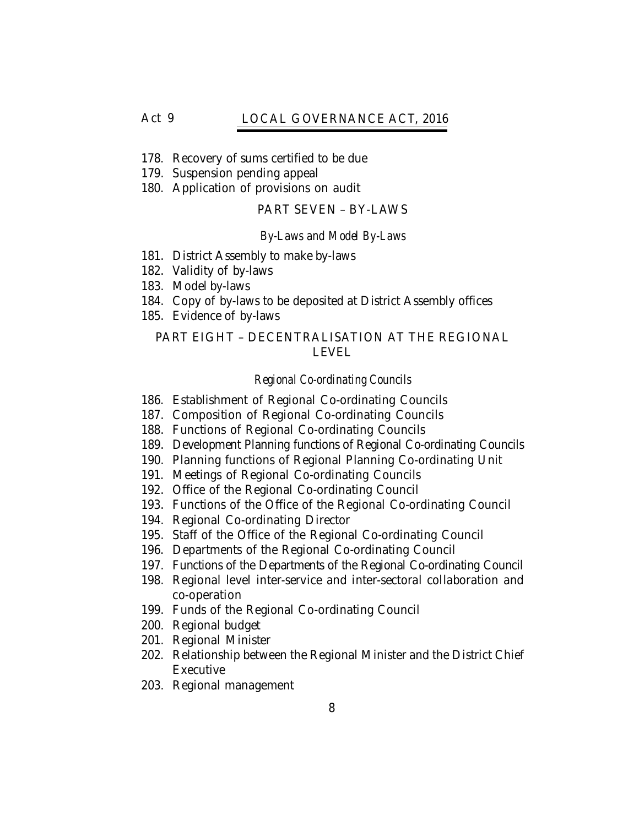## Act 936 *Local Governance Act, 2016* LOCAL GOVERNANCE ACT, 2016

- 178. Recovery of sums certified to be due
- 179. Suspension pending appeal
- 180. Application of provisions on audit

### PART SEVEN – BY-LAWS

#### *By-Laws and Model By-Laws*

- 181. District Assembly to make by-laws
- 182. Validity of by-laws
- 183. Model by-laws
- 184. Copy of by-laws to be deposited at District Assembly offices
- 185. Evidence of by-laws

## PART EIGHT – DECENTRALISATION AT THE REGIONAL LEVEL

#### *Regional Co-ordinating Councils*

- 186. Establishment of Regional Co-ordinating Councils
- 187. Composition of Regional Co-ordinating Councils
- 188. Functions of Regional Co-ordinating Councils
- 189. Development Planning functions of Regional Co-ordinating Councils
- 190. Planning functions of Regional Planning Co-ordinating Unit
- 191. Meetings of Regional Co-ordinating Councils
- 192. Office of the Regional Co-ordinating Council
- 193. Functions of the Office of the Regional Co-ordinating Council
- 194. Regional Co-ordinating Director
- 195. Staff of the Office of the Regional Co-ordinating Council
- 196. Departments of the Regional Co-ordinating Council
- 197. Functions of the Departments of the Regional Co-ordinating Council
- 198. Regional level inter-service and inter-sectoral collaboration and co-operation
- 199. Funds of the Regional Co-ordinating Council
- 200. Regional budget
- 201. Regional Minister
- 202. Relationship between the Regional Minister and the District Chief Executive
- 203. Regional management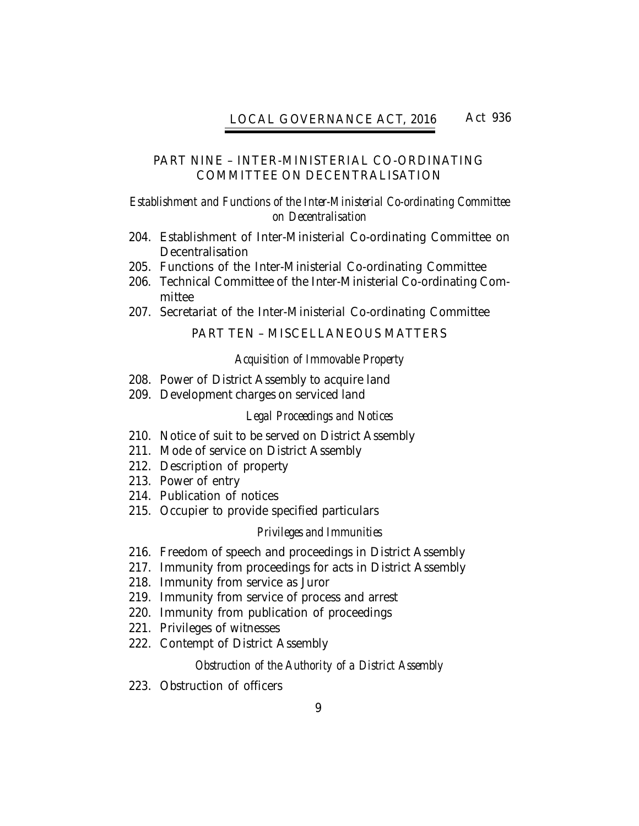## PART NINE – INTER-MINISTERIAL CO-ORDINATING COMMITTEE ON DECENTRALISATION

## *Establishment and Functions of the Inter-Ministerial Co-ordinating Committee on Decentralisation*

- 204. Establishment of Inter-Ministerial Co-ordinating Committee on **Decentralisation**
- 205. Functions of the Inter-Ministerial Co-ordinating Committee
- 206. Technical Committee of the Inter-Ministerial Co-ordinating Committee
- 207. Secretariat of the Inter-Ministerial Co-ordinating Committee

# PART TEN – MISCELLANEOUS MATTERS

## *Acquisition of Immovable Property*

- 208. Power of District Assembly to acquire land
- 209. Development charges on serviced land

## *Legal Proceedings and Notices*

- 210. Notice of suit to be served on District Assembly
- 211. Mode of service on District Assembly
- 212. Description of property
- 213. Power of entry
- 214. Publication of notices
- 215. Occupier to provide specified particulars

#### *Privileges and Immunities*

- 216. Freedom of speech and proceedings in District Assembly
- 217. Immunity from proceedings for acts in District Assembly
- 218. Immunity from service as Juror
- 219. Immunity from service of process and arrest
- 220. Immunity from publication of proceedings
- 221. Privileges of witnesses
- 222. Contempt of District Assembly

## *Obstruction of the Authority of a District Assembly*

223. Obstruction of officers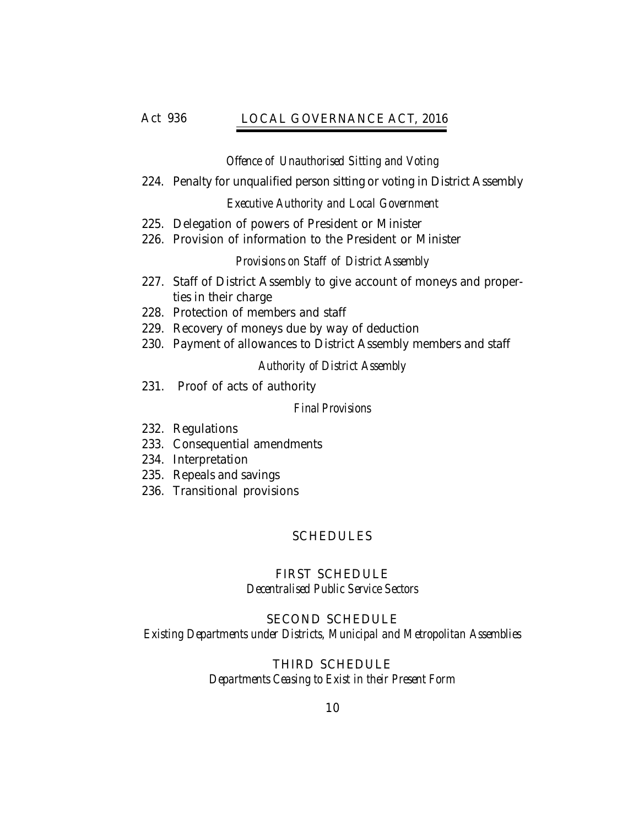# Act 936 *Local Governance Act, 2016* LOCAL GOVERNANCE ACT, 2016

## *Offence of Unauthorised Sitting and Voting*

224. Penalty for unqualified person sitting or voting in District Assembly

## *Executive Authority and Local Government*

- 225. Delegation of powers of President or Minister
- 226. Provision of information to the President or Minister

## *Provisions on Staff of District Assembly*

- 227. Staff of District Assembly to give account of moneys and properties in their charge
- 228. Protection of members and staff
- 229. Recovery of moneys due by way of deduction
- 230. Payment of allowances to District Assembly members and staff

# *Authority of District Assembly*

231. Proof of acts of authority

## *Final Provisions*

- 232. Regulations
- 233. Consequential amendments
- 234. Interpretation
- 235. Repeals and savings
- 236. Transitional provisions

# SCHEDULES

# FIRST SCHEDULE *Decentralised Public Service Sectors*

# SECOND SCHEDULE *Existing Departments under Districts, Municipal and Metropolitan Assemblies*

# THIRD SCHEDULE *Departments Ceasing to Exist in their Present Form*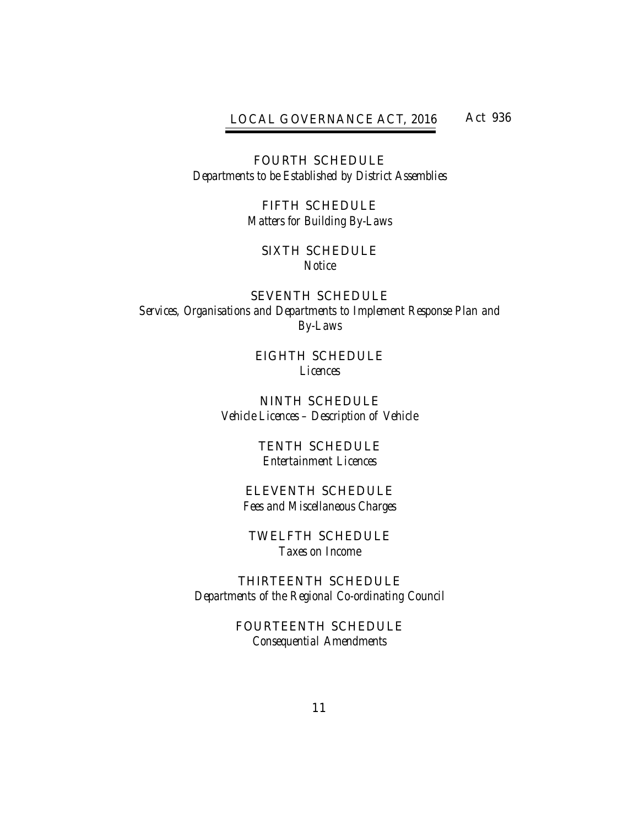# LOCAL GOVERNANCE ACT, 2016 Act 936

FOURTH SCHEDULE *Departments to be Established by District Assemblies*

> FIFTH SCHEDULE *Matters for Building By-Laws*

## SIXTH SCHEDULE *Notice*

SEVENTH SCHEDULE *Services, Organisations and Departments to Implement Response Plan and By-Laws*

> EIGHTH SCHEDULE *Licences*

NINTH SCHEDULE *Vehicle Licences – Description of Vehicle*

> TENTH SCHEDULE *Entertainment Licences*

ELEVENTH SCHEDULE *Fees and Miscellaneous Charges*

TWELFTH SCHEDULE *Taxes on Income*

THIRTEENTH SCHEDULE *Departments of the Regional Co-ordinating Council*

> FOURTEENTH SCHEDULE *Consequential Amendments*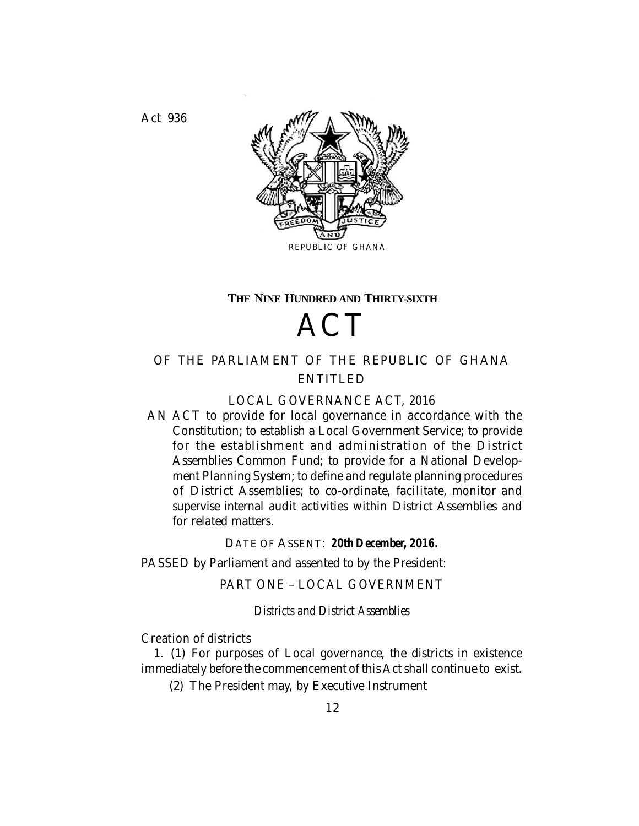Act 936 *Local Governance Act, 2016*



#### **THE NINE HUNDRED AND THIRTY-SIXTH**

# **ACT**

# OF THE PARLIAMENT OF THE REPUBLIC OF GHANA ENTITLED

## LOCAL GOVERNANCE ACT, 2016

AN ACT to provide for local governance in accordance with the Constitution; to establish a Local Government Service; to provide for the establishment and administration of the District Assemblies Common Fund; to provide for a National Development Planning System; to define and regulate planning procedures of District Assemblies; to co-ordinate, facilitate, monitor and supervise internal audit activities within District Assemblies and for related matters.

DATE OF ASSENT: *20th December, 2016.*

PASSED by Parliament and assented to by the President:

PART ONE – LOCAL GOVERNMENT

*Districts and District Assemblies*

Creation of districts

1. (1) For purposes of Local governance, the districts in existence immediately before the commencement of this Act shall continue to exist.

(2) The President may, by Executive Instrument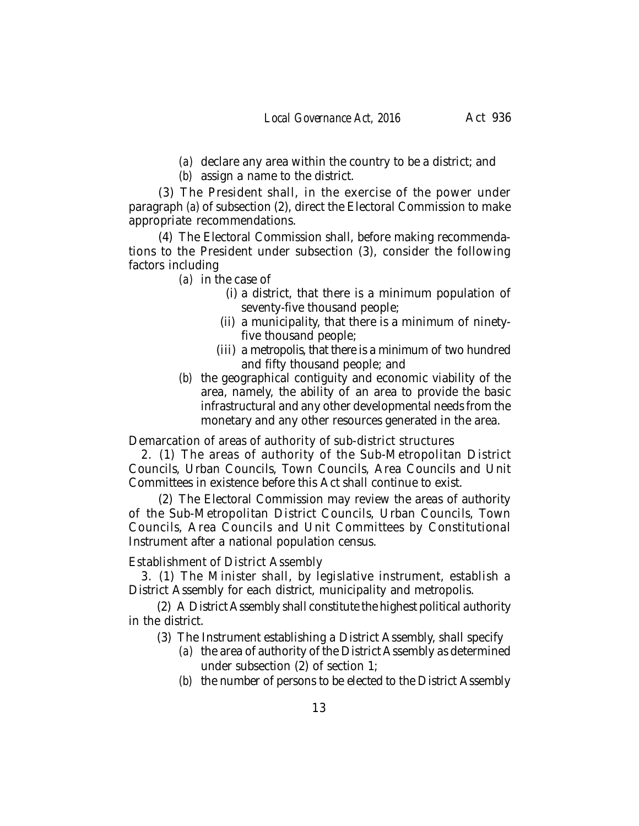*(a)* declare any area within the country to be a district; and

*(b)* assign a name to the district.

(3) The President shall, in the exercise of the power under paragraph *(a)* of subsection (2), direct the Electoral Commission to make appropriate recommendations.

(4) The Electoral Commission shall, before making recommendations to the President under subsection (3), consider the following factors including

- *(a)* in the case of
	- (i) a district, that there is a minimum population of seventy-five thousand people;
	- (ii) a municipality, that there is a minimum of ninetyfive thousand people;
	- (iii) a metropolis, that there is a minimum of two hundred and fifty thousand people; and
- *(b)* the geographical contiguity and economic viability of the area, namely, the ability of an area to provide the basic infrastructural and any other developmental needs from the monetary and any other resources generated in the area.

Demarcation of areas of authority of sub-district structures

2. (1) The areas of authority of the Sub-Metropolitan District Councils, Urban Councils, Town Councils, Area Councils and Unit Committees in existence before this Act shall continue to exist.

(2) The Electoral Commission may review the areas of authority of the Sub-Metropolitan District Councils, Urban Councils, Town Councils, Area Councils and Unit Committees by Constitutional Instrument after a national population census.

## Establishment of District Assembly

3. (1) The Minister shall, by legislative instrument, establish a District Assembly for each district, municipality and metropolis.

(2) A District Assembly shall constitute the highest political authority in the district.

(3) The Instrument establishing a District Assembly, shall specify

- *(a)* the area of authority of the District Assembly as determined under subsection (2) of section 1;
- *(b)* the number of persons to be elected to the District Assembly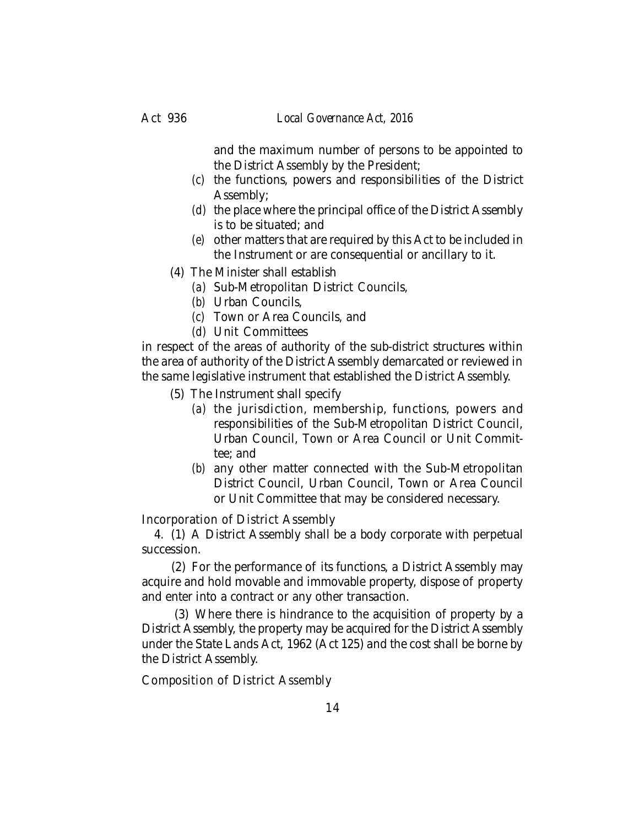and the maximum number of persons to be appointed to the District Assembly by the President;

- *(c)* the functions, powers and responsibilities of the District Assembly;
- *(d)* the place where the principal office of the District Assembly is to be situated; and
- *(e)* other matters that are required by this Act to be included in the Instrument or are consequential or ancillary to it.
- (4) The Minister shall establish
	- *(a)* Sub-Metropolitan District Councils,
		- *(b)* Urban Councils,
		- *(c)* Town or Area Councils, and
		- *(d)* Unit Committees

in respect of the areas of authority of the sub-district structures within the area of authority of the District Assembly demarcated or reviewed in the same legislative instrument that established the District Assembly.

- (5) The Instrument shall specify
	- *(a)* the jurisdiction, membership, functions, powers and responsibilities of the Sub-Metropolitan District Council, Urban Council, Town or Area Council or Unit Committee; and
	- *(b)* any other matter connected with the Sub-Metropolitan District Council, Urban Council, Town or Area Council or Unit Committee that may be considered necessary.

Incorporation of District Assembly

4. (1) A District Assembly shall be a body corporate with perpetual succession.

(2) For the performance of its functions, a District Assembly may acquire and hold movable and immovable property, dispose of property and enter into a contract or any other transaction.

 (3) Where there is hindrance to the acquisition of property by a District Assembly, the property may be acquired for the District Assembly under the State Lands Act, 1962 (Act 125) and the cost shall be borne by the District Assembly.

Composition of District Assembly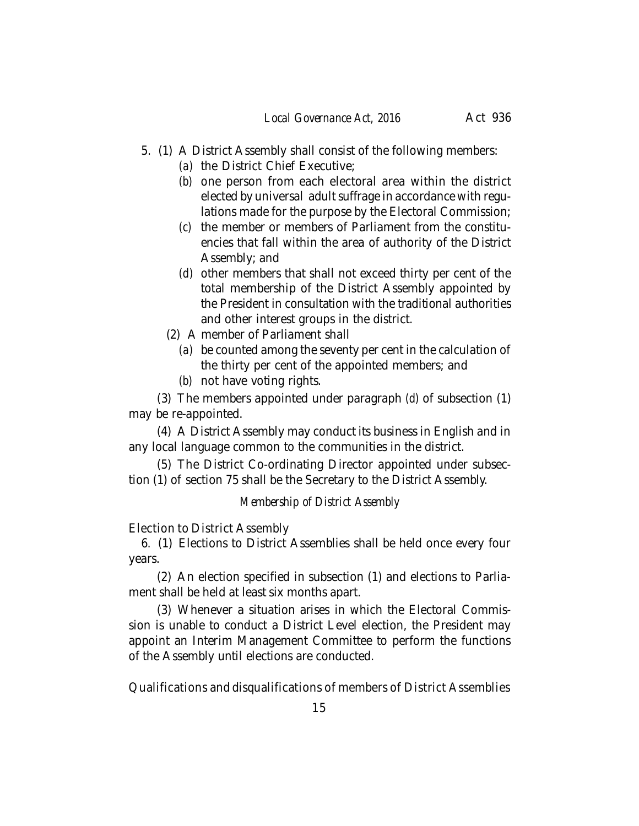- 5. (1) A District Assembly shall consist of the following members:
	- *(a)* the District Chief Executive;
	- *(b)* one person from each electoral area within the district elected by universal adult suffrage in accordance with regulations made for the purpose by the Electoral Commission;
	- *(c)* the member or members of Parliament from the constituencies that fall within the area of authority of the District Assembly; and
	- *(d)* other members that shall not exceed thirty per cent of the total membership of the District Assembly appointed by the President in consultation with the traditional authorities and other interest groups in the district.
	- (2) A member of Parliament shall
		- *(a)* be counted among the seventy per cent in the calculation of the thirty per cent of the appointed members; and
		- *(b)* not have voting rights.

(3) The members appointed under paragraph *(d)* of subsection (1) may be re-appointed.

(4) A District Assembly may conduct its business in English and in any local language common to the communities in the district.

(5) The District Co-ordinating Director appointed under subsection (1) of section 75 shall be the Secretary to the District Assembly.

# *Membership of District Assembly*

Election to District Assembly

6. (1) Elections to District Assemblies shall be held once every four years.

(2) An election specified in subsection (1) and elections to Parliament shall be held at least six months apart.

(3) Whenever a situation arises in which the Electoral Commission is unable to conduct a District Level election, the President may appoint an Interim Management Committee to perform the functions of the Assembly until elections are conducted.

Qualifications and disqualifications of members of District Assemblies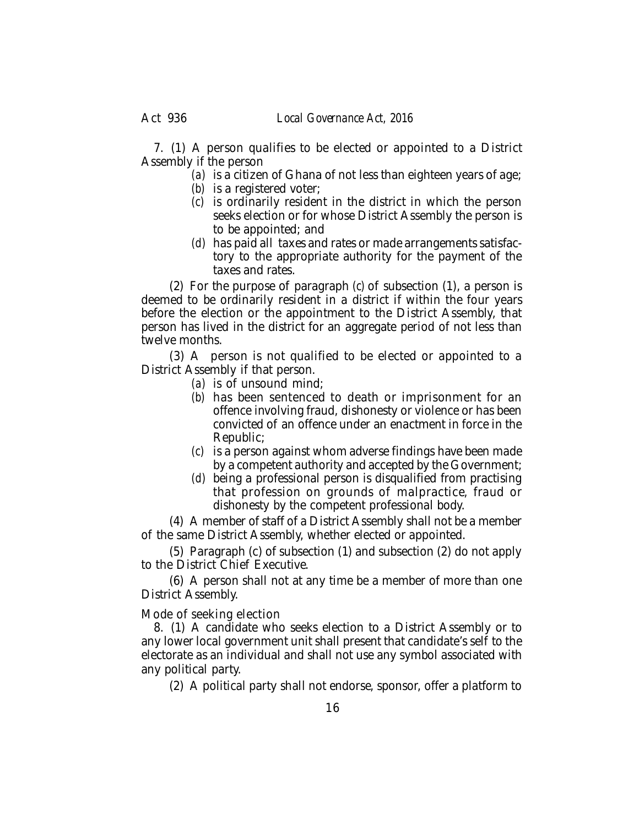7. (1) A person qualifies to be elected or appointed to a District Assembly if the person

*(a)* is a citizen of Ghana of not less than eighteen years of age;

- *(b)* is a registered voter;
- *(c)* is ordinarily resident in the district in which the person seeks election or for whose District Assembly the person is to be appointed; and
- *(d)* has paid all taxes and rates or made arrangements satisfactory to the appropriate authority for the payment of the taxes and rates.

(2) For the purpose of paragraph *(c)* of subsection (1), a person is deemed to be ordinarily resident in a district if within the four years before the election or the appointment to the District Assembly, that person has lived in the district for an aggregate period of not less than twelve months.

(3) A person is not qualified to be elected or appointed to a District Assembly if that person.

- *(a)* is of unsound mind;
- *(b)* has been sentenced to death or imprisonment for an offence involving fraud, dishonesty or violence or has been convicted of an offence under an enactment in force in the Republic;
- *(c)* is a person against whom adverse findings have been made by a competent authority and accepted by the Government;
- *(d)* being a professional person is disqualified from practising that profession on grounds of malpractice, fraud or dishonesty by the competent professional body.

(4) A member of staff of a District Assembly shall not be a member of the same District Assembly, whether elected or appointed.

(5) Paragraph (c) of subsection (1) and subsection (2) do not apply to the District Chief Executive.

(6) A person shall not at any time be a member of more than one District Assembly.

Mode of seeking election

8. (1) A candidate who seeks election to a District Assembly or to any lower local government unit shall present that candidate's self to the electorate as an individual and shall not use any symbol associated with any political party.

(2) A political party shall not endorse, sponsor, offer a platform to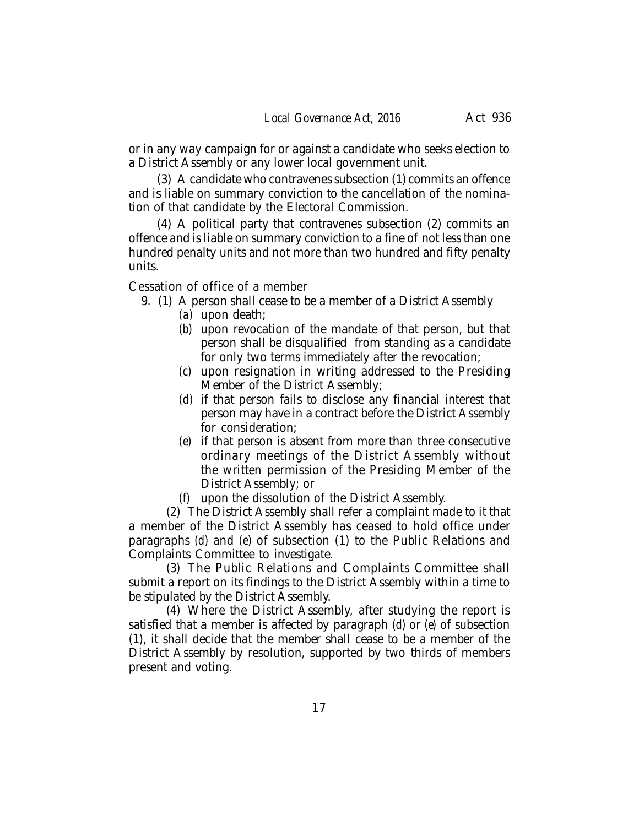or in any way campaign for or against a candidate who seeks election to a District Assembly or any lower local government unit.

(3) A candidate who contravenes subsection (1) commits an offence and is liable on summary conviction to the cancellation of the nomination of that candidate by the Electoral Commission.

(4) A political party that contravenes subsection (2) commits an offence and is liable on summary conviction to a fine of not less than one hundred penalty units and not more than two hundred and fifty penalty units.

Cessation of office of a member

- 9. (1) A person shall cease to be a member of a District Assembly
	- *(a)* upon death;
	- *(b)* upon revocation of the mandate of that person, but that person shall be disqualified from standing as a candidate for only two terms immediately after the revocation;
	- *(c)* upon resignation in writing addressed to the Presiding Member of the District Assembly;
	- *(d)* if that person fails to disclose any financial interest that person may have in a contract before the District Assembly for consideration;
	- *(e)* if that person is absent from more than three consecutive ordinary meetings of the District Assembly without the written permission of the Presiding Member of the District Assembly; or
	- *(f)* upon the dissolution of the District Assembly.

(2) The District Assembly shall refer a complaint made to it that a member of the District Assembly has ceased to hold office under paragraphs *(d)* and *(e*) of subsection (1) to the Public Relations and Complaints Committee to investigate.

(3) The Public Relations and Complaints Committee shall submit a report on its findings to the District Assembly within a time to be stipulated by the District Assembly.

(4) Where the District Assembly, after studying the report is satisfied that a member is affected by paragraph *(d)* or *(e)* of subsection (1), it shall decide that the member shall cease to be a member of the District Assembly by resolution, supported by two thirds of members present and voting.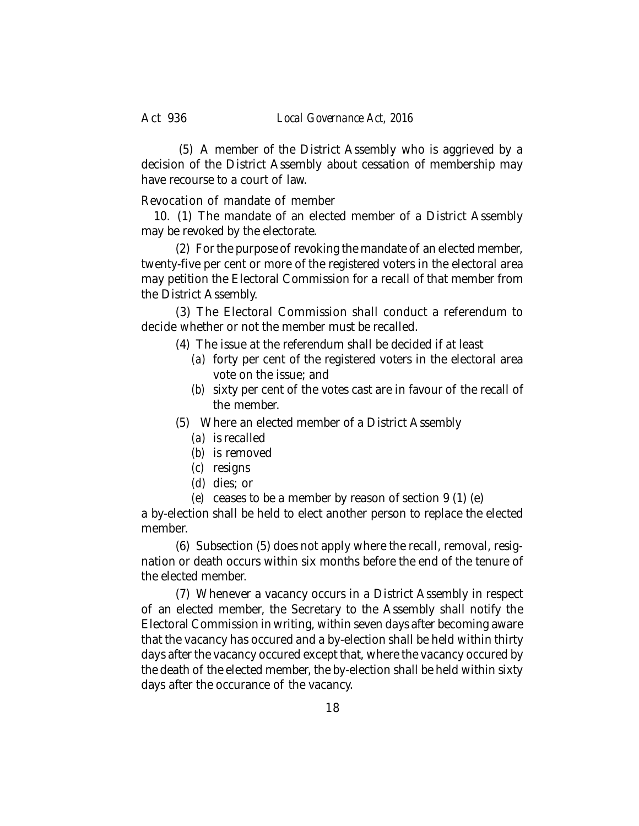(5) A member of the District Assembly who is aggrieved by a decision of the District Assembly about cessation of membership may have recourse to a court of law.

Revocation of mandate of member

10. (1) The mandate of an elected member of a District Assembly may be revoked by the electorate.

(2) For the purpose of revoking the mandate of an elected member, twenty-five per cent or more of the registered voters in the electoral area may petition the Electoral Commission for a recall of that member from the District Assembly.

(3) The Electoral Commission shall conduct a referendum to decide whether or not the member must be recalled.

- (4) The issue at the referendum shall be decided if at least
	- *(a)* forty per cent of the registered voters in the electoral area vote on the issue; and
	- *(b)* sixty per cent of the votes cast are in favour of the recall of the member.
- (5) Where an elected member of a District Assembly
	- *(a)* is recalled
	- *(b)* is removed
	- *(c)* resigns
	- *(d)* dies; or
	- *(e)* ceases to be a member by reason of section 9 (1) (e)

a by-election shall be held to elect another person to replace the elected member.

(6) Subsection (5) does not apply where the recall, removal, resignation or death occurs within six months before the end of the tenure of the elected member.

(7) Whenever a vacancy occurs in a District Assembly in respect of an elected member, the Secretary to the Assembly shall notify the Electoral Commission in writing, within seven days after becoming aware that the vacancy has occured and a by-election shall be held within thirty days after the vacancy occured except that, where the vacancy occured by the death of the elected member, the by-election shall be held within sixty days after the occurance of the vacancy.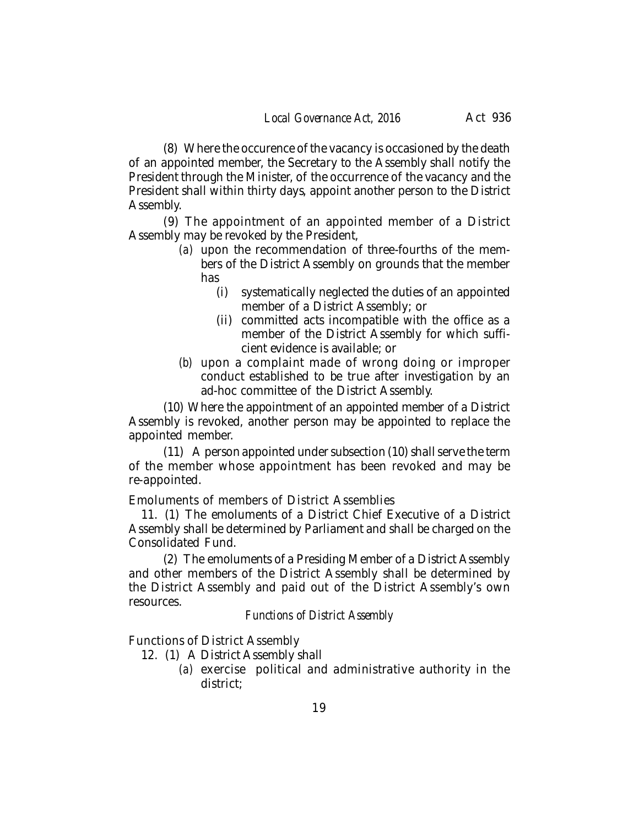(8) Where the occurence of the vacancy is occasioned by the death of an appointed member, the Secretary to the Assembly shall notify the President through the Minister, of the occurrence of the vacancy and the President shall within thirty days, appoint another person to the District Assembly.

(9) The appointment of an appointed member of a District Assembly may be revoked by the President,

- *(a)* upon the recommendation of three-fourths of the members of the District Assembly on grounds that the member has
	- (i) systematically neglected the duties of an appointed member of a District Assembly; or
	- (ii) committed acts incompatible with the office as a member of the District Assembly for which sufficient evidence is available; or
- *(b)* upon a complaint made of wrong doing or improper conduct established to be true after investigation by an ad-hoc committee of the District Assembly.

(10) Where the appointment of an appointed member of a District Assembly is revoked, another person may be appointed to replace the appointed member.

(11) A person appointed under subsection (10) shall serve the term of the member whose appointment has been revoked and may be re-appointed.

Emoluments of members of District Assemblies

11. (1) The emoluments of a District Chief Executive of a District Assembly shall be determined by Parliament and shall be charged on the Consolidated Fund.

(2) The emoluments of a Presiding Member of a District Assembly and other members of the District Assembly shall be determined by the District Assembly and paid out of the District Assembly's own resources.

## *Functions of District Assembly*

Functions of District Assembly

- 12. (1) A District Assembly shall
	- *(a)* exercise political and administrative authority in the district;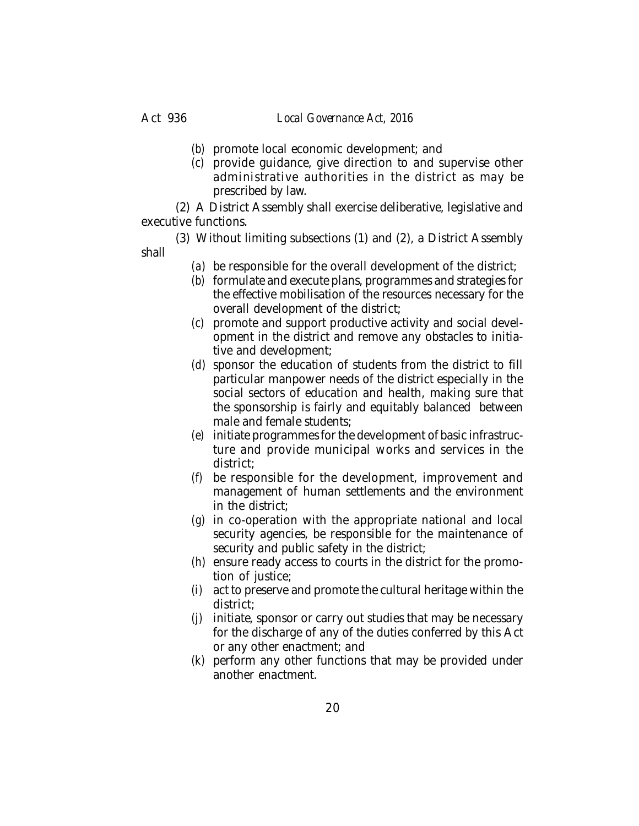- 
- *(b)* promote local economic development; and
- *(c)* provide guidance, give direction to and supervise other administrative authorities in the district as may be prescribed by law.

(2) A District Assembly shall exercise deliberative, legislative and executive functions.

- (3) Without limiting subsections (1) and (2), a District Assembly shall
	- *(a)* be responsible for the overall development of the district;
	- *(b)* formulate and execute plans, programmes and strategies for the effective mobilisation of the resources necessary for the overall development of the district;
	- *(c)* promote and support productive activity and social development in the district and remove any obstacles to initiative and development;
	- *(d)* sponsor the education of students from the district to fill particular manpower needs of the district especially in the social sectors of education and health, making sure that the sponsorship is fairly and equitably balanced between male and female students;
	- *(e)* initiate programmes for the development of basic infrastructure and provide municipal works and services in the district;
	- *(f)* be responsible for the development, improvement and management of human settlements and the environment in the district;
	- *(g)* in co-operation with the appropriate national and local security agencies, be responsible for the maintenance of security and public safety in the district;
	- *(h)* ensure ready access to courts in the district for the promotion of justice;
	- *(i)* act to preserve and promote the cultural heritage within the district;
	- *(j)* initiate, sponsor or carry out studies that may be necessary for the discharge of any of the duties conferred by this Act or any other enactment; and
	- *(k)* perform any other functions that may be provided under another enactment.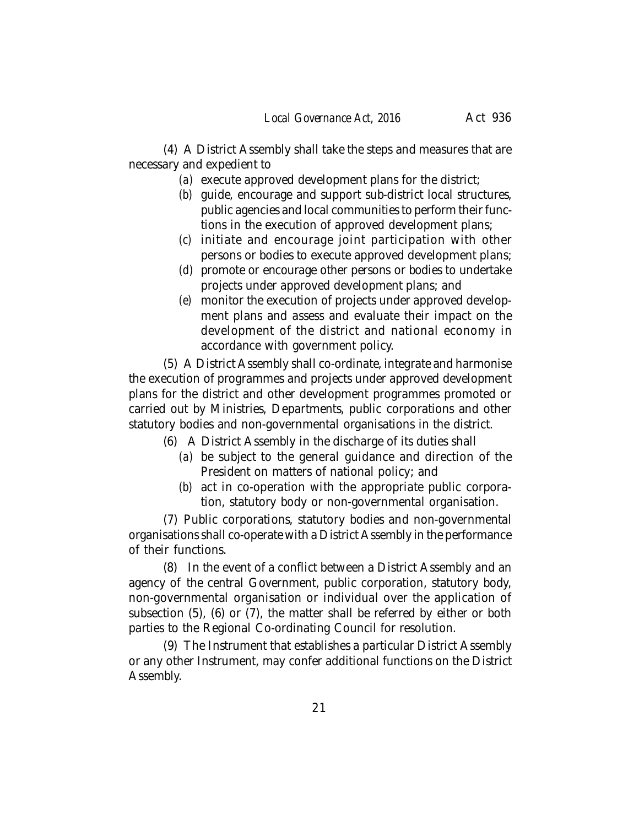(4) A District Assembly shall take the steps and measures that are necessary and expedient to

- *(a)* execute approved development plans for the district;
- *(b)* guide, encourage and support sub-district local structures, public agencies and local communities to perform their functions in the execution of approved development plans;
- *(c)* initiate and encourage joint participation with other persons or bodies to execute approved development plans;
- *(d)* promote or encourage other persons or bodies to undertake projects under approved development plans; and
- *(e)* monitor the execution of projects under approved development plans and assess and evaluate their impact on the development of the district and national economy in accordance with government policy.

(5) A District Assembly shall co-ordinate, integrate and harmonise the execution of programmes and projects under approved development plans for the district and other development programmes promoted or carried out by Ministries, Departments, public corporations and other statutory bodies and non-governmental organisations in the district.

- (6) A District Assembly in the discharge of its duties shall
	- *(a)* be subject to the general guidance and direction of the President on matters of national policy; and
	- *(b)* act in co-operation with the appropriate public corporation, statutory body or non-governmental organisation.

(7) Public corporations, statutory bodies and non-governmental organisations shall co-operate with a District Assembly in the performance of their functions.

(8) In the event of a conflict between a District Assembly and an agency of the central Government, public corporation, statutory body, non-governmental organisation or individual over the application of subsection (5), (6) or (7), the matter shall be referred by either or both parties to the Regional Co-ordinating Council for resolution.

(9) The Instrument that establishes a particular District Assembly or any other Instrument, may confer additional functions on the District Assembly.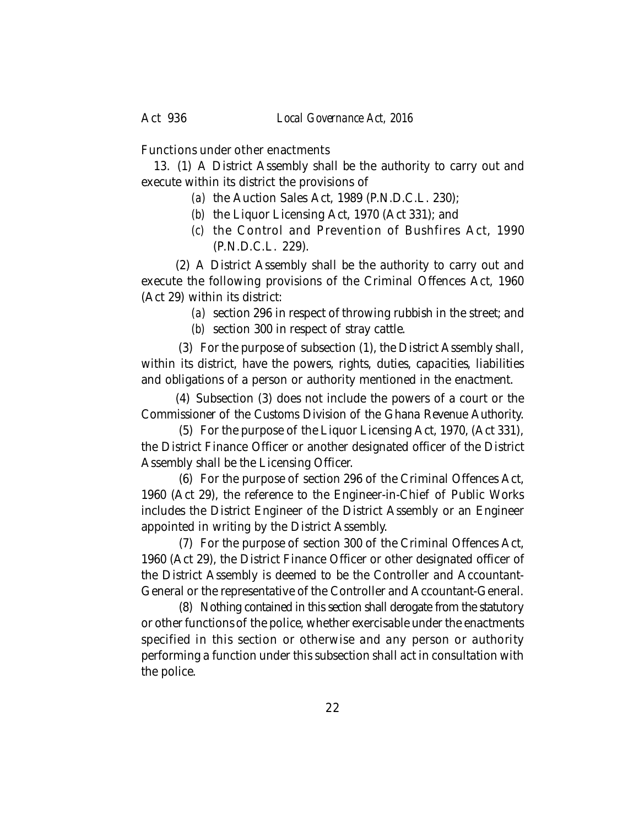Act 936 *Local Governance Act, 2016*

Functions under other enactments

13. (1) A District Assembly shall be the authority to carry out and execute within its district the provisions of

- *(a)* the Auction Sales Act, 1989 (P.N.D.C.L. 230);
- *(b)* the Liquor Licensing Act, 1970 (Act 331); and
- *(c)* the Control and Prevention of Bushfires Act, 1990 (P.N.D.C.L. 229).

(2) A District Assembly shall be the authority to carry out and execute the following provisions of the Criminal Offences Act, 1960 (Act 29) within its district:

> *(a)* section 296 in respect of throwing rubbish in the street; and *(b)* section 300 in respect of stray cattle.

 (3) For the purpose of subsection (1), the District Assembly shall, within its district, have the powers, rights, duties, capacities, liabilities and obligations of a person or authority mentioned in the enactment.

(4) Subsection (3) does not include the powers of a court or the Commissioner of the Customs Division of the Ghana Revenue Authority.

(5) For the purpose of the Liquor Licensing Act, 1970, (Act 331), the District Finance Officer or another designated officer of the District Assembly shall be the Licensing Officer.

(6) For the purpose of section 296 of the Criminal Offences Act, 1960 (Act 29), the reference to the Engineer-in-Chief of Public Works includes the District Engineer of the District Assembly or an Engineer appointed in writing by the District Assembly.

(7) For the purpose of section 300 of the Criminal Offences Act, 1960 (Act 29), the District Finance Officer or other designated officer of the District Assembly is deemed to be the Controller and Accountant-General or the representative of the Controller and Accountant-General.

(8) Nothing contained in this section shall derogate from the statutory or other functions of the police, whether exercisable under the enactments specified in this section or otherwise and any person or authority performing a function under this subsection shall act in consultation with the police.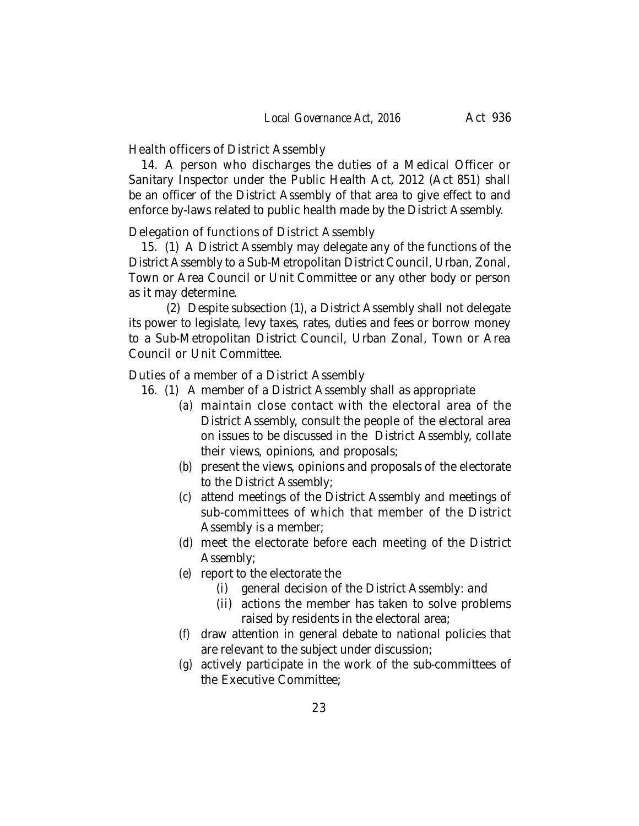Health officers of District Assembly

14. A person who discharges the duties of a Medical Officer or Sanitary Inspector under the Public Health Act, 2012 (Act 851) shall be an officer of the District Assembly of that area to give effect to and enforce by-laws related to public health made by the District Assembly.

Delegation of functions of District Assembly

15. (1) A District Assembly may delegate any of the functions of the District Assembly to a Sub-Metropolitan District Council, Urban, Zonal, Town or Area Council or Unit Committee or any other body or person as it may determine.

(2) Despite subsection (1), a District Assembly shall not delegate its power to legislate, levy taxes, rates, duties and fees or borrow money to a Sub-Metropolitan District Council, Urban Zonal, Town or Area Council or Unit Committee.

Duties of a member of a District Assembly

- 16. (1) A member of a District Assembly shall as appropriate
	- *(a)* maintain close contact with the electoral area of the District Assembly, consult the people of the electoral area on issues to be discussed in the District Assembly, collate their views, opinions, and proposals;
	- *(b)* present the views, opinions and proposals of the electorate to the District Assembly;
	- *(c)* attend meetings of the District Assembly and meetings of sub-committees of which that member of the District Assembly is a member;
	- *(d)* meet the electorate before each meeting of the District Assembly;
	- *(e)* report to the electorate the
		- (i) general decision of the District Assembly: and
		- (ii) actions the member has taken to solve problems raised by residents in the electoral area;
	- *(f)* draw attention in general debate to national policies that are relevant to the subject under discussion;
	- *(g)* actively participate in the work of the sub-committees of the Executive Committee;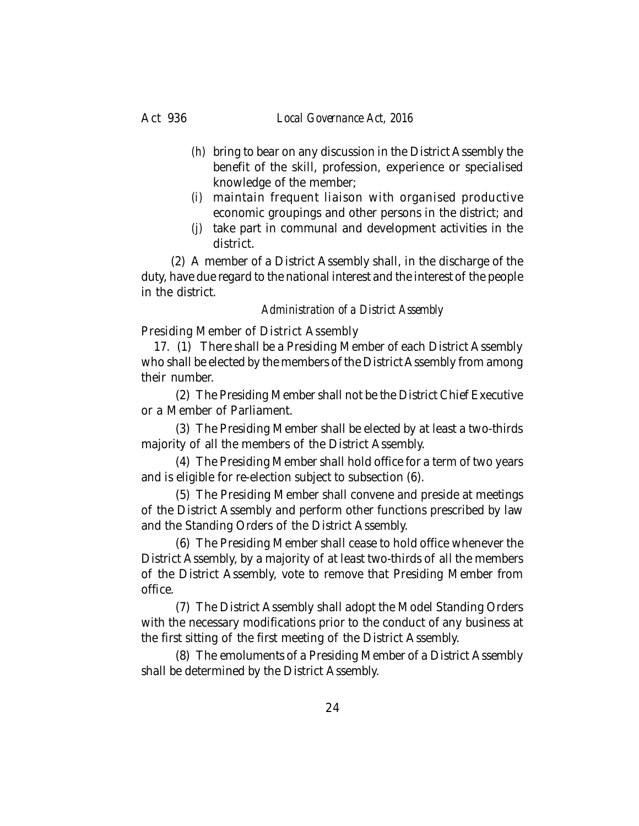#### Act 936 *Local Governance Act, 2016*

- *(h)* bring to bear on any discussion in the District Assembly the benefit of the skill, profession, experience or specialised knowledge of the member;
- *(i)* maintain frequent liaison with organised productive economic groupings and other persons in the district; and
- *(j)* take part in communal and development activities in the district.

(2) A member of a District Assembly shall, in the discharge of the duty, have due regard to the national interest and the interest of the people in the district.

## *Administration of a District Assembly*

Presiding Member of District Assembly

17. (1) There shall be a Presiding Member of each District Assembly who shall be elected by the members of the District Assembly from among their number.

(2) The Presiding Member shall not be the District Chief Executive or a Member of Parliament.

(3) The Presiding Member shall be elected by at least a two-thirds majority of all the members of the District Assembly.

(4) The Presiding Member shall hold office for a term of two years and is eligible for re-election subject to subsection (6).

(5) The Presiding Member shall convene and preside at meetings of the District Assembly and perform other functions prescribed by law and the Standing Orders of the District Assembly.

(6) The Presiding Member shall cease to hold office whenever the District Assembly, by a majority of at least two-thirds of all the members of the District Assembly, vote to remove that Presiding Member from office.

(7) The District Assembly shall adopt the Model Standing Orders with the necessary modifications prior to the conduct of any business at the first sitting of the first meeting of the District Assembly.

(8) The emoluments of a Presiding Member of a District Assembly shall be determined by the District Assembly.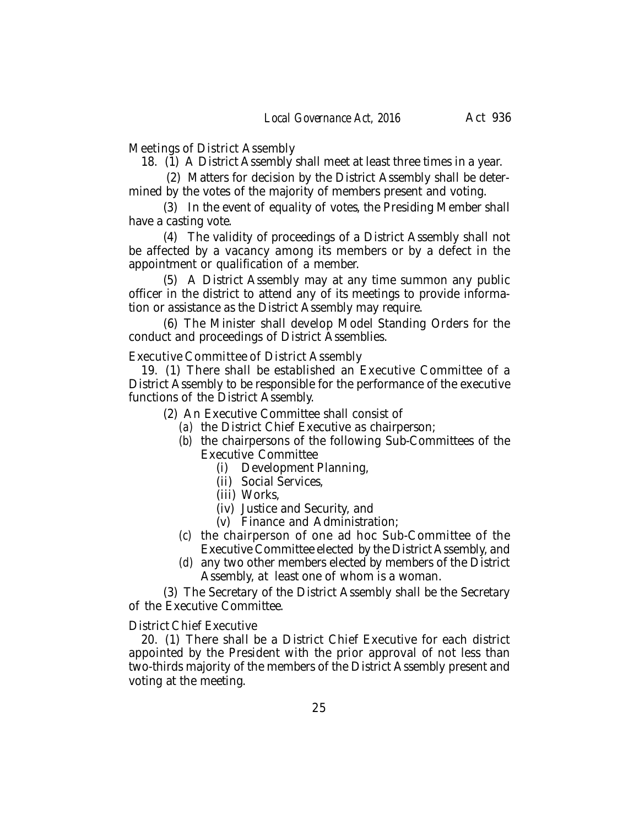Meetings of District Assembly

18. (1) A District Assembly shall meet at least three times in a year.

 (2) Matters for decision by the District Assembly shall be determined by the votes of the majority of members present and voting.

(3) In the event of equality of votes, the Presiding Member shall have a casting vote.

(4) The validity of proceedings of a District Assembly shall not be affected by a vacancy among its members or by a defect in the appointment or qualification of a member.

(5) A District Assembly may at any time summon any public officer in the district to attend any of its meetings to provide information or assistance as the District Assembly may require.

(6) The Minister shall develop Model Standing Orders for the conduct and proceedings of District Assemblies.

Executive Committee of District Assembly

19. (1) There shall be established an Executive Committee of a District Assembly to be responsible for the performance of the executive functions of the District Assembly.

(2) An Executive Committee shall consist of

- *(a)* the District Chief Executive as chairperson;
- *(b)* the chairpersons of the following Sub-Committees of the Executive Committee
	- (i) Development Planning,
	- (ii) Social Services,
	- (iii) Works,
	- (iv) Justice and Security, and
	- (v) Finance and Administration;
- *(c)* the chairperson of one ad hoc Sub-Committee of the Executive Committee elected by the District Assembly, and
- *(d)* any two other members elected by members of the District Assembly, at least one of whom is a woman.

(3) The Secretary of the District Assembly shall be the Secretary of the Executive Committee.

District Chief Executive

20. (1) There shall be a District Chief Executive for each district appointed by the President with the prior approval of not less than two-thirds majority of the members of the District Assembly present and voting at the meeting.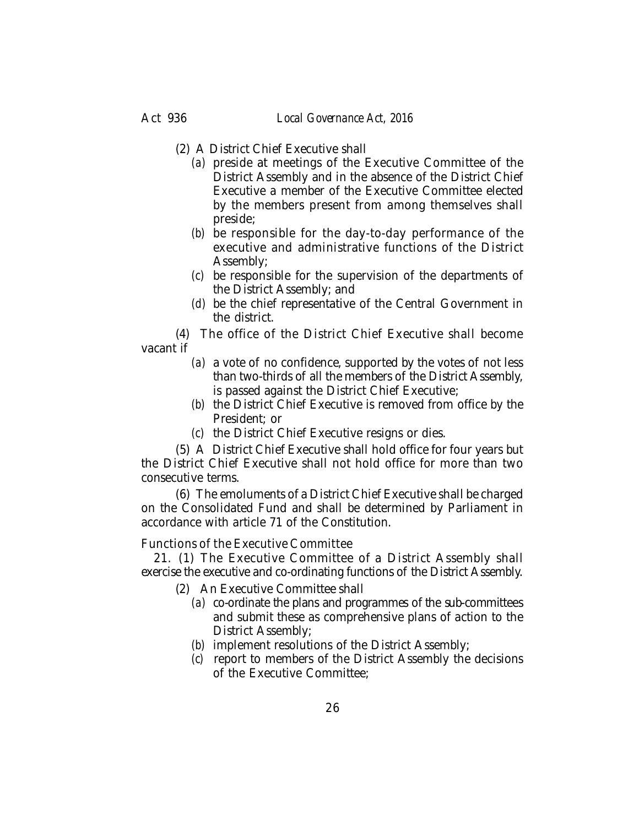- (2) A District Chief Executive shall
	- *(a)* preside at meetings of the Executive Committee of the District Assembly and in the absence of the District Chief Executive a member of the Executive Committee elected by the members present from among themselves shall preside;
	- *(b)* be responsible for the day-to-day performance of the executive and administrative functions of the District Assembly;
	- *(c)* be responsible for the supervision of the departments of the District Assembly; and
	- *(d)* be the chief representative of the Central Government in the district.

(4) The office of the District Chief Executive shall become vacant if

- *(a)* a vote of no confidence, supported by the votes of not less than two-thirds of all the members of the District Assembly, is passed against the District Chief Executive;
- *(b)* the District Chief Executive is removed from office by the President; or
- *(c)* the District Chief Executive resigns or dies.

(5) A District Chief Executive shall hold office for four years but the District Chief Executive shall not hold office for more than two consecutive terms.

(6) The emoluments of a District Chief Executive shall be charged on the Consolidated Fund and shall be determined by Parliament in accordance with article 71 of the Constitution.

Functions of the Executive Committee

21. (1) The Executive Committee of a District Assembly shall exercise the executive and co-ordinating functions of the District Assembly.

- (2) An Executive Committee shall
	- *(a)* co-ordinate the plans and programmes of the sub-committees and submit these as comprehensive plans of action to the District Assembly;
	- *(b)* implement resolutions of the District Assembly;
	- *(c)* report to members of the District Assembly the decisions of the Executive Committee;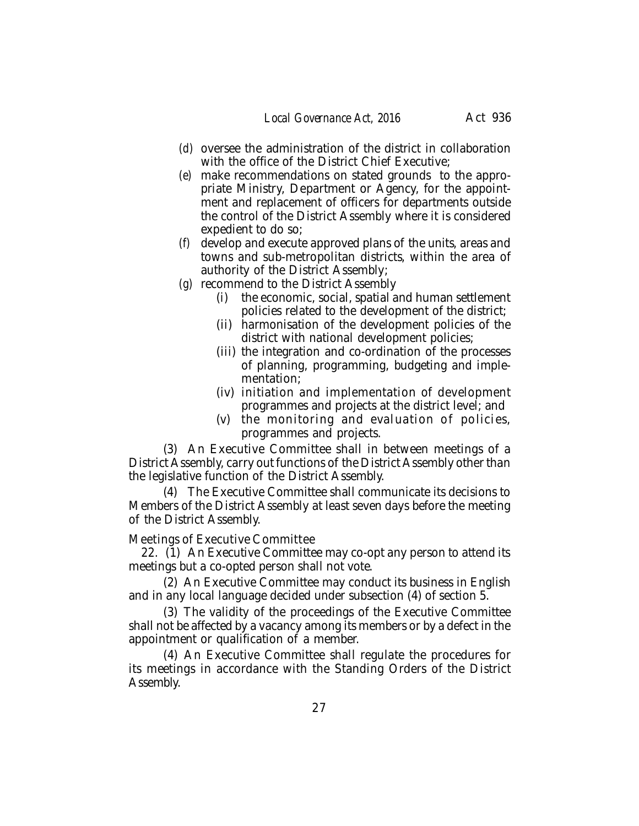- *(d)* oversee the administration of the district in collaboration with the office of the District Chief Executive;
- *(e)* make recommendations on stated grounds to the appropriate Ministry, Department or Agency, for the appointment and replacement of officers for departments outside the control of the District Assembly where it is considered expedient to do so;
- *(f)* develop and execute approved plans of the units, areas and towns and sub-metropolitan districts, within the area of authority of the District Assembly;
- *(g)* recommend to the District Assembly
	- (i) the economic, social, spatial and human settlement policies related to the development of the district;
	- (ii) harmonisation of the development policies of the district with national development policies;
	- (iii) the integration and co-ordination of the processes of planning, programming, budgeting and implementation;
	- (iv) initiation and implementation of development programmes and projects at the district level; and
	- (v) the monitoring and evaluation of policies, programmes and projects.

(3) An Executive Committee shall in between meetings of a District Assembly, carry out functions of the District Assembly other than the legislative function of the District Assembly.

(4) The Executive Committee shall communicate its decisions to Members of the District Assembly at least seven days before the meeting of the District Assembly.

Meetings of Executive Committee

22. (1) An Executive Committee may co-opt any person to attend its meetings but a co-opted person shall not vote.

(2) An Executive Committee may conduct its business in English and in any local language decided under subsection (4) of section 5.

(3) The validity of the proceedings of the Executive Committee shall not be affected by a vacancy among its members or by a defect in the appointment or qualification of a member.

(4) An Executive Committee shall regulate the procedures for its meetings in accordance with the Standing Orders of the District Assembly.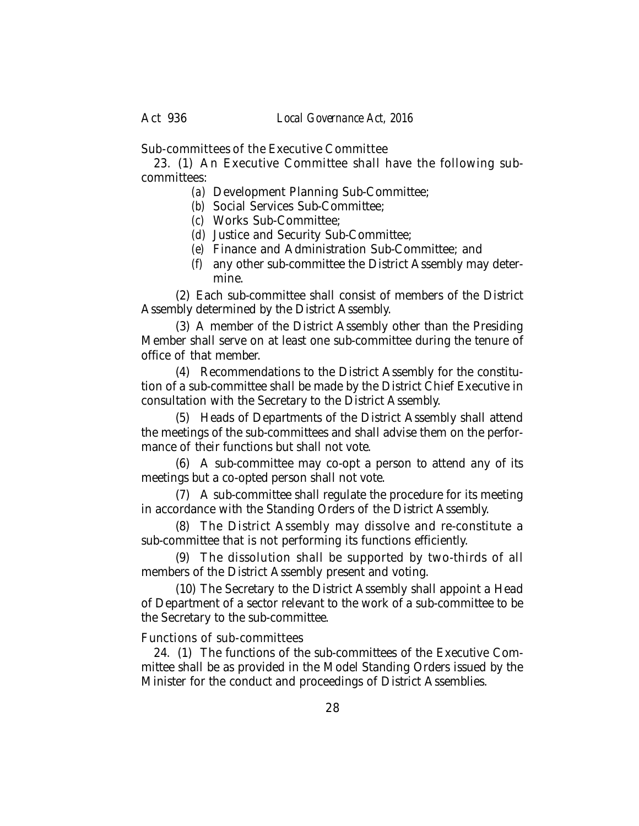Sub-committees of the Executive Committee

23. (1) An Executive Committee shall have the following subcommittees:

*(a)* Development Planning Sub-Committee;

*(b)* Social Services Sub-Committee;

*(c)* Works Sub-Committee;

*(d)* Justice and Security Sub-Committee;

- *(e)* Finance and Administration Sub-Committee; and
- *(f)* any other sub-committee the District Assembly may determine.

(2) Each sub-committee shall consist of members of the District Assembly determined by the District Assembly.

(3) A member of the District Assembly other than the Presiding Member shall serve on at least one sub-committee during the tenure of office of that member.

(4) Recommendations to the District Assembly for the constitution of a sub-committee shall be made by the District Chief Executive in consultation with the Secretary to the District Assembly.

(5) Heads of Departments of the District Assembly shall attend the meetings of the sub-committees and shall advise them on the performance of their functions but shall not vote.

(6) A sub-committee may co-opt a person to attend any of its meetings but a co-opted person shall not vote.

(7) A sub-committee shall regulate the procedure for its meeting in accordance with the Standing Orders of the District Assembly.

(8) The District Assembly may dissolve and re-constitute a sub-committee that is not performing its functions efficiently.

(9) The dissolution shall be supported by two-thirds of all members of the District Assembly present and voting.

(10) The Secretary to the District Assembly shall appoint a Head of Department of a sector relevant to the work of a sub-committee to be the Secretary to the sub-committee.

## Functions of sub-committees

24. (1) The functions of the sub-committees of the Executive Committee shall be as provided in the Model Standing Orders issued by the Minister for the conduct and proceedings of District Assemblies.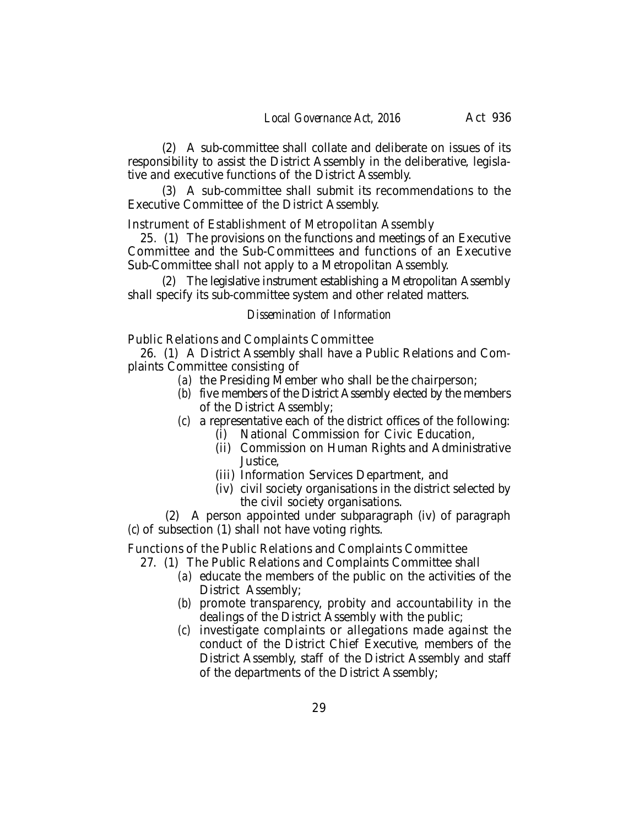(2) A sub-committee shall collate and deliberate on issues of its responsibility to assist the District Assembly in the deliberative, legislative and executive functions of the District Assembly.

(3) A sub-committee shall submit its recommendations to the Executive Committee of the District Assembly.

Instrument of Establishment of Metropolitan Assembly

25. (1) The provisions on the functions and meetings of an Executive Committee and the Sub-Committees and functions of an Executive Sub-Committee shall not apply to a Metropolitan Assembly.

(2) The legislative instrument establishing a Metropolitan Assembly shall specify its sub-committee system and other related matters.

#### *Dissemination of Information*

Public Relations and Complaints Committee

26. (1) A District Assembly shall have a Public Relations and Complaints Committee consisting of

- *(a)* the Presiding Member who shall be the chairperson;
- *(b)* five members of the District Assembly elected by the members of the District Assembly;
- *(c)* a representative each of the district offices of the following:
	- (i) National Commission for Civic Education,
	- (ii) Commission on Human Rights and Administrative Justice,
	- (iii) Information Services Department, and
	- (iv) civil society organisations in the district selected by the civil society organisations.

(2) A person appointed under subparagraph (iv) of paragraph *(c)* of subsection (1) shall not have voting rights.

Functions of the Public Relations and Complaints Committee

- 27. (1) The Public Relations and Complaints Committee shall
	- *(a)* educate the members of the public on the activities of the District Assembly;
	- *(b)* promote transparency, probity and accountability in the dealings of the District Assembly with the public;
	- *(c)* investigate complaints or allegations made against the conduct of the District Chief Executive, members of the District Assembly, staff of the District Assembly and staff of the departments of the District Assembly;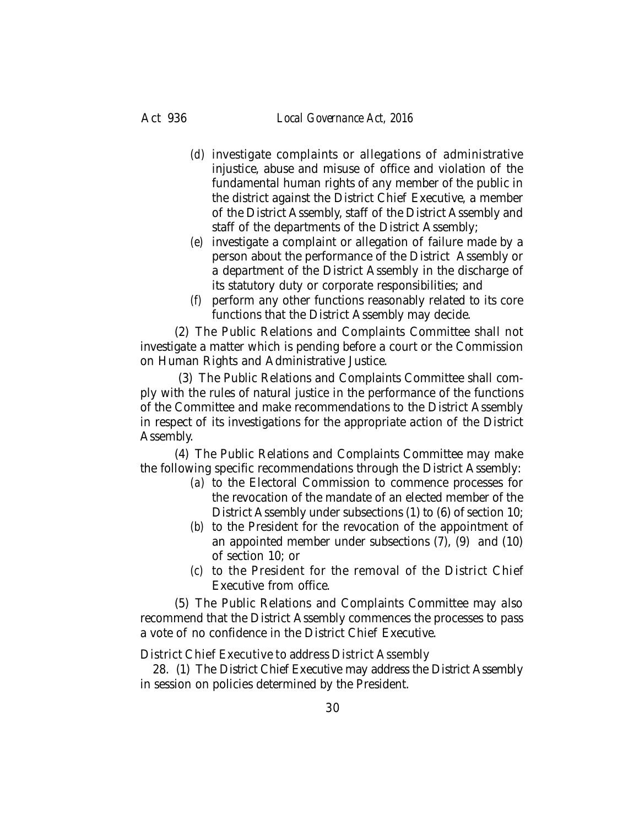- *(d)* investigate complaints or allegations of administrative injustice, abuse and misuse of office and violation of the fundamental human rights of any member of the public in the district against the District Chief Executive, a member of the District Assembly, staff of the District Assembly and staff of the departments of the District Assembly;
- *(e)* investigate a complaint or allegation of failure made by a person about the performance of the District Assembly or a department of the District Assembly in the discharge of its statutory duty or corporate responsibilities; and
- *(f)* perform any other functions reasonably related to its core functions that the District Assembly may decide.

(2) The Public Relations and Complaints Committee shall not investigate a matter which is pending before a court or the Commission on Human Rights and Administrative Justice.

 (3) The Public Relations and Complaints Committee shall comply with the rules of natural justice in the performance of the functions of the Committee and make recommendations to the District Assembly in respect of its investigations for the appropriate action of the District Assembly.

(4) The Public Relations and Complaints Committee may make the following specific recommendations through the District Assembly:

- *(a)* to the Electoral Commission to commence processes for the revocation of the mandate of an elected member of the District Assembly under subsections (1) to (6) of section 10;
- *(b)* to the President for the revocation of the appointment of an appointed member under subsections (7), (9) and (10) of section 10; or
- *(c)* to the President for the removal of the District Chief Executive from office.

(5) The Public Relations and Complaints Committee may also recommend that the District Assembly commences the processes to pass a vote of no confidence in the District Chief Executive.

District Chief Executive to address District Assembly

28. (1) The District Chief Executive may address the District Assembly in session on policies determined by the President.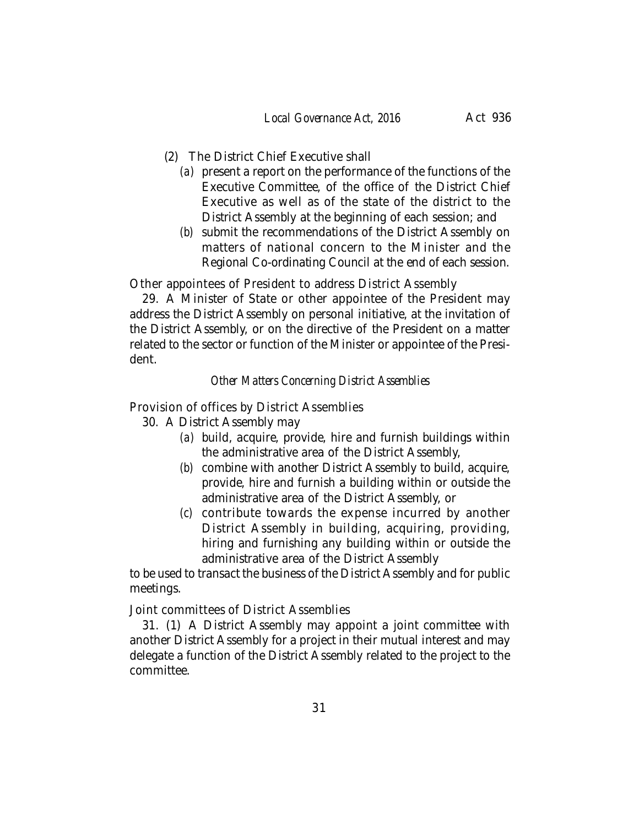- (2) The District Chief Executive shall
	- *(a)* present a report on the performance of the functions of the Executive Committee, of the office of the District Chief Executive as well as of the state of the district to the District Assembly at the beginning of each session; and
	- *(b)* submit the recommendations of the District Assembly on matters of national concern to the Minister and the Regional Co-ordinating Council at the end of each session.

Other appointees of President to address District Assembly

29. A Minister of State or other appointee of the President may address the District Assembly on personal initiative, at the invitation of the District Assembly, or on the directive of the President on a matter related to the sector or function of the Minister or appointee of the President.

## *Other Matters Concerning District Assemblies*

Provision of offices by District Assemblies

- 30. A District Assembly may
	- *(a)* build, acquire, provide, hire and furnish buildings within the administrative area of the District Assembly,
	- *(b)* combine with another District Assembly to build, acquire, provide, hire and furnish a building within or outside the administrative area of the District Assembly, or
	- *(c)* contribute towards the expense incurred by another District Assembly in building, acquiring, providing, hiring and furnishing any building within or outside the administrative area of the District Assembly

to be used to transact the business of the District Assembly and for public meetings.

Joint committees of District Assemblies

31. (1) A District Assembly may appoint a joint committee with another District Assembly for a project in their mutual interest and may delegate a function of the District Assembly related to the project to the committee.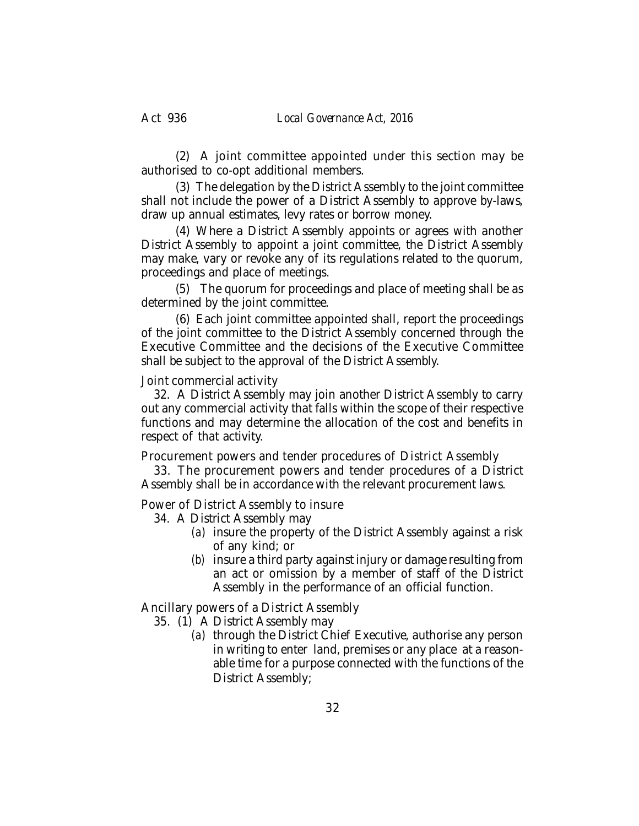(2) A joint committee appointed under this section may be authorised to co-opt additional members.

(3) The delegation by the District Assembly to the joint committee shall not include the power of a District Assembly to approve by-laws, draw up annual estimates, levy rates or borrow money.

(4) Where a District Assembly appoints or agrees with another District Assembly to appoint a joint committee, the District Assembly may make, vary or revoke any of its regulations related to the quorum, proceedings and place of meetings.

(5) The quorum for proceedings and place of meeting shall be as determined by the joint committee.

(6) Each joint committee appointed shall, report the proceedings of the joint committee to the District Assembly concerned through the Executive Committee and the decisions of the Executive Committee shall be subject to the approval of the District Assembly.

## Joint commercial activity

32. A District Assembly may join another District Assembly to carry out any commercial activity that falls within the scope of their respective functions and may determine the allocation of the cost and benefits in respect of that activity.

Procurement powers and tender procedures of District Assembly

33. The procurement powers and tender procedures of a District Assembly shall be in accordance with the relevant procurement laws.

Power of District Assembly to insure

- 34. A District Assembly may
	- *(a)* insure the property of the District Assembly against a risk of any kind; or
	- *(b)* insure a third party against injury or damage resulting from an act or omission by a member of staff of the District Assembly in the performance of an official function.

Ancillary powers of a District Assembly

- 35. (1) A District Assembly may
	- *(a)* through the District Chief Executive, authorise any person in writing to enter land, premises or any place at a reasonable time for a purpose connected with the functions of the District Assembly;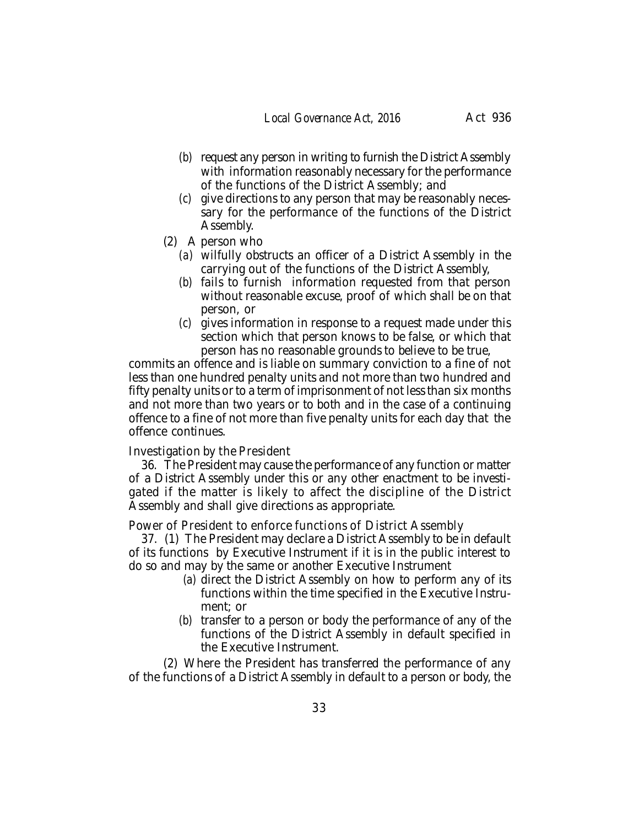- *(b)* request any person in writing to furnish the District Assembly with information reasonably necessary for the performance of the functions of the District Assembly; and
- *(c)* give directions to any person that may be reasonably necessary for the performance of the functions of the District Assembly.
- (2) A person who
	- *(a)* wilfully obstructs an officer of a District Assembly in the carrying out of the functions of the District Assembly,
	- *(b)* fails to furnish information requested from that person without reasonable excuse, proof of which shall be on that person, or
	- *(c)* gives information in response to a request made under this section which that person knows to be false, or which that person has no reasonable grounds to believe to be true,

commits an offence and is liable on summary conviction to a fine of not less than one hundred penalty units and not more than two hundred and fifty penalty units or to a term of imprisonment of not less than six months and not more than two years or to both and in the case of a continuing offence to a fine of not more than five penalty units for each day that the offence continues.

#### Investigation by the President

36. The President may cause the performance of any function or matter of a District Assembly under this or any other enactment to be investigated if the matter is likely to affect the discipline of the District Assembly and shall give directions as appropriate.

Power of President to enforce functions of District Assembly

37. (1) The President may declare a District Assembly to be in default of its functions by Executive Instrument if it is in the public interest to do so and may by the same or another Executive Instrument

- *(a)* direct the District Assembly on how to perform any of its functions within the time specified in the Executive Instrument; or
- *(b)* transfer to a person or body the performance of any of the functions of the District Assembly in default specified in the Executive Instrument.

(2) Where the President has transferred the performance of any of the functions of a District Assembly in default to a person or body, the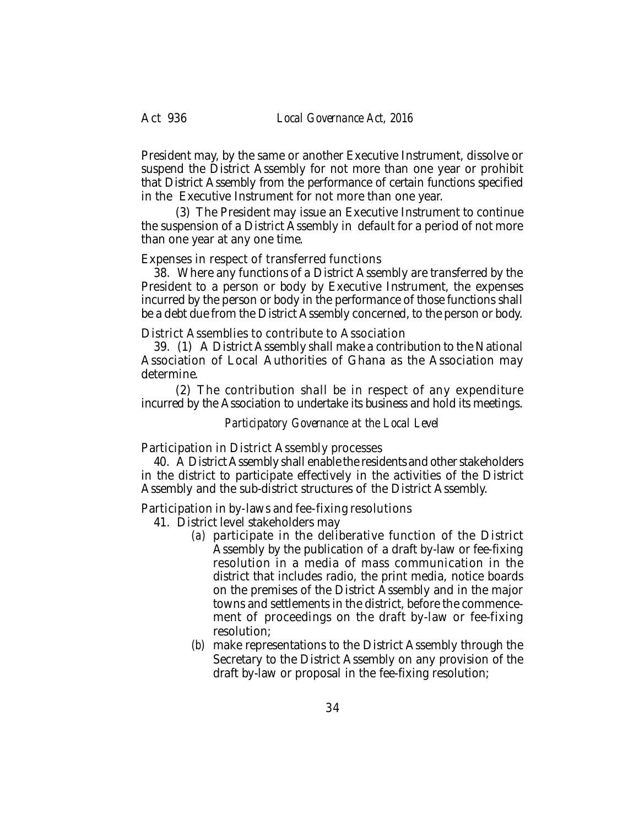President may, by the same or another Executive Instrument, dissolve or suspend the District Assembly for not more than one year or prohibit that District Assembly from the performance of certain functions specified in the Executive Instrument for not more than one year.

(3) The President may issue an Executive Instrument to continue the suspension of a District Assembly in default for a period of not more than one year at any one time.

#### Expenses in respect of transferred functions

38. Where any functions of a District Assembly are transferred by the President to a person or body by Executive Instrument, the expenses incurred by the person or body in the performance of those functions shall be a debt due from the District Assembly concerned, to the person or body.

District Assemblies to contribute to Association

39. (1) A District Assembly shall make a contribution to the National Association of Local Authorities of Ghana as the Association may determine.

(2) The contribution shall be in respect of any expenditure incurred by the Association to undertake its business and hold its meetings.

*Participatory Governance at the Local Level*

Participation in District Assembly processes

40. A District Assembly shall enable the residents and other stakeholders in the district to participate effectively in the activities of the District Assembly and the sub-district structures of the District Assembly.

Participation in by-laws and fee-fixing resolutions

- 41. District level stakeholders may
	- *(a)* participate in the deliberative function of the District Assembly by the publication of a draft by-law or fee-fixing resolution in a media of mass communication in the district that includes radio, the print media, notice boards on the premises of the District Assembly and in the major towns and settlements in the district, before the commencement of proceedings on the draft by-law or fee-fixing resolution;
	- *(b)* make representations to the District Assembly through the Secretary to the District Assembly on any provision of the draft by-law or proposal in the fee-fixing resolution;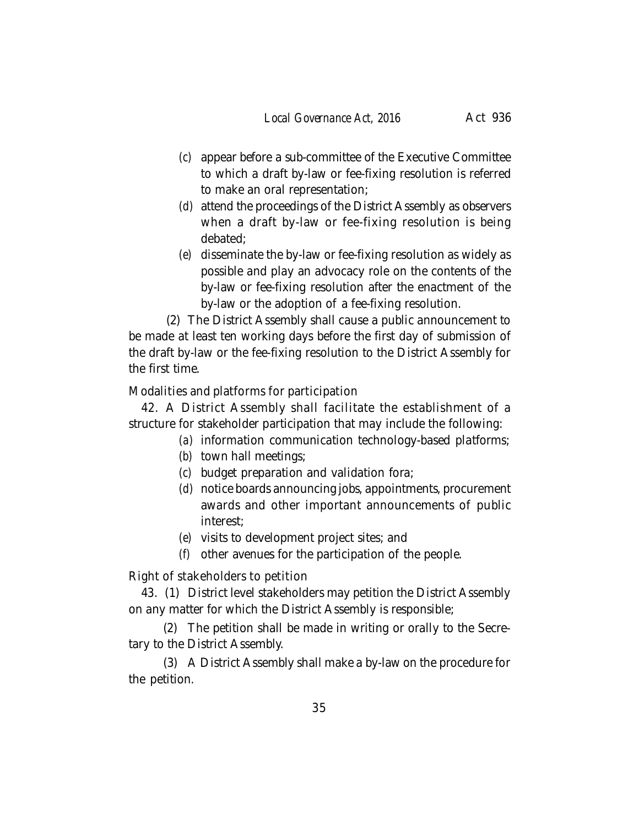- *(c)* appear before a sub-committee of the Executive Committee to which a draft by-law or fee-fixing resolution is referred to make an oral representation;
- *(d)* attend the proceedings of the District Assembly as observers when a draft by-law or fee-fixing resolution is being debated;
- *(e)* disseminate the by-law or fee-fixing resolution as widely as possible and play an advocacy role on the contents of the by-law or fee-fixing resolution after the enactment of the by-law or the adoption of a fee-fixing resolution.

(2) The District Assembly shall cause a public announcement to be made at least ten working days before the first day of submission of the draft by-law or the fee-fixing resolution to the District Assembly for the first time.

# Modalities and platforms for participation

42. A District Assembly shall facilitate the establishment of a structure for stakeholder participation that may include the following:

- *(a)* information communication technology-based platforms;
- *(b)* town hall meetings;
- *(c)* budget preparation and validation fora;
- *(d)* notice boards announcing jobs, appointments, procurement awards and other important announcements of public interest;
- *(e)* visits to development project sites; and
- *(f)* other avenues for the participation of the people.

Right of stakeholders to petition

43. (1) District level stakeholders may petition the District Assembly on any matter for which the District Assembly is responsible;

(2) The petition shall be made in writing or orally to the Secretary to the District Assembly.

(3) A District Assembly shall make a by-law on the procedure for the petition.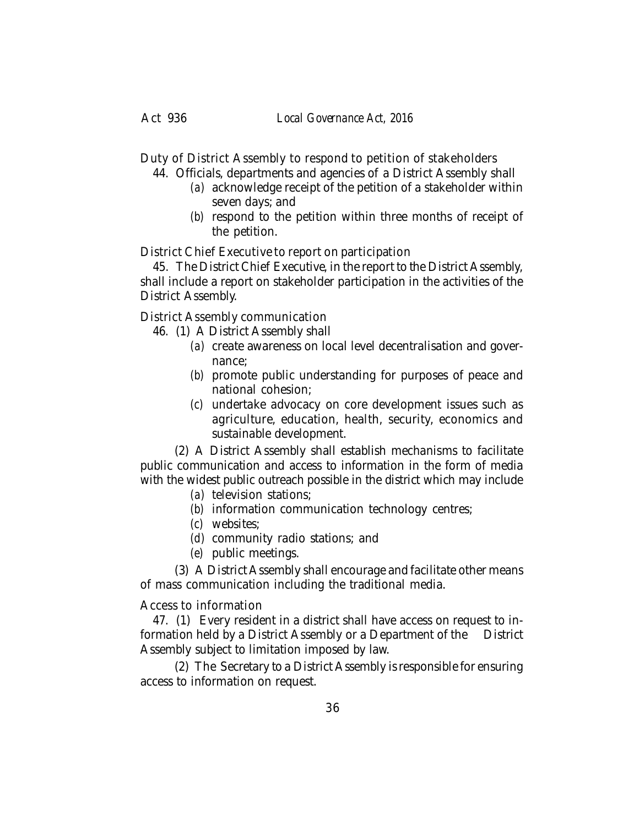Duty of District Assembly to respond to petition of stakeholders

- 44. Officials, departments and agencies of a District Assembly shall
	- *(a)* acknowledge receipt of the petition of a stakeholder within seven days; and
	- *(b)* respond to the petition within three months of receipt of the petition.

District Chief Executive to report on participation

45. The District Chief Executive, in the report to the District Assembly, shall include a report on stakeholder participation in the activities of the District Assembly.

District Assembly communication

46. (1) A District Assembly shall

- *(a)* create awareness on local level decentralisation and governance;
- *(b)* promote public understanding for purposes of peace and national cohesion;
- *(c)* undertake advocacy on core development issues such as agriculture, education, health, security, economics and sustainable development.

(2) A District Assembly shall establish mechanisms to facilitate public communication and access to information in the form of media with the widest public outreach possible in the district which may include

- *(a)* television stations;
- *(b)* information communication technology centres;
- *(c)* websites;
- *(d)* community radio stations; and
- *(e)* public meetings.

(3) A District Assembly shall encourage and facilitate other means of mass communication including the traditional media.

# Access to information

47. (1) Every resident in a district shall have access on request to information held by a District Assembly or a Department of the District Assembly subject to limitation imposed by law.

(2) The Secretary to a District Assembly is responsible for ensuring access to information on request.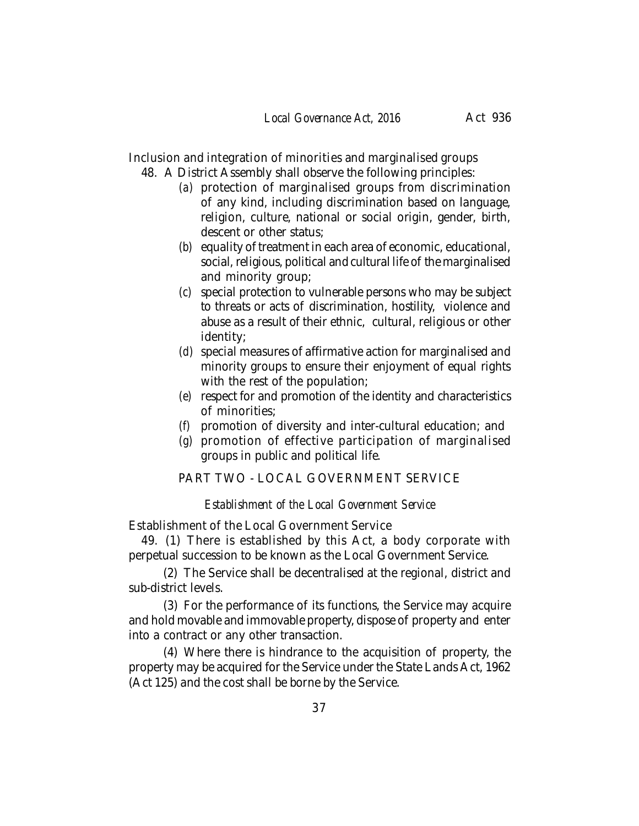Inclusion and integration of minorities and marginalised groups 48. A District Assembly shall observe the following principles:

- *(a)* protection of marginalised groups from discrimination of any kind, including discrimination based on language, religion, culture, national or social origin, gender, birth, descent or other status;
- *(b)* equality of treatment in each area of economic, educational, social, religious, political and cultural life of the marginalised and minority group;
- *(c)* special protection to vulnerable persons who may be subject to threats or acts of discrimination, hostility, violence and abuse as a result of their ethnic, cultural, religious or other identity;
- *(d)* special measures of affirmative action for marginalised and minority groups to ensure their enjoyment of equal rights with the rest of the population;
- *(e)* respect for and promotion of the identity and characteristics of minorities;
- *(f)* promotion of diversity and inter-cultural education; and
- *(g)* promotion of effective participation of marginalised groups in public and political life.

PART TWO - LOCAL GOVERNMENT SERVICE

*Establishment of the Local Government Service*

Establishment of the Local Government Service

49. (1) There is established by this Act, a body corporate with perpetual succession to be known as the Local Government Service.

(2) The Service shall be decentralised at the regional, district and sub-district levels.

(3) For the performance of its functions, the Service may acquire and hold movable and immovable property, dispose of property and enter into a contract or any other transaction.

(4) Where there is hindrance to the acquisition of property, the property may be acquired for the Service under the State Lands Act, 1962 (Act 125) and the cost shall be borne by the Service.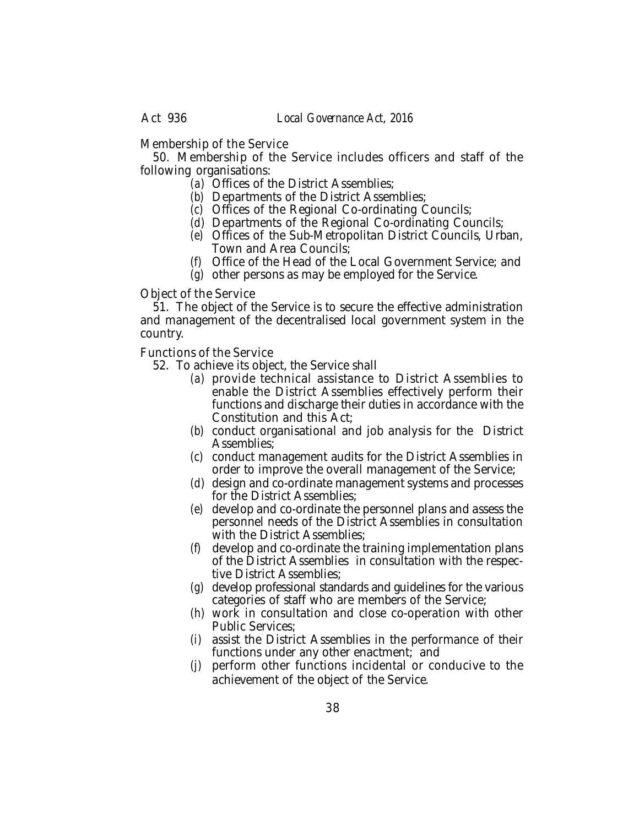Membership of the Service

50. Membership of the Service includes officers and staff of the following organisations:

- *(a)* Offices of the District Assemblies;
- *(b)* Departments of the District Assemblies;
- *(c)* Offices of the Regional Co-ordinating Councils;
- *(d)* Departments of the Regional Co-ordinating Councils;
- *(e)* Offices of the Sub-Metropolitan District Councils, Urban, Town and Area Councils;
- *(f)* Office of the Head of the Local Government Service; and
- *(g)* other persons as may be employed for the Service.

Object of the Service

51. The object of the Service is to secure the effective administration and management of the decentralised local government system in the country.

Functions of the Service

- 52. To achieve its object, the Service shall
	- *(a)* provide technical assistance to District Assemblies to enable the District Assemblies effectively perform their functions and discharge their duties in accordance with the Constitution and this Act;
	- *(b)* conduct organisational and job analysis for the District Assemblies;
	- *(c)* conduct management audits for the District Assemblies in order to improve the overall management of the Service;
	- *(d)* design and co-ordinate management systems and processes for the District Assemblies;
	- *(e)* develop and co-ordinate the personnel plans and assess the personnel needs of the District Assemblies in consultation with the District Assemblies;
	- *(f)* develop and co-ordinate the training implementation plans of the District Assemblies in consultation with the respective District Assemblies;
	- *(g)* develop professional standards and guidelines for the various categories of staff who are members of the Service;
	- *(h)* work in consultation and close co-operation with other Public Services;
	- *(i)* assist the District Assemblies in the performance of their functions under any other enactment; and
	- *(j)* perform other functions incidental or conducive to the achievement of the object of the Service.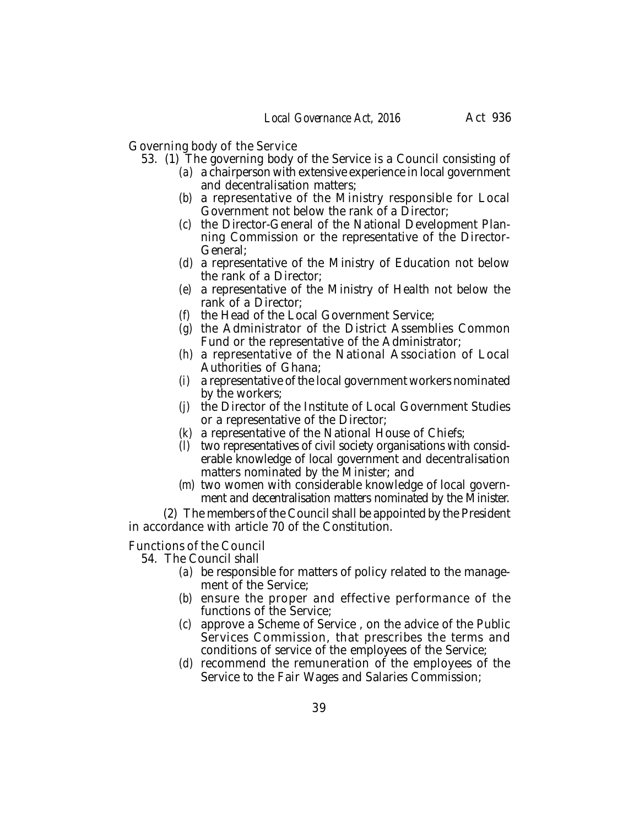Governing body of the Service

- 53. (1) The governing body of the Service is a Council consisting of
	- *(a)* a chairperson with extensive experience in local government and decentralisation matters;
	- *(b)* a representative of the Ministry responsible for Local Government not below the rank of a Director;
	- *(c)* the Director-General of the National Development Planning Commission or the representative of the Director-General;
	- *(d)* a representative of the Ministry of Education not below the rank of a Director;
	- *(e)* a representative of the Ministry of Health not below the rank of a Director;
	- *(f)* the Head of the Local Government Service;
	- *(g)* the Administrator of the District Assemblies Common Fund or the representative of the Administrator;
	- *(h)* a representative of the National Association of Local Authorities of Ghana;
	- *(i)* a representative of the local government workers nominated by the workers;
	- *(j)* the Director of the Institute of Local Government Studies or a representative of the Director;
	- *(k)* a representative of the National House of Chiefs;
	- *(l)* two representatives of civil society organisations with considerable knowledge of local government and decentralisation matters nominated by the Minister; and
	- *(m)* two women with considerable knowledge of local government and decentralisation matters nominated by the Minister.

(2) The members of the Council shall be appointed by the President in accordance with article 70 of the Constitution.

#### Functions of the Council

- 54. The Council shall
	- *(a)* be responsible for matters of policy related to the management of the Service;
	- *(b)* ensure the proper and effective performance of the functions of the Service;
	- *(c)* approve a Scheme of Service , on the advice of the Public Services Commission, that prescribes the terms and conditions of service of the employees of the Service;
	- *(d)* recommend the remuneration of the employees of the Service to the Fair Wages and Salaries Commission;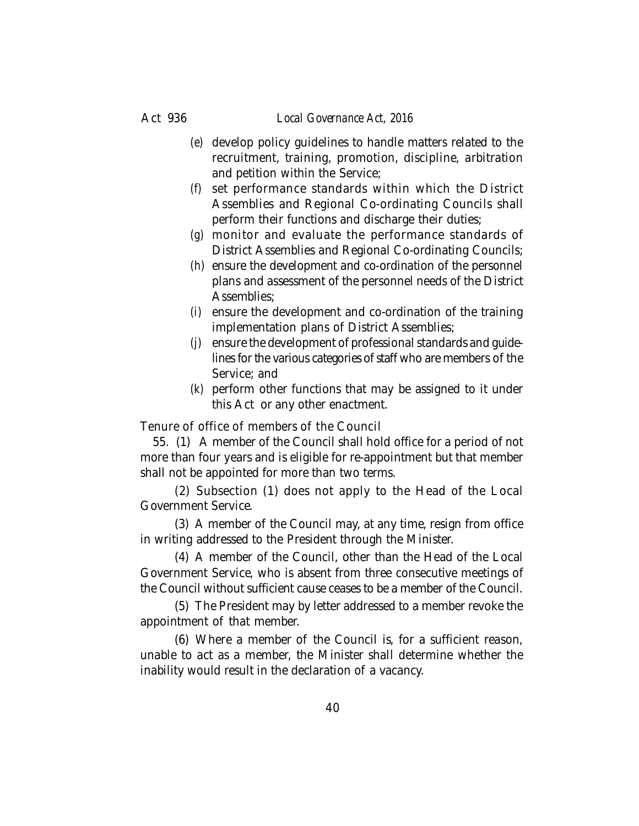## Act 936 *Local Governance Act, 2016*

- *(e)* develop policy guidelines to handle matters related to the recruitment, training, promotion, discipline, arbitration and petition within the Service;
- *(f)* set performance standards within which the District Assemblies and Regional Co-ordinating Councils shall perform their functions and discharge their duties;
- *(g)* monitor and evaluate the performance standards of District Assemblies and Regional Co-ordinating Councils;
- *(h)* ensure the development and co-ordination of the personnel plans and assessment of the personnel needs of the District Assemblies;
- *(i)* ensure the development and co-ordination of the training implementation plans of District Assemblies;
- *(j)* ensure the development of professional standards and guidelines for the various categories of staff who are members of the Service; and
- *(k)* perform other functions that may be assigned to it under this Act or any other enactment.

Tenure of office of members of the Council

55. (1) A member of the Council shall hold office for a period of not more than four years and is eligible for re-appointment but that member shall not be appointed for more than two terms.

(2) Subsection (1) does not apply to the Head of the Local Government Service.

(3) A member of the Council may, at any time, resign from office in writing addressed to the President through the Minister.

(4) A member of the Council, other than the Head of the Local Government Service, who is absent from three consecutive meetings of the Council without sufficient cause ceases to be a member of the Council.

(5) The President may by letter addressed to a member revoke the appointment of that member.

(6) Where a member of the Council is, for a sufficient reason, unable to act as a member, the Minister shall determine whether the inability would result in the declaration of a vacancy.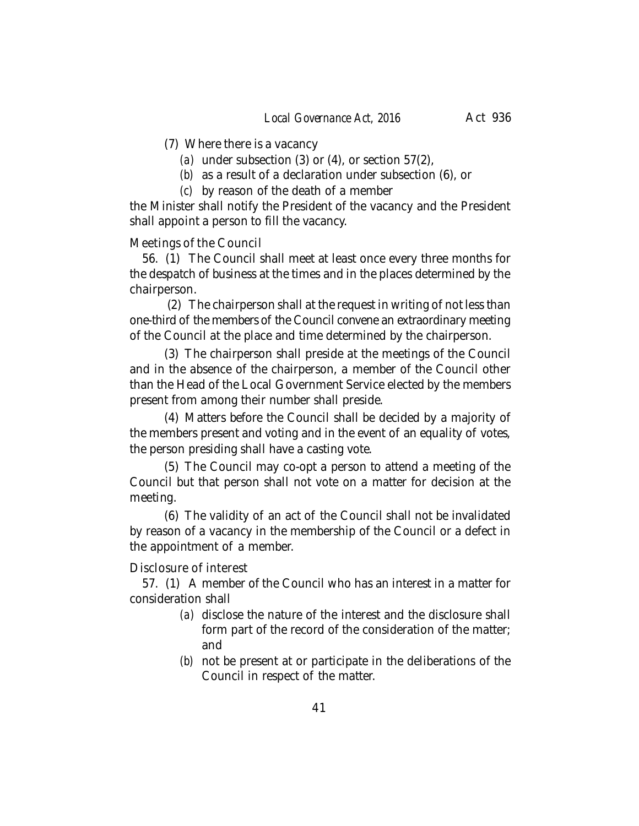- (7) Where there is a vacancy
	- *(a)* under subsection (3) or (4), or section 57(2),
	- *(b)* as a result of a declaration under subsection (6), or
	- *(c)* by reason of the death of a member

the Minister shall notify the President of the vacancy and the President shall appoint a person to fill the vacancy.

## Meetings of the Council

56. (1) The Council shall meet at least once every three months for the despatch of business at the times and in the places determined by the chairperson.

(2) The chairperson shall at the request in writing of not less than one-third of the members of the Council convene an extraordinary meeting of the Council at the place and time determined by the chairperson.

(3) The chairperson shall preside at the meetings of the Council and in the absence of the chairperson, a member of the Council other than the Head of the Local Government Service elected by the members present from among their number shall preside.

(4) Matters before the Council shall be decided by a majority of the members present and voting and in the event of an equality of votes, the person presiding shall have a casting vote.

(5) The Council may co-opt a person to attend a meeting of the Council but that person shall not vote on a matter for decision at the meeting.

(6) The validity of an act of the Council shall not be invalidated by reason of a vacancy in the membership of the Council or a defect in the appointment of a member.

Disclosure of interest

57. (1) A member of the Council who has an interest in a matter for consideration shall

- *(a)* disclose the nature of the interest and the disclosure shall form part of the record of the consideration of the matter; and
- *(b)* not be present at or participate in the deliberations of the Council in respect of the matter.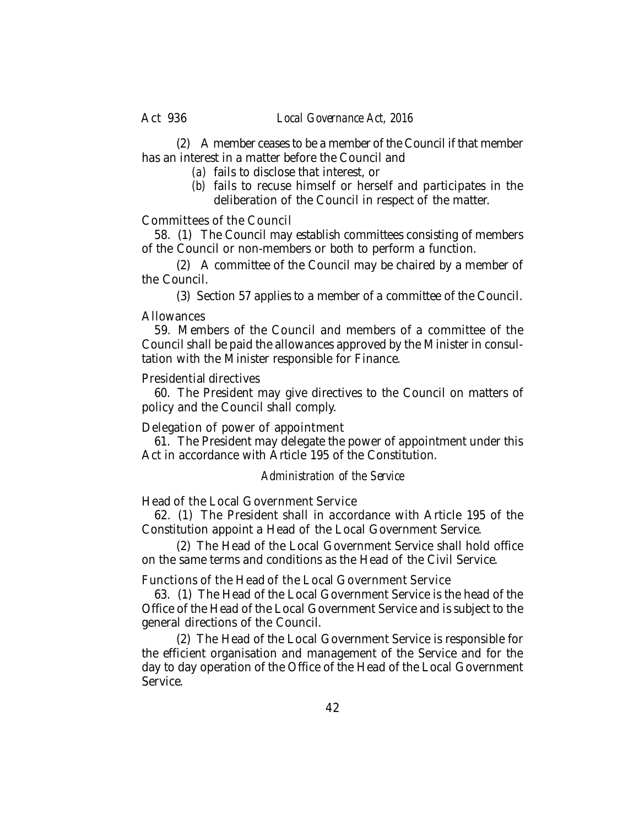(2) A member ceases to be a member of the Council if that member has an interest in a matter before the Council and

- *(a)* fails to disclose that interest, or
- *(b)* fails to recuse himself or herself and participates in the deliberation of the Council in respect of the matter.

## Committees of the Council

58. (1) The Council may establish committees consisting of members of the Council or non-members or both to perform a function.

(2) A committee of the Council may be chaired by a member of the Council.

(3) Section 57 applies to a member of a committee of the Council.

## **Allowances**

59. Members of the Council and members of a committee of the Council shall be paid the allowances approved by the Minister in consultation with the Minister responsible for Finance.

## Presidential directives

60. The President may give directives to the Council on matters of policy and the Council shall comply.

Delegation of power of appointment

61. The President may delegate the power of appointment under this Act in accordance with Article 195 of the Constitution.

## *Administration of the Service*

Head of the Local Government Service

62. (1) The President shall in accordance with Article 195 of the Constitution appoint a Head of the Local Government Service.

(2) The Head of the Local Government Service shall hold office on the same terms and conditions as the Head of the Civil Service.

Functions of the Head of the Local Government Service

63. (1) The Head of the Local Government Service is the head of the Office of the Head of the Local Government Service and is subject to the general directions of the Council.

(2) The Head of the Local Government Service is responsible for the efficient organisation and management of the Service and for the day to day operation of the Office of the Head of the Local Government Service.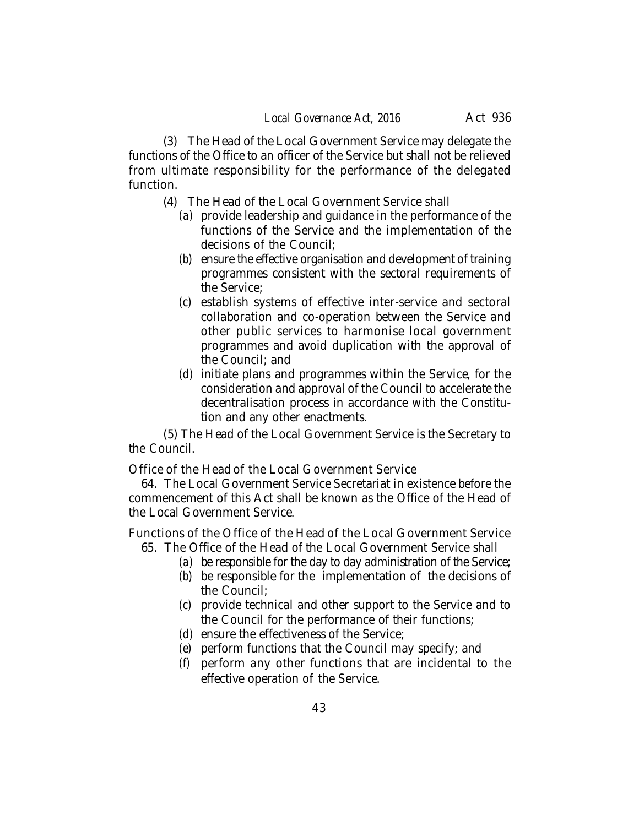(3) The Head of the Local Government Service may delegate the functions of the Office to an officer of the Service but shall not be relieved from ultimate responsibility for the performance of the delegated function.

- (4) The Head of the Local Government Service shall
	- *(a)* provide leadership and guidance in the performance of the functions of the Service and the implementation of the decisions of the Council;
	- *(b)* ensure the effective organisation and development of training programmes consistent with the sectoral requirements of the Service;
	- *(c)* establish systems of effective inter-service and sectoral collaboration and co-operation between the Service and other public services to harmonise local government programmes and avoid duplication with the approval of the Council; and
	- *(d)* initiate plans and programmes within the Service, for the consideration and approval of the Council to accelerate the decentralisation process in accordance with the Constitution and any other enactments.

(5) The Head of the Local Government Service is the Secretary to the Council.

Office of the Head of the Local Government Service

64. The Local Government Service Secretariat in existence before the commencement of this Act shall be known as the Office of the Head of the Local Government Service.

Functions of the Office of the Head of the Local Government Service 65. The Office of the Head of the Local Government Service shall

- *(a)* be responsible for the day to day administration of the Service;
	- *(b)* be responsible for the implementation of the decisions of the Council;
	- *(c)* provide technical and other support to the Service and to the Council for the performance of their functions;
	- *(d)* ensure the effectiveness of the Service;
	- *(e)* perform functions that the Council may specify; and
	- *(f)* perform any other functions that are incidental to the effective operation of the Service.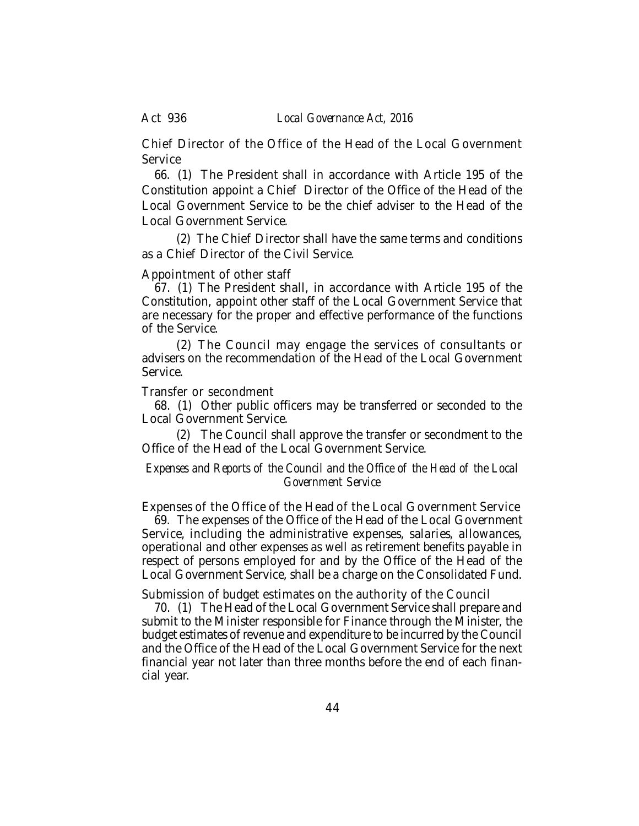Act 936 *Local Governance Act, 2016*

Chief Director of the Office of the Head of the Local Government Service

66. (1) The President shall in accordance with Article 195 of the Constitution appoint a Chief Director of the Office of the Head of the Local Government Service to be the chief adviser to the Head of the Local Government Service.

(2) The Chief Director shall have the same terms and conditions as a Chief Director of the Civil Service.

#### Appointment of other staff

67. (1) The President shall, in accordance with Article 195 of the Constitution, appoint other staff of the Local Government Service that are necessary for the proper and effective performance of the functions of the Service.

(2) The Council may engage the services of consultants or advisers on the recommendation of the Head of the Local Government Service.

#### Transfer or secondment

68. (1) Other public officers may be transferred or seconded to the Local Government Service.

(2) The Council shall approve the transfer or secondment to the Office of the Head of the Local Government Service.

## *Expenses and Reports of the Council and the Office of the Head of the Local Government Service*

Expenses of the Office of the Head of the Local Government Service 69. The expenses of the Office of the Head of the Local Government Service, including the administrative expenses, salaries, allowances, operational and other expenses as well as retirement benefits payable in respect of persons employed for and by the Office of the Head of the Local Government Service, shall be a charge on the Consolidated Fund.

Submission of budget estimates on the authority of the Council

70. (1) The Head of the Local Government Service shall prepare and submit to the Minister responsible for Finance through the Minister, the budget estimates of revenue and expenditure to be incurred by the Council and the Office of the Head of the Local Government Service for the next financial year not later than three months before the end of each financial year.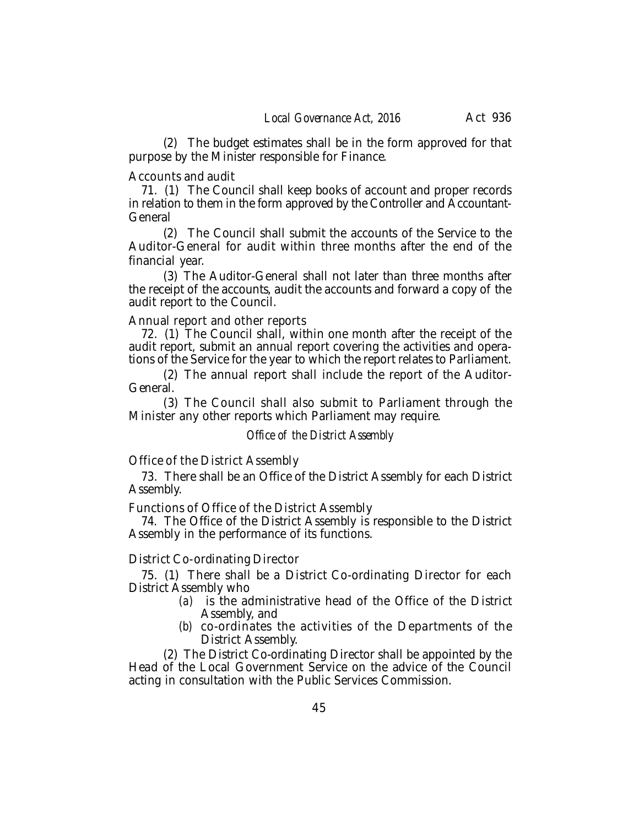(2) The budget estimates shall be in the form approved for that purpose by the Minister responsible for Finance.

#### Accounts and audit

71. (1) The Council shall keep books of account and proper records in relation to them in the form approved by the Controller and Accountant-General

(2) The Council shall submit the accounts of the Service to the Auditor-General for audit within three months after the end of the financial year.

(3) The Auditor-General shall not later than three months after the receipt of the accounts, audit the accounts and forward a copy of the audit report to the Council.

#### Annual report and other reports

72. (1) The Council shall, within one month after the receipt of the audit report, submit an annual report covering the activities and operations of the Service for the year to which the report relates to Parliament.

(2) The annual report shall include the report of the Auditor-General.

(3) The Council shall also submit to Parliament through the Minister any other reports which Parliament may require.

## *Office of the District Assembly*

Office of the District Assembly

73. There shall be an Office of the District Assembly for each District Assembly.

Functions of Office of the District Assembly

74. The Office of the District Assembly is responsible to the District Assembly in the performance of its functions.

#### District Co-ordinating Director

75. (1) There shall be a District Co-ordinating Director for each District Assembly who

- *(a)* is the administrative head of the Office of the District Assembly, and
- *(b)* co-ordinates the activities of the Departments of the District Assembly.

(2) The District Co-ordinating Director shall be appointed by the Head of the Local Government Service on the advice of the Council acting in consultation with the Public Services Commission.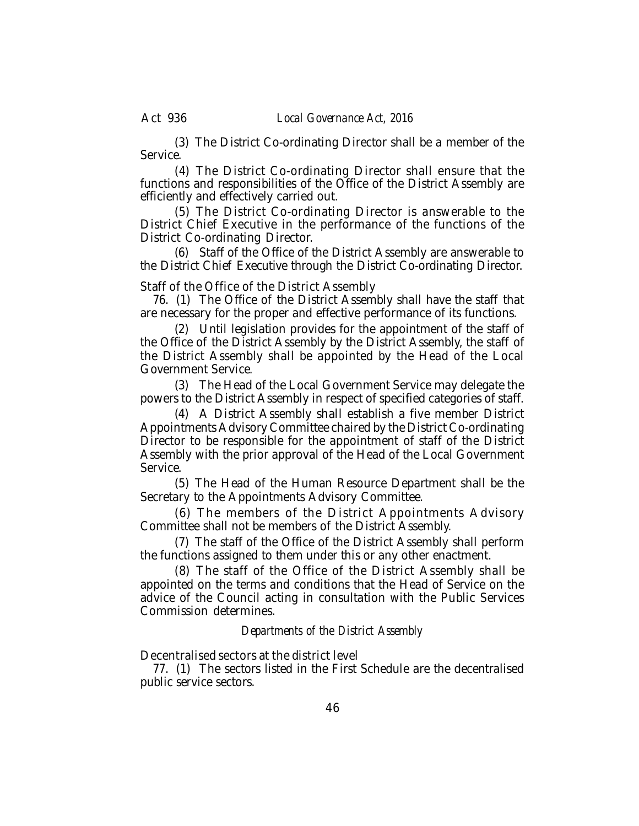(3) The District Co-ordinating Director shall be a member of the Service.

(4) The District Co-ordinating Director shall ensure that the functions and responsibilities of the Office of the District Assembly are efficiently and effectively carried out.

(5) The District Co-ordinating Director is answerable to the District Chief Executive in the performance of the functions of the District Co-ordinating Director.

(6) Staff of the Office of the District Assembly are answerable to the District Chief Executive through the District Co-ordinating Director.

Staff of the Office of the District Assembly

76. (1) The Office of the District Assembly shall have the staff that are necessary for the proper and effective performance of its functions.

(2) Until legislation provides for the appointment of the staff of the Office of the District Assembly by the District Assembly, the staff of the District Assembly shall be appointed by the Head of the Local Government Service.

(3) The Head of the Local Government Service may delegate the powers to the District Assembly in respect of specified categories of staff.

(4) A District Assembly shall establish a five member District Appointments Advisory Committee chaired by the District Co-ordinating Director to be responsible for the appointment of staff of the District Assembly with the prior approval of the Head of the Local Government Service.

(5) The Head of the Human Resource Department shall be the Secretary to the Appointments Advisory Committee.

(6) The members of the District Appointments Advisory Committee shall not be members of the District Assembly.

(7) The staff of the Office of the District Assembly shall perform the functions assigned to them under this or any other enactment.

(8) The staff of the Office of the District Assembly shall be appointed on the terms and conditions that the Head of Service on the advice of the Council acting in consultation with the Public Services Commission determines.

#### *Departments of the District Assembly*

Decentralised sectors at the district level

77. (1) The sectors listed in the First Schedule are the decentralised public service sectors.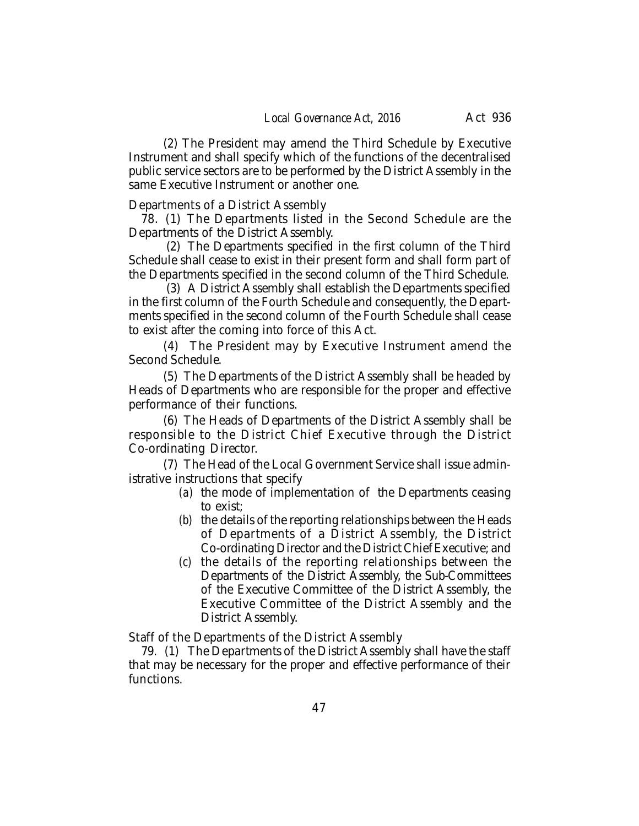(2) The President may amend the Third Schedule by Executive Instrument and shall specify which of the functions of the decentralised public service sectors are to be performed by the District Assembly in the same Executive Instrument or another one.

Departments of a District Assembly

78. (1) The Departments listed in the Second Schedule are the Departments of the District Assembly.

(2) The Departments specified in the first column of the Third Schedule shall cease to exist in their present form and shall form part of the Departments specified in the second column of the Third Schedule.

(3) A District Assembly shall establish the Departments specified in the first column of the Fourth Schedule and consequently, the Departments specified in the second column of the Fourth Schedule shall cease to exist after the coming into force of this Act.

(4) The President may by Executive Instrument amend the Second Schedule.

(5) The Departments of the District Assembly shall be headed by Heads of Departments who are responsible for the proper and effective performance of their functions.

(6) The Heads of Departments of the District Assembly shall be responsible to the District Chief Executive through the District Co-ordinating Director.

(7) The Head of the Local Government Service shall issue administrative instructions that specify

- *(a)* the mode of implementation of the Departments ceasing to exist;
- *(b)* the details of the reporting relationships between the Heads of Departments of a District Assembly, the District Co-ordinating Director and the District Chief Executive; and
- *(c)* the details of the reporting relationships between the Departments of the District Assembly, the Sub-Committees of the Executive Committee of the District Assembly, the Executive Committee of the District Assembly and the District Assembly.

Staff of the Departments of the District Assembly

79. (1) The Departments of the District Assembly shall have the staff that may be necessary for the proper and effective performance of their functions.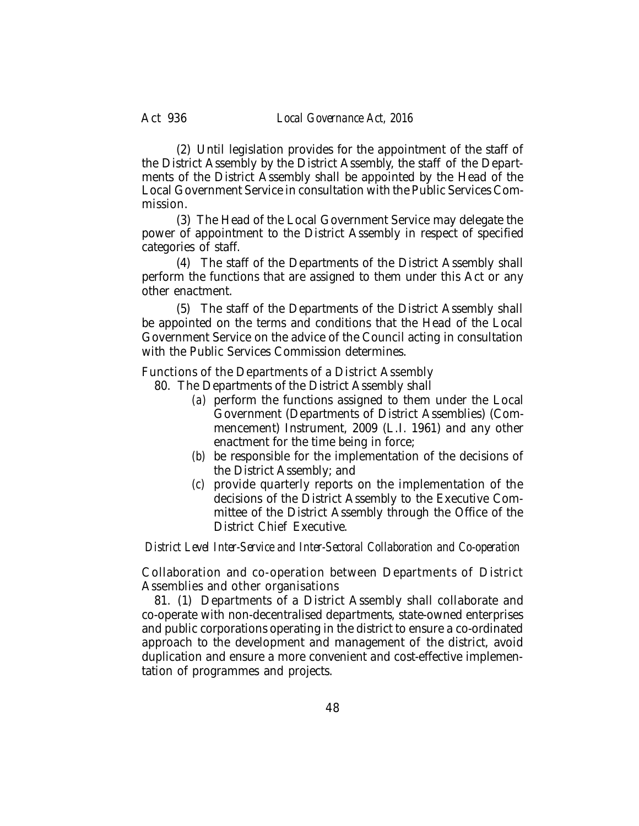(2) Until legislation provides for the appointment of the staff of the District Assembly by the District Assembly, the staff of the Departments of the District Assembly shall be appointed by the Head of the Local Government Service in consultation with the Public Services Commission.

(3) The Head of the Local Government Service may delegate the power of appointment to the District Assembly in respect of specified categories of staff.

(4) The staff of the Departments of the District Assembly shall perform the functions that are assigned to them under this Act or any other enactment.

(5) The staff of the Departments of the District Assembly shall be appointed on the terms and conditions that the Head of the Local Government Service on the advice of the Council acting in consultation with the Public Services Commission determines.

Functions of the Departments of a District Assembly

- 80. The Departments of the District Assembly shall
	- *(a)* perform the functions assigned to them under the Local Government (Departments of District Assemblies) (Commencement) Instrument, 2009 (L.I. 1961) and any other enactment for the time being in force;
	- *(b)* be responsible for the implementation of the decisions of the District Assembly; and
	- *(c)* provide quarterly reports on the implementation of the decisions of the District Assembly to the Executive Committee of the District Assembly through the Office of the District Chief Executive.

*District Level Inter-Service and Inter-Sectoral Collaboration and Co-operation*

Collaboration and co-operation between Departments of District Assemblies and other organisations

81. (1) Departments of a District Assembly shall collaborate and co-operate with non-decentralised departments, state-owned enterprises and public corporations operating in the district to ensure a co-ordinated approach to the development and management of the district, avoid duplication and ensure a more convenient and cost-effective implementation of programmes and projects.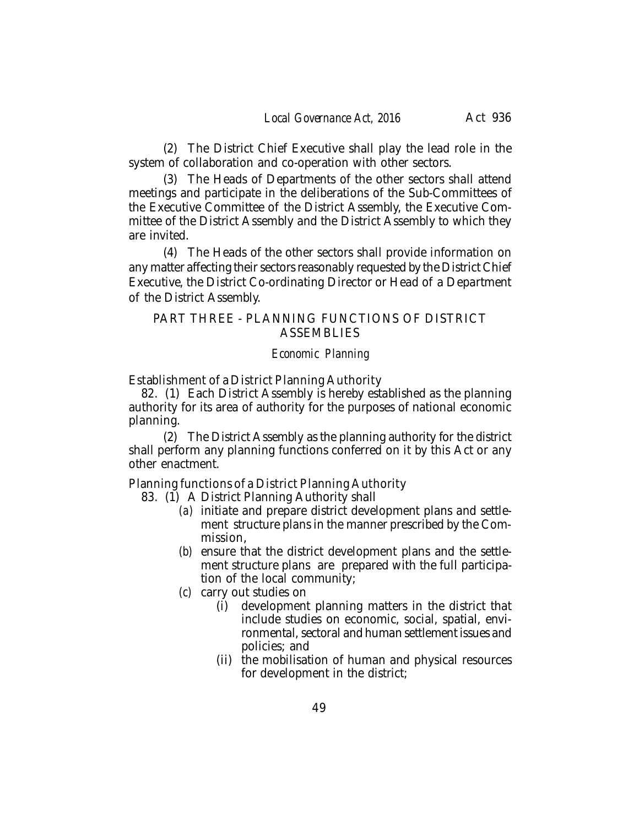(2) The District Chief Executive shall play the lead role in the system of collaboration and co-operation with other sectors.

(3) The Heads of Departments of the other sectors shall attend meetings and participate in the deliberations of the Sub-Committees of the Executive Committee of the District Assembly, the Executive Committee of the District Assembly and the District Assembly to which they are invited.

(4) The Heads of the other sectors shall provide information on any matter affecting their sectors reasonably requested by the District Chief Executive, the District Co-ordinating Director or Head of a Department of the District Assembly.

# PART THREE - PLANNING FUNCTIONS OF DISTRICT **ASSEMBLIES**

## *Economic Planning*

Establishment of a District Planning Authority

82. (1) Each District Assembly is hereby established as the planning authority for its area of authority for the purposes of national economic planning.

(2) The District Assembly as the planning authority for the district shall perform any planning functions conferred on it by this Act or any other enactment.

Planning functions of a District Planning Authority

83. (1) A District Planning Authority shall

- *(a)* initiate and prepare district development plans and settlement structure plans in the manner prescribed by the Commission,
- *(b)* ensure that the district development plans and the settlement structure plans are prepared with the full participation of the local community;
- *(c)* carry out studies on
	- (i) development planning matters in the district that include studies on economic, social, spatial, environmental, sectoral and human settlement issues and policies; and
	- (ii) the mobilisation of human and physical resources for development in the district;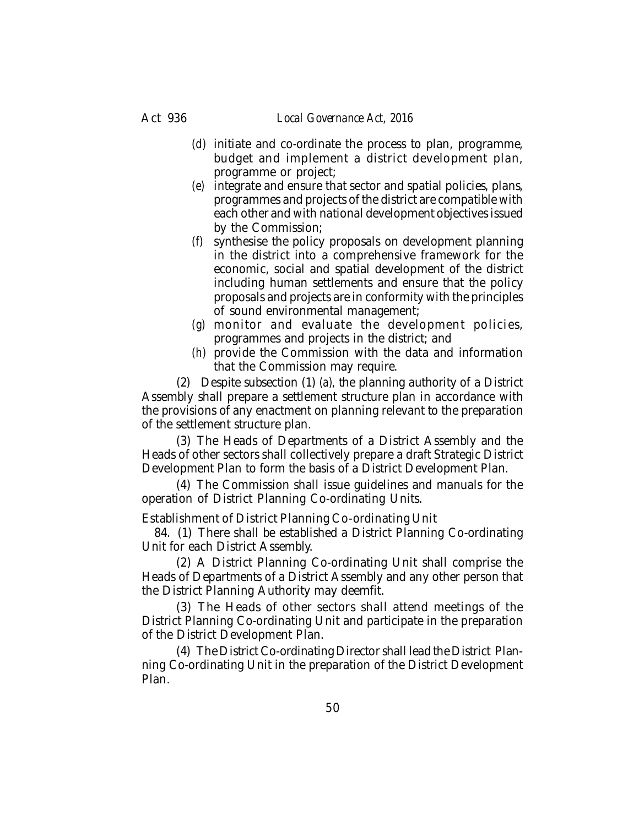- *(d)* initiate and co-ordinate the process to plan, programme, budget and implement a district development plan, programme or project;
- *(e)* integrate and ensure that sector and spatial policies, plans, programmes and projects of the district are compatible with each other and with national development objectives issued by the Commission;
- *(f)* synthesise the policy proposals on development planning in the district into a comprehensive framework for the economic, social and spatial development of the district including human settlements and ensure that the policy proposals and projects are in conformity with the principles of sound environmental management;
- *(g)* monitor and evaluate the development policies, programmes and projects in the district; and
- *(h)* provide the Commission with the data and information that the Commission may require.

(2) Despite subsection (1) *(a)*, the planning authority of a District Assembly shall prepare a settlement structure plan in accordance with the provisions of any enactment on planning relevant to the preparation of the settlement structure plan.

(3) The Heads of Departments of a District Assembly and the Heads of other sectors shall collectively prepare a draft Strategic District Development Plan to form the basis of a District Development Plan.

(4) The Commission shall issue guidelines and manuals for the operation of District Planning Co-ordinating Units.

Establishment of District Planning Co-ordinating Unit

84. (1) There shall be established a District Planning Co-ordinating Unit for each District Assembly.

(2) A District Planning Co-ordinating Unit shall comprise the Heads of Departments of a District Assembly and any other person that the District Planning Authority may deemfit.

(3) The Heads of other sectors shall attend meetings of the District Planning Co-ordinating Unit and participate in the preparation of the District Development Plan.

(4) The District Co-ordinating Director shall lead the District Planning Co-ordinating Unit in the preparation of the District Development Plan.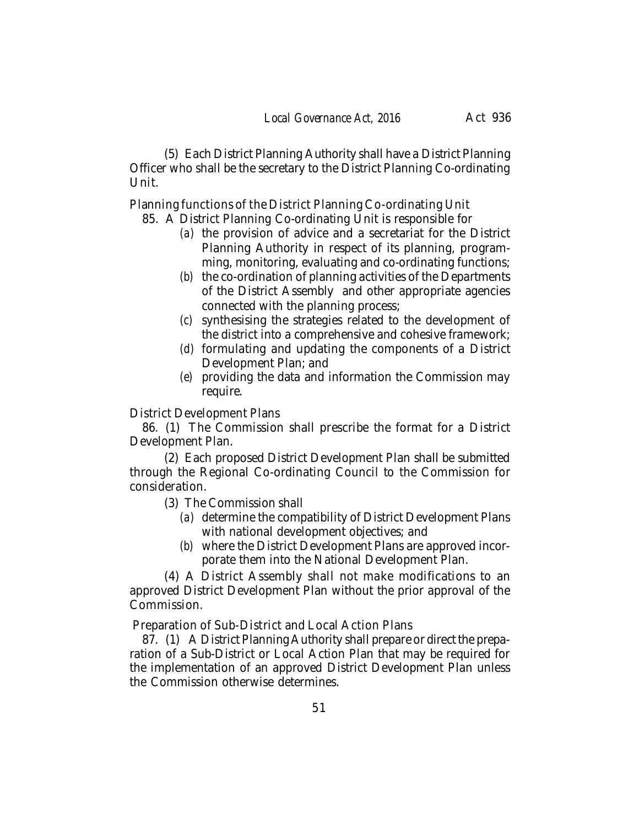(5) Each District Planning Authority shall have a District Planning Officer who shall be the secretary to the District Planning Co-ordinating Unit.

Planning functions of the District Planning Co-ordinating Unit

- 85. A District Planning Co-ordinating Unit is responsible for
	- *(a)* the provision of advice and a secretariat for the District Planning Authority in respect of its planning, programming, monitoring, evaluating and co-ordinating functions;
	- *(b)* the co-ordination of planning activities of the Departments of the District Assembly and other appropriate agencies connected with the planning process;
	- *(c)* synthesising the strategies related to the development of the district into a comprehensive and cohesive framework;
	- *(d)* formulating and updating the components of a District Development Plan; and
	- *(e)* providing the data and information the Commission may require.

District Development Plans

86. (1) The Commission shall prescribe the format for a District Development Plan.

(2) Each proposed District Development Plan shall be submitted through the Regional Co-ordinating Council to the Commission for consideration.

- (3) The Commission shall
	- *(a)* determine the compatibility of District Development Plans with national development objectives; and
	- *(b)* where the District Development Plans are approved incorporate them into the National Development Plan.

(4) A District Assembly shall not make modifications to an approved District Development Plan without the prior approval of the Commission.

Preparation of Sub-District and Local Action Plans

87. (1) A District Planning Authority shall prepare or direct the preparation of a Sub-District or Local Action Plan that may be required for the implementation of an approved District Development Plan unless the Commission otherwise determines.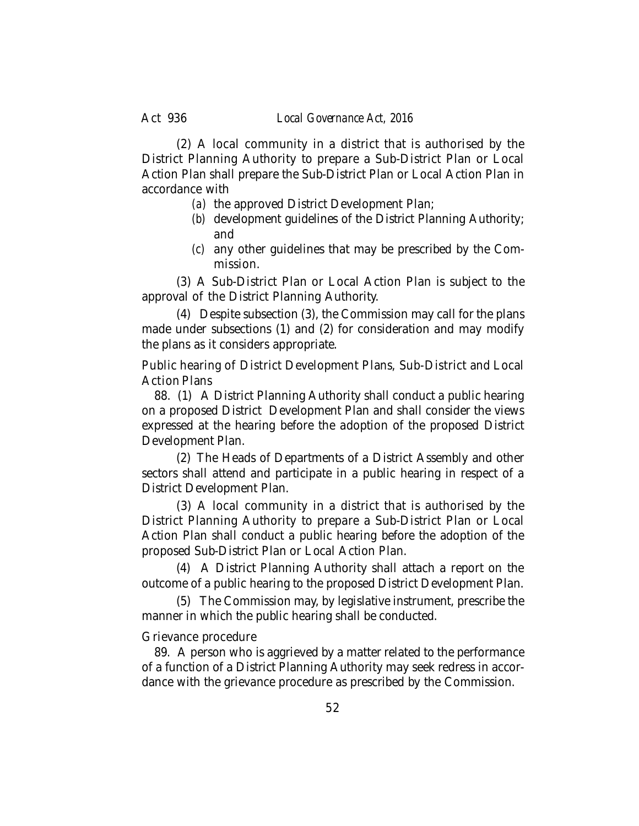(2) A local community in a district that is authorised by the District Planning Authority to prepare a Sub-District Plan or Local Action Plan shall prepare the Sub-District Plan or Local Action Plan in accordance with

- *(a)* the approved District Development Plan;
- *(b)* development guidelines of the District Planning Authority; and
- *(c)* any other guidelines that may be prescribed by the Commission.

(3) A Sub-District Plan or Local Action Plan is subject to the approval of the District Planning Authority.

(4) Despite subsection (3), the Commission may call for the plans made under subsections (1) and (2) for consideration and may modify the plans as it considers appropriate.

Public hearing of District Development Plans, Sub-District and Local Action Plans

88. (1) A District Planning Authority shall conduct a public hearing on a proposed District Development Plan and shall consider the views expressed at the hearing before the adoption of the proposed District Development Plan.

(2) The Heads of Departments of a District Assembly and other sectors shall attend and participate in a public hearing in respect of a District Development Plan.

(3) A local community in a district that is authorised by the District Planning Authority to prepare a Sub-District Plan or Local Action Plan shall conduct a public hearing before the adoption of the proposed Sub-District Plan or Local Action Plan.

(4) A District Planning Authority shall attach a report on the outcome of a public hearing to the proposed District Development Plan.

(5) The Commission may, by legislative instrument, prescribe the manner in which the public hearing shall be conducted.

#### Grievance procedure

89. A person who is aggrieved by a matter related to the performance of a function of a District Planning Authority may seek redress in accordance with the grievance procedure as prescribed by the Commission.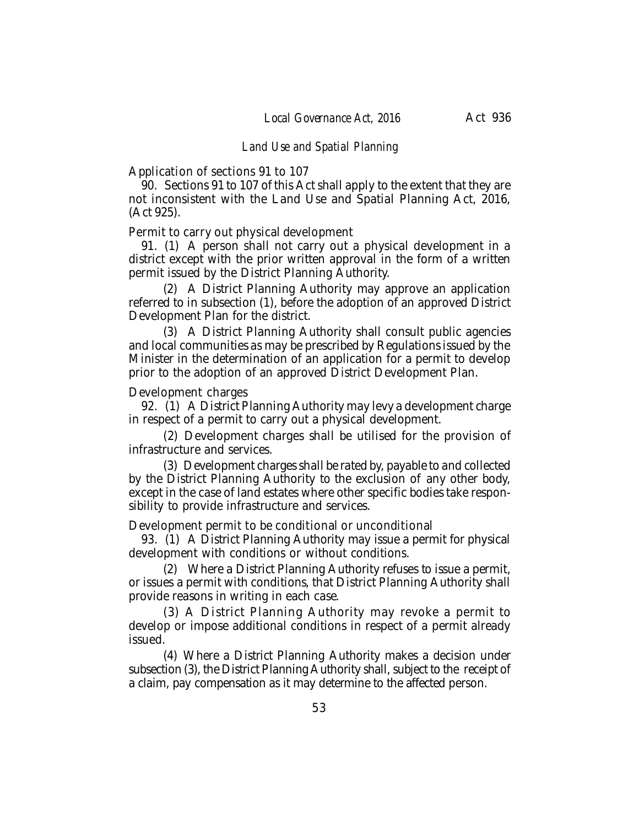#### *Land Use and Spatial Planning*

Application of sections 91 to 107

90. Sections 91 to 107 of this Act shall apply to the extent that they are not inconsistent with the Land Use and Spatial Planning Act, 2016, (Act 925).

Permit to carry out physical development

91. (1) A person shall not carry out a physical development in a district except with the prior written approval in the form of a written permit issued by the District Planning Authority.

(2) A District Planning Authority may approve an application referred to in subsection (1), before the adoption of an approved District Development Plan for the district.

(3) A District Planning Authority shall consult public agencies and local communities as may be prescribed by Regulations issued by the Minister in the determination of an application for a permit to develop prior to the adoption of an approved District Development Plan.

Development charges

92. (1) A District Planning Authority may levy a development charge in respect of a permit to carry out a physical development.

(2) Development charges shall be utilised for the provision of infrastructure and services.

(3) Development charges shall be rated by, payable to and collected by the District Planning Authority to the exclusion of any other body, except in the case of land estates where other specific bodies take responsibility to provide infrastructure and services.

Development permit to be conditional or unconditional

93. (1) A District Planning Authority may issue a permit for physical development with conditions or without conditions.

(2) Where a District Planning Authority refuses to issue a permit, or issues a permit with conditions, that District Planning Authority shall provide reasons in writing in each case.

(3) A District Planning Authority may revoke a permit to develop or impose additional conditions in respect of a permit already issued.

(4) Where a District Planning Authority makes a decision under subsection (3), the District Planning Authority shall, subject to the receipt of a claim, pay compensation as it may determine to the affected person.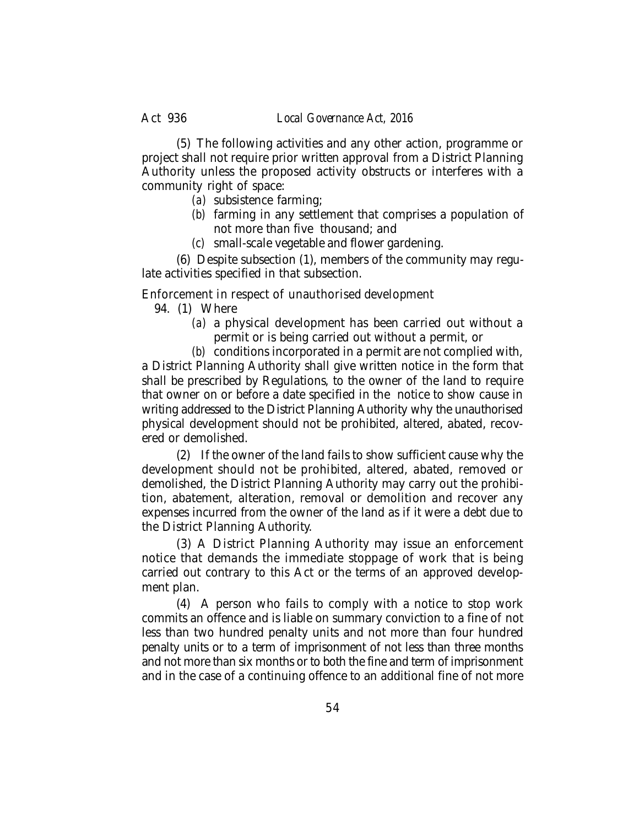(5) The following activities and any other action, programme or project shall not require prior written approval from a District Planning Authority unless the proposed activity obstructs or interferes with a community right of space:

- *(a)* subsistence farming;
- *(b)* farming in any settlement that comprises a population of not more than five thousand; and
- *(c)* small-scale vegetable and flower gardening.

(6) Despite subsection (1), members of the community may regulate activities specified in that subsection.

Enforcement in respect of unauthorised development

- 94. (1) Where
	- *(a)* a physical development has been carried out without a permit or is being carried out without a permit, or

*(b)* conditions incorporated in a permit are not complied with, a District Planning Authority shall give written notice in the form that shall be prescribed by Regulations, to the owner of the land to require that owner on or before a date specified in the notice to show cause in writing addressed to the District Planning Authority why the unauthorised physical development should not be prohibited, altered, abated, recovered or demolished.

(2) If the owner of the land fails to show sufficient cause why the development should not be prohibited, altered, abated, removed or demolished, the District Planning Authority may carry out the prohibition, abatement, alteration, removal or demolition and recover any expenses incurred from the owner of the land as if it were a debt due to the District Planning Authority.

(3) A District Planning Authority may issue an enforcement notice that demands the immediate stoppage of work that is being carried out contrary to this Act or the terms of an approved development plan.

(4) A person who fails to comply with a notice to stop work commits an offence and is liable on summary conviction to a fine of not less than two hundred penalty units and not more than four hundred penalty units or to a term of imprisonment of not less than three months and not more than six months or to both the fine and term of imprisonment and in the case of a continuing offence to an additional fine of not more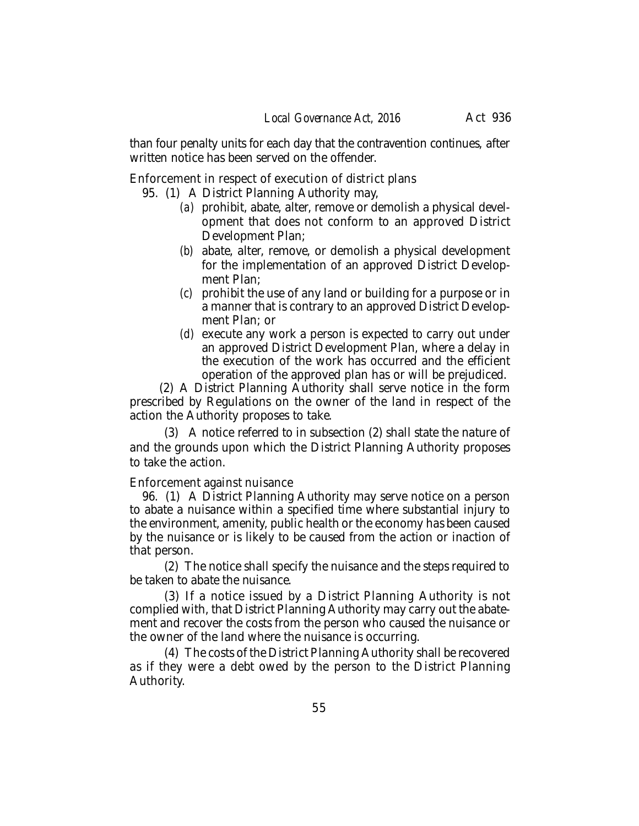than four penalty units for each day that the contravention continues, after written notice has been served on the offender.

Enforcement in respect of execution of district plans

95. (1) A District Planning Authority may,

- *(a)* prohibit, abate, alter, remove or demolish a physical development that does not conform to an approved District Development Plan;
- *(b)* abate, alter, remove, or demolish a physical development for the implementation of an approved District Development Plan;
- *(c)* prohibit the use of any land or building for a purpose or in a manner that is contrary to an approved District Development Plan; or
- *(d)* execute any work a person is expected to carry out under an approved District Development Plan, where a delay in the execution of the work has occurred and the efficient operation of the approved plan has or will be prejudiced.

(2) A District Planning Authority shall serve notice in the form prescribed by Regulations on the owner of the land in respect of the action the Authority proposes to take.

(3) A notice referred to in subsection (2) shall state the nature of and the grounds upon which the District Planning Authority proposes to take the action.

Enforcement against nuisance

96. (1) A District Planning Authority may serve notice on a person to abate a nuisance within a specified time where substantial injury to the environment, amenity, public health or the economy has been caused by the nuisance or is likely to be caused from the action or inaction of that person.

(2) The notice shall specify the nuisance and the steps required to be taken to abate the nuisance.

(3) If a notice issued by a District Planning Authority is not complied with, that District Planning Authority may carry out the abatement and recover the costs from the person who caused the nuisance or the owner of the land where the nuisance is occurring.

(4) The costs of the District Planning Authority shall be recovered as if they were a debt owed by the person to the District Planning Authority.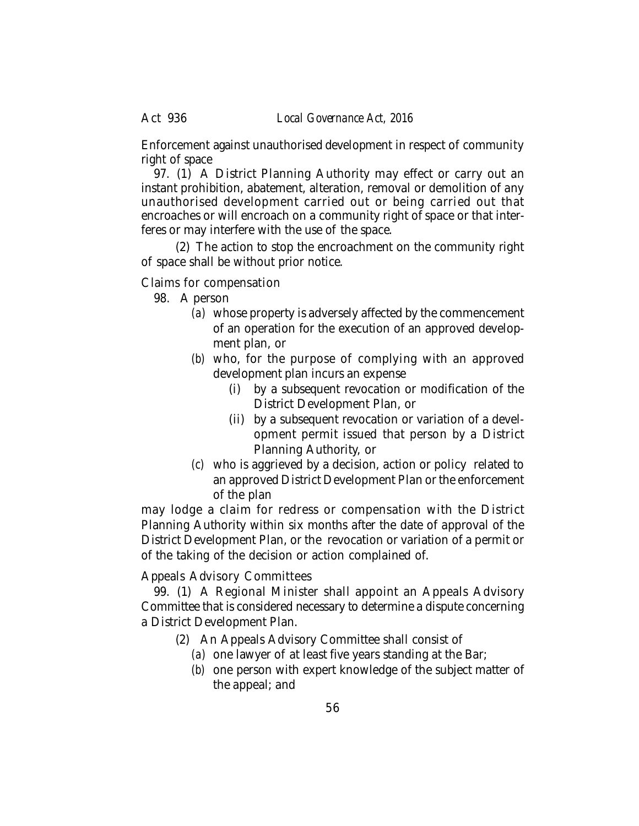Enforcement against unauthorised development in respect of community right of space

97. (1) A District Planning Authority may effect or carry out an instant prohibition, abatement, alteration, removal or demolition of any unauthorised development carried out or being carried out that encroaches or will encroach on a community right of space or that interferes or may interfere with the use of the space.

(2) The action to stop the encroachment on the community right of space shall be without prior notice.

## Claims for compensation

- 98. A person
	- *(a)* whose property is adversely affected by the commencement of an operation for the execution of an approved development plan, or
	- *(b)* who, for the purpose of complying with an approved development plan incurs an expense
		- (i) by a subsequent revocation or modification of the District Development Plan, or
		- (ii) by a subsequent revocation or variation of a development permit issued that person by a District Planning Authority, or
	- *(c)* who is aggrieved by a decision, action or policy related to an approved District Development Plan or the enforcement of the plan

may lodge a claim for redress or compensation with the District Planning Authority within six months after the date of approval of the District Development Plan, or the revocation or variation of a permit or of the taking of the decision or action complained of.

## Appeals Advisory Committees

99. (1) A Regional Minister shall appoint an Appeals Advisory Committee that is considered necessary to determine a dispute concerning a District Development Plan.

- (2) An Appeals Advisory Committee shall consist of
	- *(a)* one lawyer of at least five years standing at the Bar;
	- *(b)* one person with expert knowledge of the subject matter of the appeal; and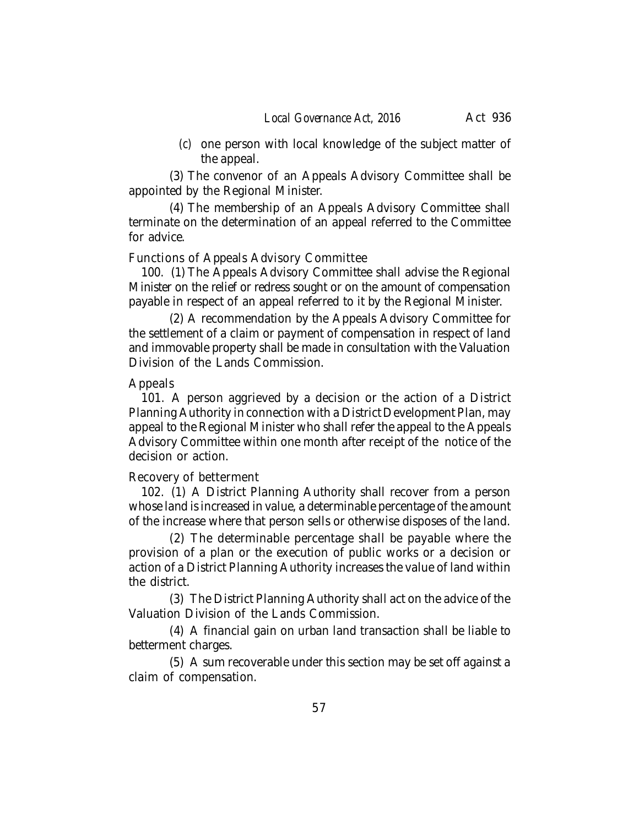*(c)* one person with local knowledge of the subject matter of the appeal.

(3) The convenor of an Appeals Advisory Committee shall be appointed by the Regional Minister.

(4) The membership of an Appeals Advisory Committee shall terminate on the determination of an appeal referred to the Committee for advice.

## Functions of Appeals Advisory Committee

100. (1) The Appeals Advisory Committee shall advise the Regional Minister on the relief or redress sought or on the amount of compensation payable in respect of an appeal referred to it by the Regional Minister.

(2) A recommendation by the Appeals Advisory Committee for the settlement of a claim or payment of compensation in respect of land and immovable property shall be made in consultation with the Valuation Division of the Lands Commission.

## Appeals

101. A person aggrieved by a decision or the action of a District Planning Authority in connection with a District Development Plan, may appeal to the Regional Minister who shall refer the appeal to the Appeals Advisory Committee within one month after receipt of the notice of the decision or action.

#### Recovery of betterment

102. (1) A District Planning Authority shall recover from a person whose land is increased in value, a determinable percentage of the amount of the increase where that person sells or otherwise disposes of the land.

(2) The determinable percentage shall be payable where the provision of a plan or the execution of public works or a decision or action of a District Planning Authority increases the value of land within the district.

(3) The District Planning Authority shall act on the advice of the Valuation Division of the Lands Commission.

(4) A financial gain on urban land transaction shall be liable to betterment charges.

(5) A sum recoverable under this section may be set off against a claim of compensation.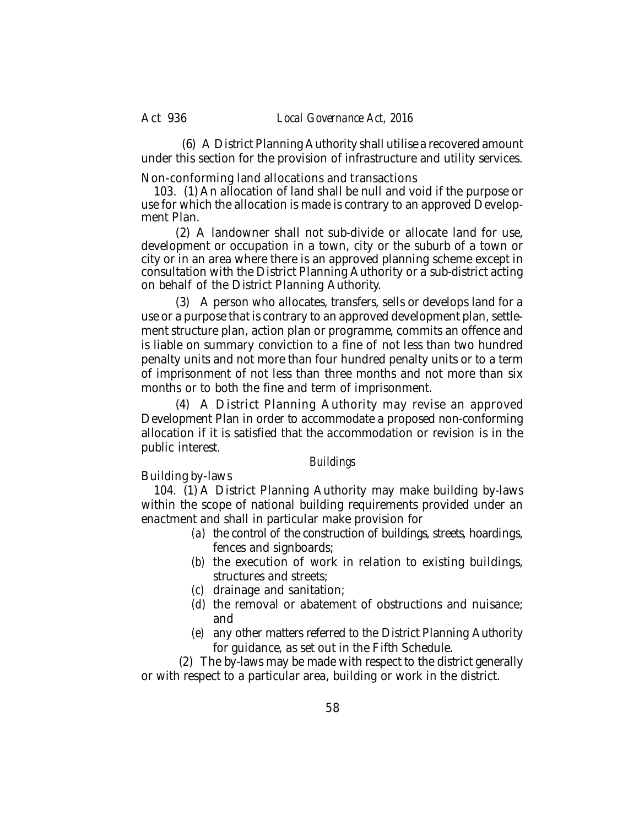(6) A District Planning Authority shall utilise a recovered amount under this section for the provision of infrastructure and utility services.

Non-conforming land allocations and transactions

103. (1) An allocation of land shall be null and void if the purpose or use for which the allocation is made is contrary to an approved Development Plan.

(2) A landowner shall not sub-divide or allocate land for use, development or occupation in a town, city or the suburb of a town or city or in an area where there is an approved planning scheme except in consultation with the District Planning Authority or a sub-district acting on behalf of the District Planning Authority.

(3) A person who allocates, transfers, sells or develops land for a use or a purpose that is contrary to an approved development plan, settlement structure plan, action plan or programme, commits an offence and is liable on summary conviction to a fine of not less than two hundred penalty units and not more than four hundred penalty units or to a term of imprisonment of not less than three months and not more than six months or to both the fine and term of imprisonment.

(4) A District Planning Authority may revise an approved Development Plan in order to accommodate a proposed non-conforming allocation if it is satisfied that the accommodation or revision is in the public interest.

## *Buildings*

Building by-laws

104. (1) A District Planning Authority may make building by-laws within the scope of national building requirements provided under an enactment and shall in particular make provision for

- *(a)* the control of the construction of buildings, streets, hoardings, fences and signboards;
- *(b)* the execution of work in relation to existing buildings, structures and streets;
- *(c)* drainage and sanitation;
- *(d)* the removal or abatement of obstructions and nuisance; and
- *(e)* any other matters referred to the District Planning Authority for guidance, as set out in the Fifth Schedule.

(2) The by-laws may be made with respect to the district generally or with respect to a particular area, building or work in the district.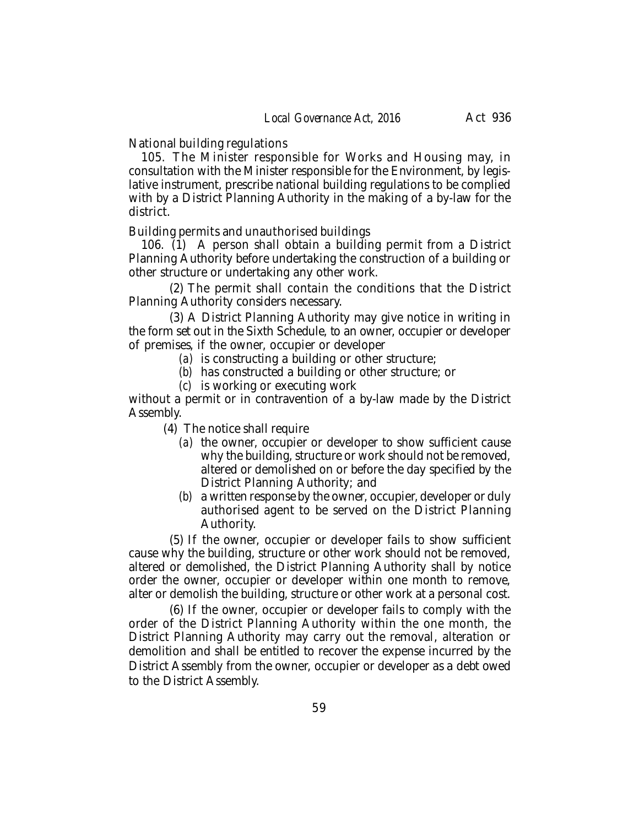National building regulations

105. The Minister responsible for Works and Housing may, in consultation with the Minister responsible for the Environment, by legislative instrument, prescribe national building regulations to be complied with by a District Planning Authority in the making of a by-law for the district.

Building permits and unauthorised buildings

106. (1) A person shall obtain a building permit from a District Planning Authority before undertaking the construction of a building or other structure or undertaking any other work.

(2) The permit shall contain the conditions that the District Planning Authority considers necessary.

(3) A District Planning Authority may give notice in writing in the form set out in the Sixth Schedule, to an owner, occupier or developer of premises, if the owner, occupier or developer

- *(a)* is constructing a building or other structure;
- *(b)* has constructed a building or other structure; or
- *(c)* is working or executing work

without a permit or in contravention of a by-law made by the District Assembly.

(4) The notice shall require

- *(a)* the owner, occupier or developer to show sufficient cause why the building, structure or work should not be removed, altered or demolished on or before the day specified by the District Planning Authority; and
- *(b)* a written response by the owner, occupier, developer or duly authorised agent to be served on the District Planning Authority.

(5) If the owner, occupier or developer fails to show sufficient cause why the building, structure or other work should not be removed, altered or demolished, the District Planning Authority shall by notice order the owner, occupier or developer within one month to remove, alter or demolish the building, structure or other work at a personal cost.

(6) If the owner, occupier or developer fails to comply with the order of the District Planning Authority within the one month, the District Planning Authority may carry out the removal, alteration or demolition and shall be entitled to recover the expense incurred by the District Assembly from the owner, occupier or developer as a debt owed to the District Assembly.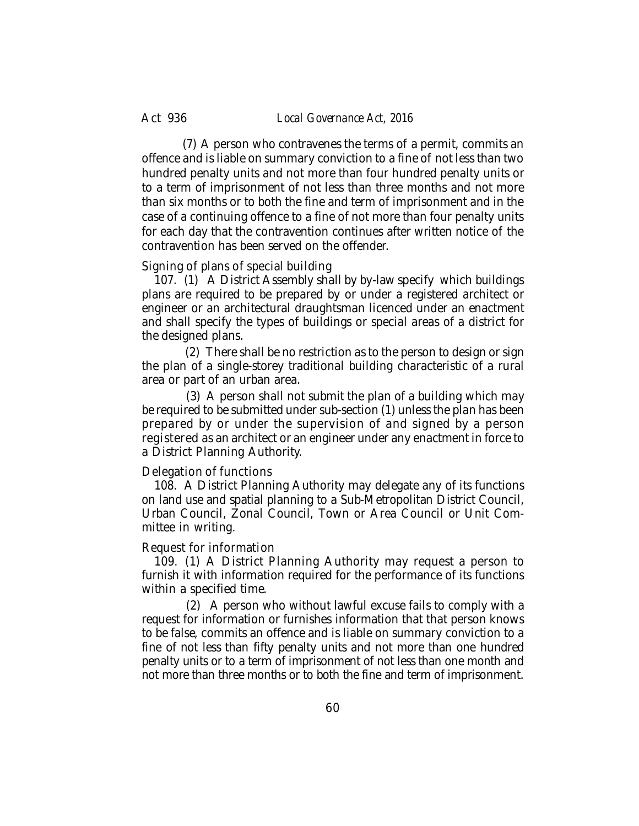#### Act 936 *Local Governance Act, 2016*

(7) A person who contravenes the terms of a permit, commits an offence and is liable on summary conviction to a fine of not less than two hundred penalty units and not more than four hundred penalty units or to a term of imprisonment of not less than three months and not more than six months or to both the fine and term of imprisonment and in the case of a continuing offence to a fine of not more than four penalty units for each day that the contravention continues after written notice of the contravention has been served on the offender.

#### Signing of plans of special building

107. (1) A District Assembly shall by by-law specify which buildings plans are required to be prepared by or under a registered architect or engineer or an architectural draughtsman licenced under an enactment and shall specify the types of buildings or special areas of a district for the designed plans.

 (2) There shall be no restriction as to the person to design or sign the plan of a single-storey traditional building characteristic of a rural area or part of an urban area.

 (3) A person shall not submit the plan of a building which may be required to be submitted under sub-section (1) unless the plan has been prepared by or under the supervision of and signed by a person registered as an architect or an engineer under any enactment in force to a District Planning Authority.

#### Delegation of functions

108. A District Planning Authority may delegate any of its functions on land use and spatial planning to a Sub-Metropolitan District Council, Urban Council, Zonal Council, Town or Area Council or Unit Committee in writing.

#### Request for information

109. (1) A District Planning Authority may request a person to furnish it with information required for the performance of its functions within a specified time.

 (2) A person who without lawful excuse fails to comply with a request for information or furnishes information that that person knows to be false, commits an offence and is liable on summary conviction to a fine of not less than fifty penalty units and not more than one hundred penalty units or to a term of imprisonment of not less than one month and not more than three months or to both the fine and term of imprisonment.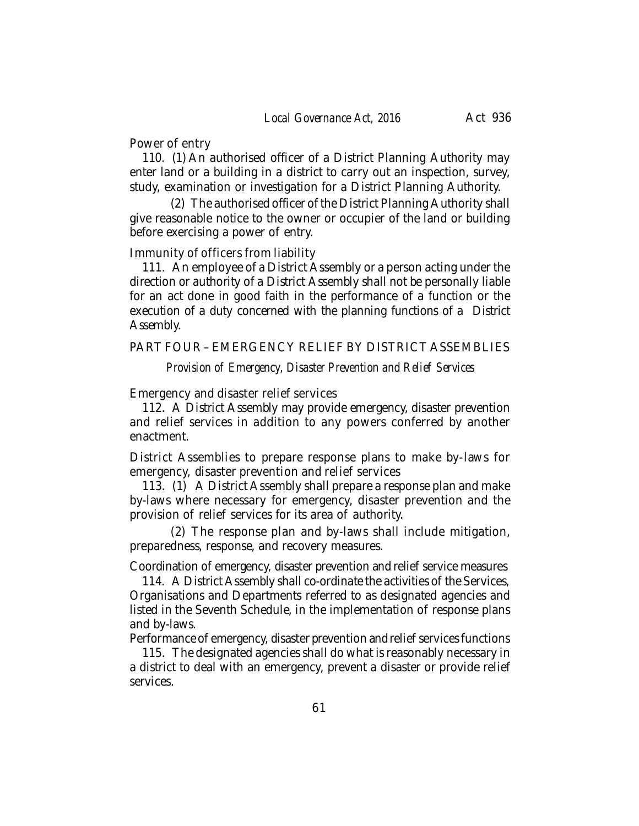#### Power of entry

110. (1) An authorised officer of a District Planning Authority may enter land or a building in a district to carry out an inspection, survey, study, examination or investigation for a District Planning Authority.

(2) The authorised officer of the District Planning Authority shall give reasonable notice to the owner or occupier of the land or building before exercising a power of entry.

#### Immunity of officers from liability

111. An employee of a District Assembly or a person acting under the direction or authority of a District Assembly shall not be personally liable for an act done in good faith in the performance of a function or the execution of a duty concerned with the planning functions of a District Assembly.

# PART FOUR – EMERGENCY RELIEF BY DISTRICT ASSEMBLIES

*Provision of Emergency, Disaster Prevention and Relief Services*

## Emergency and disaster relief services

112. A District Assembly may provide emergency, disaster prevention and relief services in addition to any powers conferred by another enactment.

District Assemblies to prepare response plans to make by-laws for emergency, disaster prevention and relief services

113. (1) A District Assembly shall prepare a response plan and make by-laws where necessary for emergency, disaster prevention and the provision of relief services for its area of authority.

(2) The response plan and by-laws shall include mitigation, preparedness, response, and recovery measures.

Coordination of emergency, disaster prevention and relief service measures

114. A District Assembly shall co-ordinate the activities of the Services, Organisations and Departments referred to as designated agencies and listed in the Seventh Schedule, in the implementation of response plans and by-laws.

Performance of emergency, disaster prevention and relief services functions

115. The designated agencies shall do what is reasonably necessary in a district to deal with an emergency, prevent a disaster or provide relief services.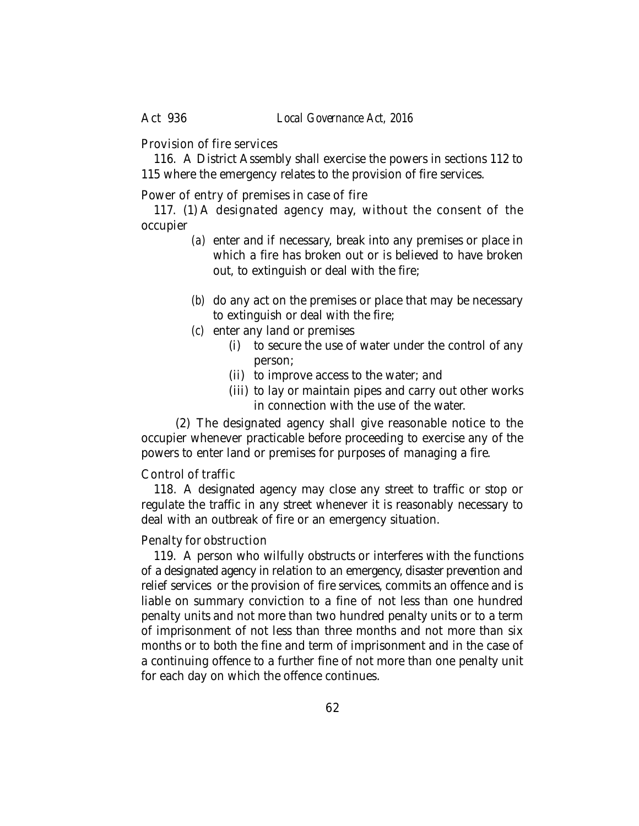Provision of fire services

116. A District Assembly shall exercise the powers in sections 112 to 115 where the emergency relates to the provision of fire services.

Power of entry of premises in case of fire

117. (1) A designated agency may, without the consent of the occupier

- *(a)* enter and if necessary, break into any premises or place in which a fire has broken out or is believed to have broken out, to extinguish or deal with the fire;
- *(b)* do any act on the premises or place that may be necessary to extinguish or deal with the fire;
- *(c)* enter any land or premises
	- (i) to secure the use of water under the control of any person;
	- (ii) to improve access to the water; and
	- (iii) to lay or maintain pipes and carry out other works in connection with the use of the water.

(2) The designated agency shall give reasonable notice to the occupier whenever practicable before proceeding to exercise any of the powers to enter land or premises for purposes of managing a fire.

#### Control of traffic

118. A designated agency may close any street to traffic or stop or regulate the traffic in any street whenever it is reasonably necessary to deal with an outbreak of fire or an emergency situation.

#### Penalty for obstruction

119. A person who wilfully obstructs or interferes with the functions of a designated agency in relation to an emergency, disaster prevention and relief services or the provision of fire services, commits an offence and is liable on summary conviction to a fine of not less than one hundred penalty units and not more than two hundred penalty units or to a term of imprisonment of not less than three months and not more than six months or to both the fine and term of imprisonment and in the case of a continuing offence to a further fine of not more than one penalty unit for each day on which the offence continues.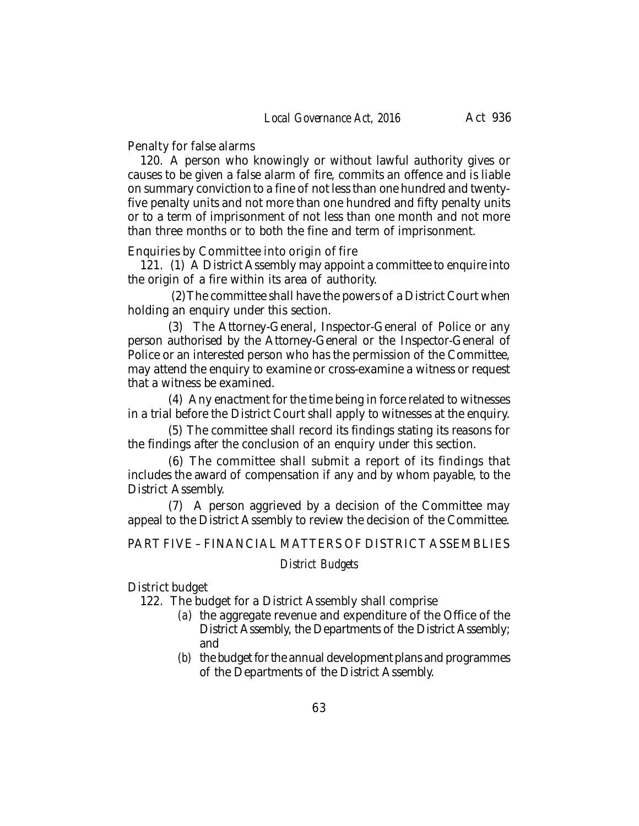Penalty for false alarms

120. A person who knowingly or without lawful authority gives or causes to be given a false alarm of fire, commits an offence and is liable on summary conviction to a fine of not less than one hundred and twentyfive penalty units and not more than one hundred and fifty penalty units or to a term of imprisonment of not less than one month and not more than three months or to both the fine and term of imprisonment.

Enquiries by Committee into origin of fire

121. (1) A District Assembly may appoint a committee to enquire into the origin of a fire within its area of authority.

 (2)The committee shall have the powers of a District Court when holding an enquiry under this section.

(3) The Attorney-General, Inspector-General of Police or any person authorised by the Attorney-General or the Inspector-General of Police or an interested person who has the permission of the Committee, may attend the enquiry to examine or cross-examine a witness or request that a witness be examined.

(4) Any enactment for the time being in force related to witnesses in a trial before the District Court shall apply to witnesses at the enquiry.

(5) The committee shall record its findings stating its reasons for the findings after the conclusion of an enquiry under this section.

(6) The committee shall submit a report of its findings that includes the award of compensation if any and by whom payable, to the District Assembly.

(7) A person aggrieved by a decision of the Committee may appeal to the District Assembly to review the decision of the Committee.

PART FIVE – FINANCIAL MATTERS OF DISTRICT ASSEMBLIES

#### *District Budgets*

District budget

122. The budget for a District Assembly shall comprise

- *(a)* the aggregate revenue and expenditure of the Office of the District Assembly, the Departments of the District Assembly; and
- *(b)* the budget for the annual development plans and programmes of the Departments of the District Assembly.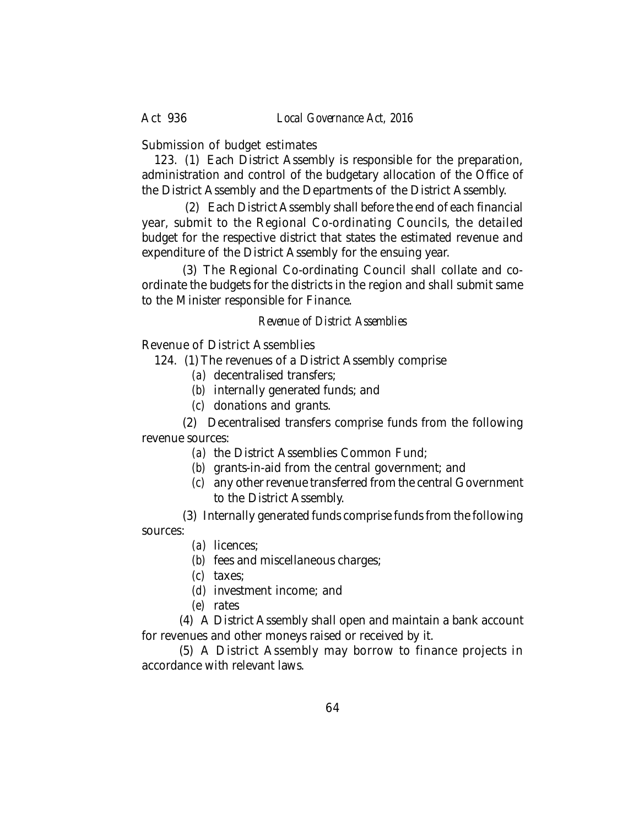Submission of budget estimates

123. (1) Each District Assembly is responsible for the preparation, administration and control of the budgetary allocation of the Office of the District Assembly and the Departments of the District Assembly.

 (2) Each District Assembly shall before the end of each financial year, submit to the Regional Co-ordinating Councils, the detailed budget for the respective district that states the estimated revenue and expenditure of the District Assembly for the ensuing year.

(3) The Regional Co-ordinating Council shall collate and coordinate the budgets for the districts in the region and shall submit same to the Minister responsible for Finance.

## *Revenue of District Assemblies*

Revenue of District Assemblies

124. (1) The revenues of a District Assembly comprise

- *(a)* decentralised transfers;
- *(b)* internally generated funds; and
- *(c)* donations and grants.

(2) Decentralised transfers comprise funds from the following revenue sources:

- *(a)* the District Assemblies Common Fund;
- *(b)* grants-in-aid from the central government; and
- *(c)* any other revenue transferred from the central Government to the District Assembly.

(3) Internally generated funds comprise funds from the following sources:

*(a)* licences;

*(b)* fees and miscellaneous charges;

- *(c)* taxes;
- *(d)* investment income; and
- *(e)* rates

(4) A District Assembly shall open and maintain a bank account for revenues and other moneys raised or received by it.

(5) A District Assembly may borrow to finance projects in accordance with relevant laws.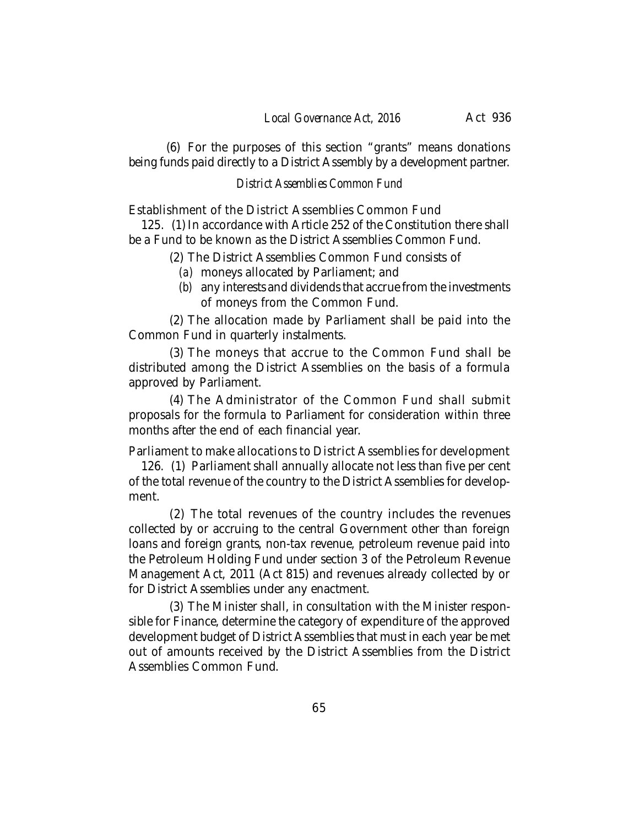(6) For the purposes of this section "grants" means donations being funds paid directly to a District Assembly by a development partner.

## *District Assemblies Common Fund*

Establishment of the District Assemblies Common Fund

125. (1) In accordance with Article 252 of the Constitution there shall be a Fund to be known as the District Assemblies Common Fund.

(2) The District Assemblies Common Fund consists of

- *(a)* moneys allocated by Parliament; and
- *(b)* any interests and dividends that accrue from the investments of moneys from the Common Fund.

(2) The allocation made by Parliament shall be paid into the Common Fund in quarterly instalments.

(3) The moneys that accrue to the Common Fund shall be distributed among the District Assemblies on the basis of a formula approved by Parliament.

(4) The Administrator of the Common Fund shall submit proposals for the formula to Parliament for consideration within three months after the end of each financial year.

Parliament to make allocations to District Assemblies for development

126. (1) Parliament shall annually allocate not less than five per cent of the total revenue of the country to the District Assemblies for development.

(2) The total revenues of the country includes the revenues collected by or accruing to the central Government other than foreign loans and foreign grants, non-tax revenue, petroleum revenue paid into the Petroleum Holding Fund under section 3 of the Petroleum Revenue Management Act, 2011 (Act 815) and revenues already collected by or for District Assemblies under any enactment.

(3) The Minister shall, in consultation with the Minister responsible for Finance, determine the category of expenditure of the approved development budget of District Assemblies that must in each year be met out of amounts received by the District Assemblies from the District Assemblies Common Fund.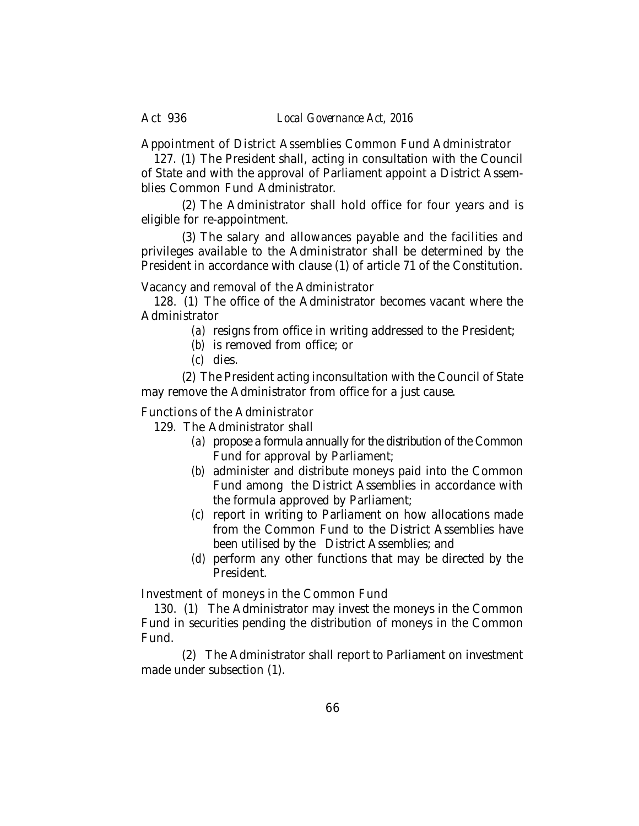Appointment of District Assemblies Common Fund Administrator

127. (1) The President shall, acting in consultation with the Council of State and with the approval of Parliament appoint a District Assemblies Common Fund Administrator.

(2) The Administrator shall hold office for four years and is eligible for re-appointment.

(3) The salary and allowances payable and the facilities and privileges available to the Administrator shall be determined by the President in accordance with clause (1) of article 71 of the Constitution.

Vacancy and removal of the Administrator

128. (1) The office of the Administrator becomes vacant where the Administrator

*(a)* resigns from office in writing addressed to the President;

- *(b)* is removed from office; or
- *(c)* dies.

(2) The President acting inconsultation with the Council of State may remove the Administrator from office for a just cause.

Functions of the Administrator

129. The Administrator shall

- *(a)* propose a formula annually for the distribution of the Common Fund for approval by Parliament;
- *(b)* administer and distribute moneys paid into the Common Fund among the District Assemblies in accordance with the formula approved by Parliament;
- *(c)* report in writing to Parliament on how allocations made from the Common Fund to the District Assemblies have been utilised by the District Assemblies; and
- *(d)* perform any other functions that may be directed by the President.

Investment of moneys in the Common Fund

130. (1) The Administrator may invest the moneys in the Common Fund in securities pending the distribution of moneys in the Common Fund.

(2) The Administrator shall report to Parliament on investment made under subsection (1).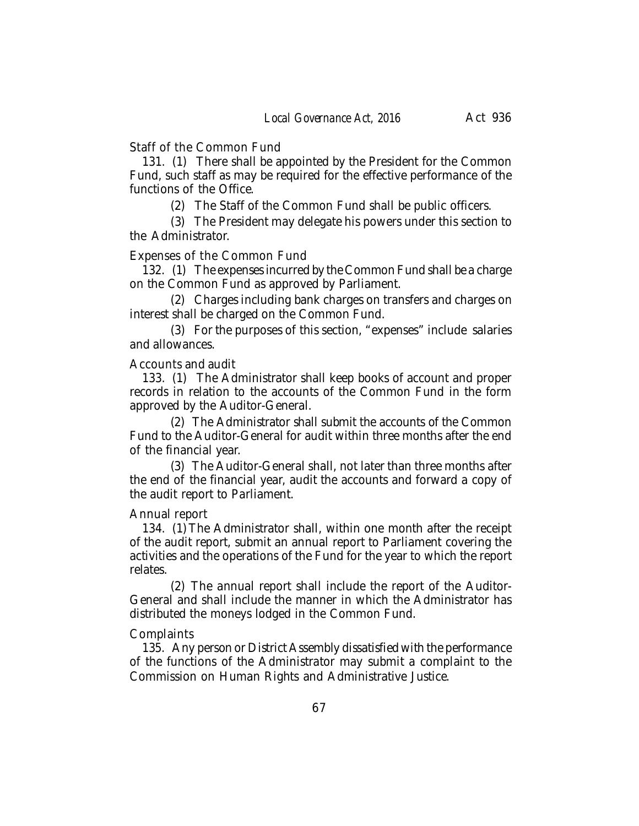Staff of the Common Fund

131. (1) There shall be appointed by the President for the Common Fund, such staff as may be required for the effective performance of the functions of the Office.

(2) The Staff of the Common Fund shall be public officers.

(3) The President may delegate his powers under this section to the Administrator.

## Expenses of the Common Fund

132. (1) The expenses incurred by the Common Fund shall be a charge on the Common Fund as approved by Parliament.

(2) Charges including bank charges on transfers and charges on interest shall be charged on the Common Fund.

(3) For the purposes of this section, "expenses" include salaries and allowances.

#### Accounts and audit

133. (1) The Administrator shall keep books of account and proper records in relation to the accounts of the Common Fund in the form approved by the Auditor-General.

(2) The Administrator shall submit the accounts of the Common Fund to the Auditor-General for audit within three months after the end of the financial year.

(3) The Auditor-General shall, not later than three months after the end of the financial year, audit the accounts and forward a copy of the audit report to Parliament.

#### Annual report

134. (1) The Administrator shall, within one month after the receipt of the audit report, submit an annual report to Parliament covering the activities and the operations of the Fund for the year to which the report relates.

(2) The annual report shall include the report of the Auditor-General and shall include the manner in which the Administrator has distributed the moneys lodged in the Common Fund.

#### **Complaints**

135. Any person or District Assembly dissatisfied with the performance of the functions of the Administrator may submit a complaint to the Commission on Human Rights and Administrative Justice.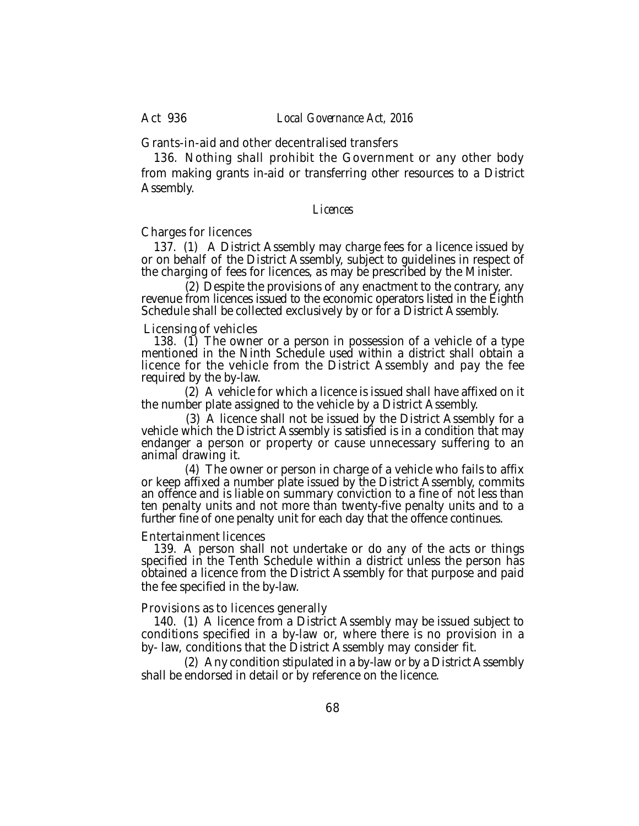Grants-in-aid and other decentralised transfers

136. Nothing shall prohibit the Government or any other body from making grants in-aid or transferring other resources to a District Assembly.

*Licences*

Charges for licences

137. (1) A District Assembly may charge fees for a licence issued by or on behalf of the District Assembly, subject to guidelines in respect of the charging of fees for licences, as may be prescribed by the Minister.

 (2) Despite the provisions of any enactment to the contrary, any revenue from licences issued to the economic operators listed in the Eighth Schedule shall be collected exclusively by or for a District Assembly.

Licensing of vehicles

138. (1) The owner or a person in possession of a vehicle of a type mentioned in the Ninth Schedule used within a district shall obtain a licence for the vehicle from the District Assembly and pay the fee required by the by-law.

 (2) A vehicle for which a licence is issued shall have affixed on it the number plate assigned to the vehicle by a District Assembly.

 (3) A licence shall not be issued by the District Assembly for a vehicle which the District Assembly is satisfied is in a condition that may endanger a person or property or cause unnecessary suffering to an animal drawing it.

 (4) The owner or person in charge of a vehicle who fails to affix or keep affixed a number plate issued by the District Assembly, commits an offence and is liable on summary conviction to a fine of not less than ten penalty units and not more than twenty-five penalty units and to a further fine of one penalty unit for each day that the offence continues.

#### Entertainment licences

139. A person shall not undertake or do any of the acts or things specified in the Tenth Schedule within a district unless the person has obtained a licence from the District Assembly for that purpose and paid the fee specified in the by-law.

#### Provisions as to licences generally

140. (1) A licence from a District Assembly may be issued subject to conditions specified in a by-law or, where there is no provision in a by- law, conditions that the District Assembly may consider fit.

 (2) Any condition stipulated in a by-law or by a District Assembly shall be endorsed in detail or by reference on the licence.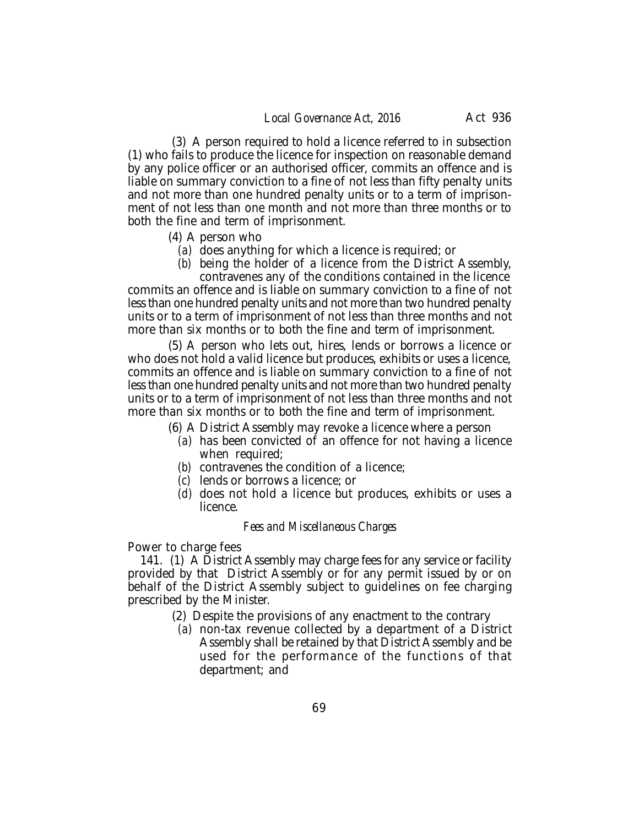(3) A person required to hold a licence referred to in subsection (1) who fails to produce the licence for inspection on reasonable demand by any police officer or an authorised officer, commits an offence and is liable on summary conviction to a fine of not less than fifty penalty units and not more than one hundred penalty units or to a term of imprisonment of not less than one month and not more than three months or to both the fine and term of imprisonment.

- (4) A person who
	- *(a)* does anything for which a licence is required; or
	- *(b)* being the holder of a licence from the District Assembly,

contravenes any of the conditions contained in the licence commits an offence and is liable on summary conviction to a fine of not less than one hundred penalty units and not more than two hundred penalty units or to a term of imprisonment of not less than three months and not more than six months or to both the fine and term of imprisonment.

(5) A person who lets out, hires, lends or borrows a licence or who does not hold a valid licence but produces, exhibits or uses a licence, commits an offence and is liable on summary conviction to a fine of not less than one hundred penalty units and not more than two hundred penalty units or to a term of imprisonment of not less than three months and not more than six months or to both the fine and term of imprisonment.

(6) A District Assembly may revoke a licence where a person

- *(a)* has been convicted of an offence for not having a licence when required;
- *(b)* contravenes the condition of a licence;
- *(c)* lends or borrows a licence; or
- *(d)* does not hold a licence but produces, exhibits or uses a licence.

#### *Fees and Miscellaneous Charges*

Power to charge fees

141. (1) A District Assembly may charge fees for any service or facility provided by that District Assembly or for any permit issued by or on behalf of the District Assembly subject to guidelines on fee charging prescribed by the Minister.

- (2) Despite the provisions of any enactment to the contrary
	- *(a)* non-tax revenue collected by a department of a District Assembly shall be retained by that District Assembly and be used for the performance of the functions of that department; and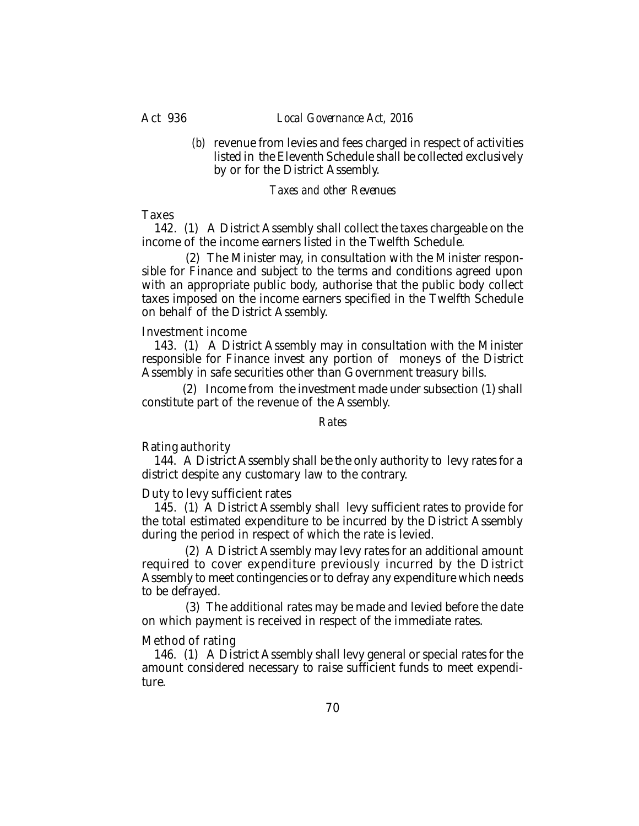#### Act 936 *Local Governance Act, 2016*

*(b)* revenue from levies and fees charged in respect of activities listed in the Eleventh Schedule shall be collected exclusively by or for the District Assembly.

#### *Taxes and other Revenues*

#### **Taxes**

142. (1) A District Assembly shall collect the taxes chargeable on the income of the income earners listed in the Twelfth Schedule.

 (2) The Minister may, in consultation with the Minister responsible for Finance and subject to the terms and conditions agreed upon with an appropriate public body, authorise that the public body collect taxes imposed on the income earners specified in the Twelfth Schedule on behalf of the District Assembly.

#### Investment income

143. (1) A District Assembly may in consultation with the Minister responsible for Finance invest any portion of moneys of the District Assembly in safe securities other than Government treasury bills.

(2) Income from the investment made under subsection (1) shall constitute part of the revenue of the Assembly.

#### *Rates*

#### Rating authority

144. A District Assembly shall be the only authority to levy rates for a district despite any customary law to the contrary.

#### Duty to levy sufficient rates

145. (1) A District Assembly shall levy sufficient rates to provide for the total estimated expenditure to be incurred by the District Assembly during the period in respect of which the rate is levied.

 (2) A District Assembly may levy rates for an additional amount required to cover expenditure previously incurred by the District Assembly to meet contingencies or to defray any expenditure which needs to be defrayed.

 (3) The additional rates may be made and levied before the date on which payment is received in respect of the immediate rates.

#### Method of rating

146. (1) A District Assembly shall levy general or special rates for the amount considered necessary to raise sufficient funds to meet expenditure.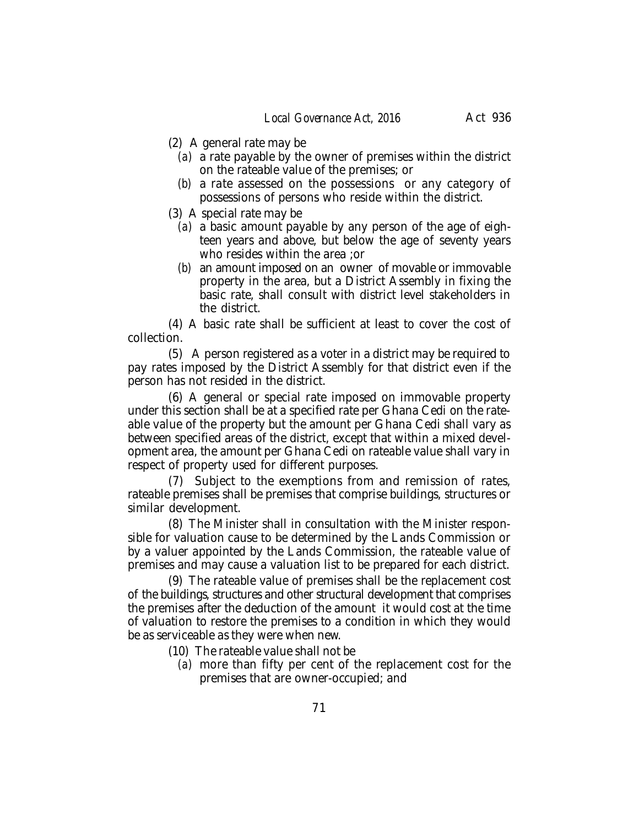- (2) A general rate may be
	- *(a)* a rate payable by the owner of premises within the district on the rateable value of the premises; or
	- *(b)* a rate assessed on the possessions or any category of possessions of persons who reside within the district.
- (3) A special rate may be
	- *(a)* a basic amount payable by any person of the age of eighteen years and above, but below the age of seventy years who resides within the area ;or
	- *(b)* an amount imposed on an owner of movable or immovable property in the area, but a District Assembly in fixing the basic rate, shall consult with district level stakeholders in the district.

(4) A basic rate shall be sufficient at least to cover the cost of collection.

(5) A person registered as a voter in a district may be required to pay rates imposed by the District Assembly for that district even if the person has not resided in the district.

(6) A general or special rate imposed on immovable property under this section shall be at a specified rate per Ghana Cedi on the rateable value of the property but the amount per Ghana Cedi shall vary as between specified areas of the district, except that within a mixed development area, the amount per Ghana Cedi on rateable value shall vary in respect of property used for different purposes.

(7) Subject to the exemptions from and remission of rates, rateable premises shall be premises that comprise buildings, structures or similar development.

(8) The Minister shall in consultation with the Minister responsible for valuation cause to be determined by the Lands Commission or by a valuer appointed by the Lands Commission, the rateable value of premises and may cause a valuation list to be prepared for each district.

(9) The rateable value of premises shall be the replacement cost of the buildings, structures and other structural development that comprises the premises after the deduction of the amount it would cost at the time of valuation to restore the premises to a condition in which they would be as serviceable as they were when new.

(10) The rateable value shall not be

*(a)* more than fifty per cent of the replacement cost for the premises that are owner-occupied; and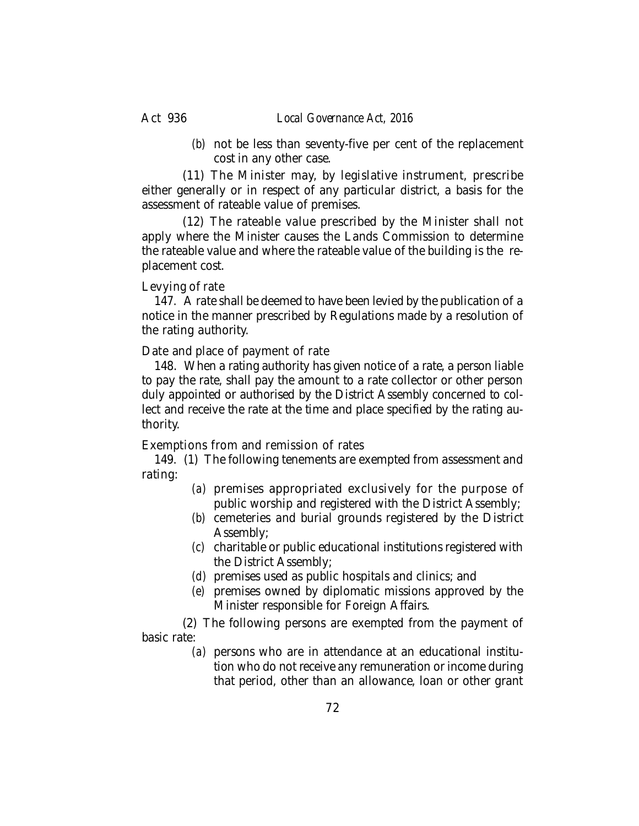*(b)* not be less than seventy-five per cent of the replacement cost in any other case.

(11) The Minister may, by legislative instrument, prescribe either generally or in respect of any particular district, a basis for the assessment of rateable value of premises.

(12) The rateable value prescribed by the Minister shall not apply where the Minister causes the Lands Commission to determine the rateable value and where the rateable value of the building is the replacement cost.

# Levying of rate

147. A rate shall be deemed to have been levied by the publication of a notice in the manner prescribed by Regulations made by a resolution of the rating authority.

Date and place of payment of rate

148. When a rating authority has given notice of a rate, a person liable to pay the rate, shall pay the amount to a rate collector or other person duly appointed or authorised by the District Assembly concerned to collect and receive the rate at the time and place specified by the rating authority.

Exemptions from and remission of rates

149. (1) The following tenements are exempted from assessment and rating:

- *(a)* premises appropriated exclusively for the purpose of public worship and registered with the District Assembly;
- *(b)* cemeteries and burial grounds registered by the District Assembly;
- *(c)* charitable or public educational institutions registered with the District Assembly;
- *(d)* premises used as public hospitals and clinics; and
- *(e)* premises owned by diplomatic missions approved by the Minister responsible for Foreign Affairs.

(2) The following persons are exempted from the payment of basic rate:

*(a)* persons who are in attendance at an educational institution who do not receive any remuneration or income during that period, other than an allowance, loan or other grant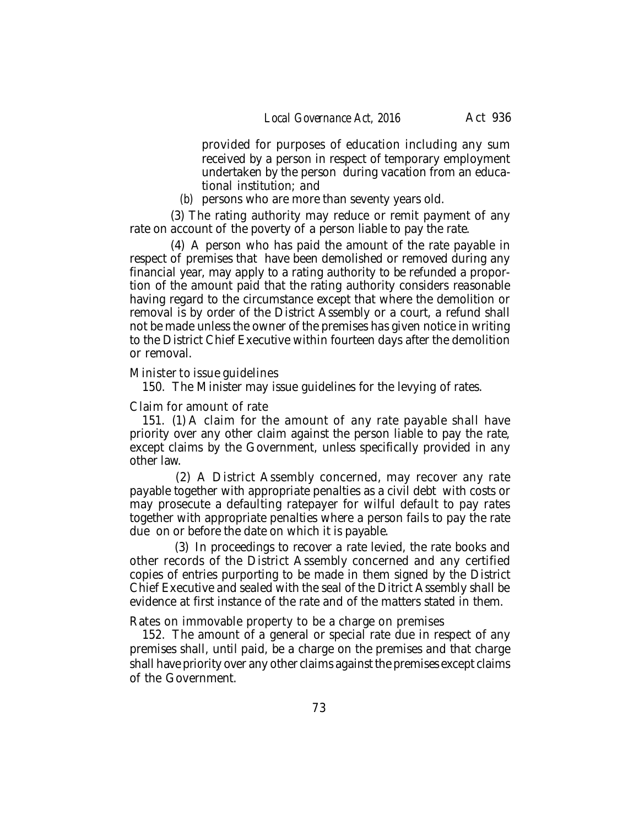provided for purposes of education including any sum received by a person in respect of temporary employment undertaken by the person during vacation from an educational institution; and

*(b)* persons who are more than seventy years old.

(3) The rating authority may reduce or remit payment of any rate on account of the poverty of a person liable to pay the rate.

(4) A person who has paid the amount of the rate payable in respect of premises that have been demolished or removed during any financial year, may apply to a rating authority to be refunded a proportion of the amount paid that the rating authority considers reasonable having regard to the circumstance except that where the demolition or removal is by order of the District Assembly or a court, a refund shall not be made unless the owner of the premises has given notice in writing to the District Chief Executive within fourteen days after the demolition or removal.

#### Minister to issue guidelines

150. The Minister may issue guidelines for the levying of rates.

### Claim for amount of rate

151. (1) A claim for the amount of any rate payable shall have priority over any other claim against the person liable to pay the rate, except claims by the Government, unless specifically provided in any other law.

 (2) A District Assembly concerned, may recover any rate payable together with appropriate penalties as a civil debt with costs or may prosecute a defaulting ratepayer for wilful default to pay rates together with appropriate penalties where a person fails to pay the rate due on or before the date on which it is payable.

 (3) In proceedings to recover a rate levied, the rate books and other records of the District Assembly concerned and any certified copies of entries purporting to be made in them signed by the District Chief Executive and sealed with the seal of the Ditrict Assembly shall be evidence at first instance of the rate and of the matters stated in them.

Rates on immovable property to be a charge on premises

152. The amount of a general or special rate due in respect of any premises shall, until paid, be a charge on the premises and that charge shall have priority over any other claims against the premises except claims of the Government.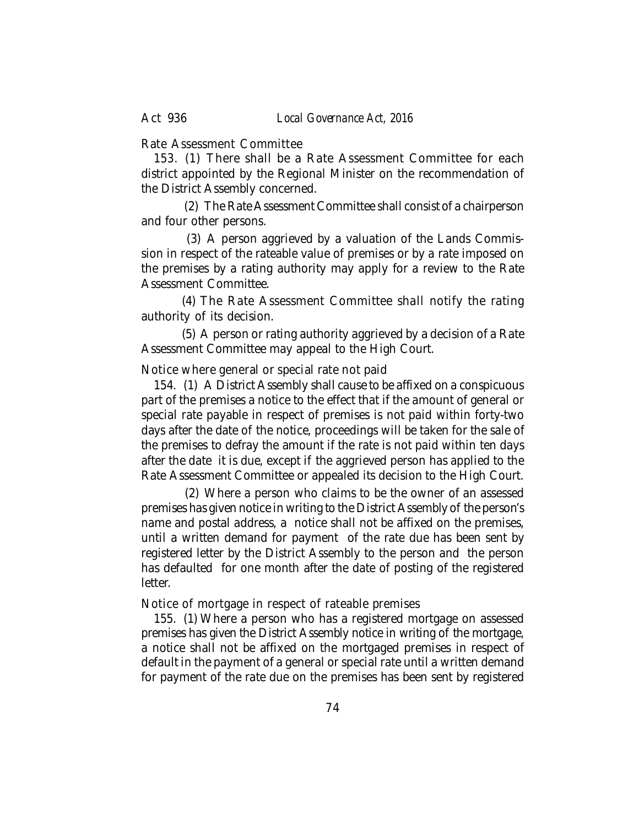Rate Assessment Committee

153. (1) There shall be a Rate Assessment Committee for each district appointed by the Regional Minister on the recommendation of the District Assembly concerned.

 (2) The Rate Assessment Committee shall consist of a chairperson and four other persons.

 (3) A person aggrieved by a valuation of the Lands Commission in respect of the rateable value of premises or by a rate imposed on the premises by a rating authority may apply for a review to the Rate Assessment Committee.

(4) The Rate Assessment Committee shall notify the rating authority of its decision.

(5) A person or rating authority aggrieved by a decision of a Rate Assessment Committee may appeal to the High Court.

Notice where general or special rate not paid

154. (1) A District Assembly shall cause to be affixed on a conspicuous part of the premises a notice to the effect that if the amount of general or special rate payable in respect of premises is not paid within forty-two days after the date of the notice, proceedings will be taken for the sale of the premises to defray the amount if the rate is not paid within ten days after the date it is due, except if the aggrieved person has applied to the Rate Assessment Committee or appealed its decision to the High Court.

 (2) Where a person who claims to be the owner of an assessed premises has given notice in writing to the District Assembly of the person's name and postal address, a notice shall not be affixed on the premises, until a written demand for payment of the rate due has been sent by registered letter by the District Assembly to the person and the person has defaulted for one month after the date of posting of the registered letter.

Notice of mortgage in respect of rateable premises

155. (1) Where a person who has a registered mortgage on assessed premises has given the District Assembly notice in writing of the mortgage, a notice shall not be affixed on the mortgaged premises in respect of default in the payment of a general or special rate until a written demand for payment of the rate due on the premises has been sent by registered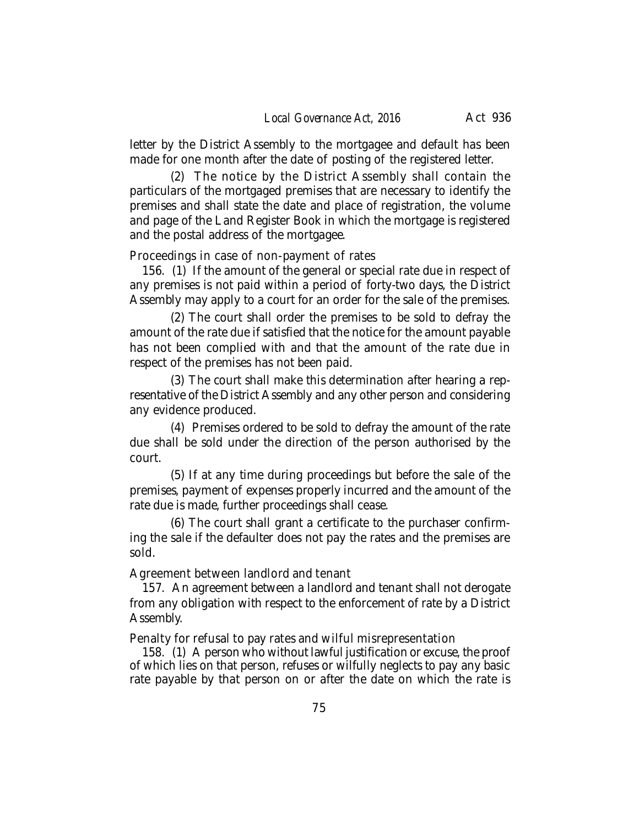letter by the District Assembly to the mortgagee and default has been made for one month after the date of posting of the registered letter.

(2) The notice by the District Assembly shall contain the particulars of the mortgaged premises that are necessary to identify the premises and shall state the date and place of registration, the volume and page of the Land Register Book in which the mortgage is registered and the postal address of the mortgagee.

Proceedings in case of non-payment of rates

156. (1) If the amount of the general or special rate due in respect of any premises is not paid within a period of forty-two days, the District Assembly may apply to a court for an order for the sale of the premises.

(2) The court shall order the premises to be sold to defray the amount of the rate due if satisfied that the notice for the amount payable has not been complied with and that the amount of the rate due in respect of the premises has not been paid.

(3) The court shall make this determination after hearing a representative of the District Assembly and any other person and considering any evidence produced.

(4) Premises ordered to be sold to defray the amount of the rate due shall be sold under the direction of the person authorised by the court.

(5) If at any time during proceedings but before the sale of the premises, payment of expenses properly incurred and the amount of the rate due is made, further proceedings shall cease.

(6) The court shall grant a certificate to the purchaser confirming the sale if the defaulter does not pay the rates and the premises are sold.

Agreement between landlord and tenant

157. An agreement between a landlord and tenant shall not derogate from any obligation with respect to the enforcement of rate by a District Assembly.

Penalty for refusal to pay rates and wilful misrepresentation

158. (1) A person who without lawful justification or excuse, the proof of which lies on that person, refuses or wilfully neglects to pay any basic rate payable by that person on or after the date on which the rate is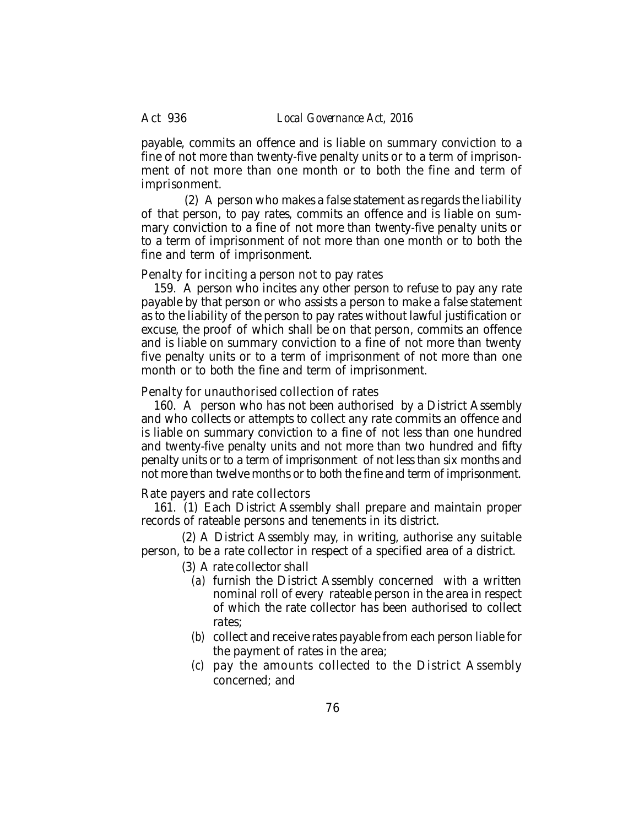payable, commits an offence and is liable on summary conviction to a fine of not more than twenty-five penalty units or to a term of imprisonment of not more than one month or to both the fine and term of imprisonment.

 (2) A person who makes a false statement as regards the liability of that person, to pay rates, commits an offence and is liable on summary conviction to a fine of not more than twenty-five penalty units or to a term of imprisonment of not more than one month or to both the fine and term of imprisonment.

Penalty for inciting a person not to pay rates

159. A person who incites any other person to refuse to pay any rate payable by that person or who assists a person to make a false statement as to the liability of the person to pay rates without lawful justification or excuse, the proof of which shall be on that person, commits an offence and is liable on summary conviction to a fine of not more than twenty five penalty units or to a term of imprisonment of not more than one month or to both the fine and term of imprisonment.

Penalty for unauthorised collection of rates

160. A person who has not been authorised by a District Assembly and who collects or attempts to collect any rate commits an offence and is liable on summary conviction to a fine of not less than one hundred and twenty-five penalty units and not more than two hundred and fifty penalty units or to a term of imprisonment of not less than six months and not more than twelve months or to both the fine and term of imprisonment.

Rate payers and rate collectors

161. (1) Each District Assembly shall prepare and maintain proper records of rateable persons and tenements in its district.

(2) A District Assembly may, in writing, authorise any suitable person, to be a rate collector in respect of a specified area of a district.

(3) A rate collector shall

- *(a)* furnish the District Assembly concerned with a written nominal roll of every rateable person in the area in respect of which the rate collector has been authorised to collect rates;
- *(b)* collect and receive rates payable from each person liable for the payment of rates in the area;
- *(c)* pay the amounts collected to the District Assembly concerned; and

76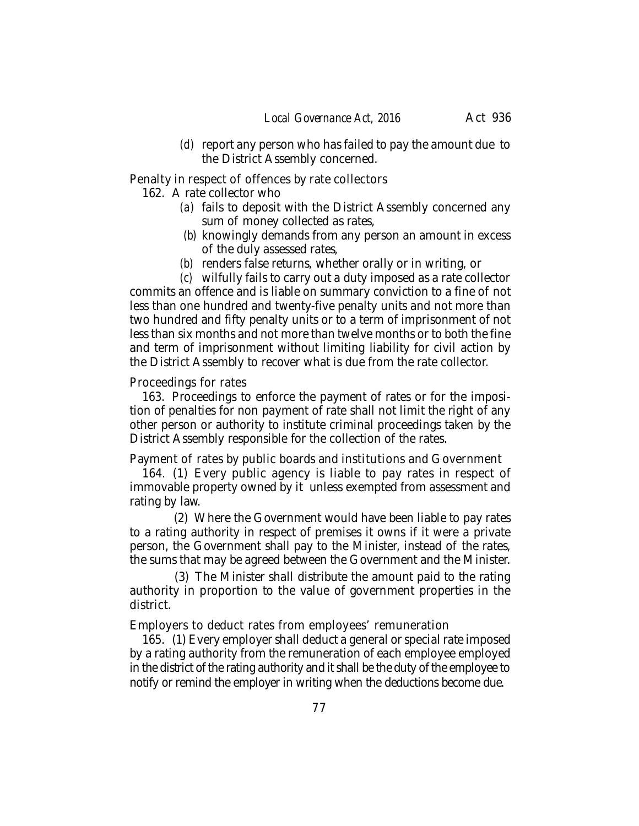*(d)* report any person who has failed to pay the amount due to the District Assembly concerned.

Penalty in respect of offences by rate collectors

162. A rate collector who

- *(a)* fails to deposit with the District Assembly concerned any sum of money collected as rates,
- *(b)* knowingly demands from any person an amount in excess of the duly assessed rates,
- *(b)* renders false returns, whether orally or in writing, or

*(c)* wilfully fails to carry out a duty imposed as a rate collector commits an offence and is liable on summary conviction to a fine of not less than one hundred and twenty-five penalty units and not more than two hundred and fifty penalty units or to a term of imprisonment of not less than six months and not more than twelve months or to both the fine and term of imprisonment without limiting liability for civil action by the District Assembly to recover what is due from the rate collector.

## Proceedings for rates

163. Proceedings to enforce the payment of rates or for the imposition of penalties for non payment of rate shall not limit the right of any other person or authority to institute criminal proceedings taken by the District Assembly responsible for the collection of the rates.

Payment of rates by public boards and institutions and Government

164. (1) Every public agency is liable to pay rates in respect of immovable property owned by it unless exempted from assessment and rating by law.

 (2) Where the Government would have been liable to pay rates to a rating authority in respect of premises it owns if it were a private person, the Government shall pay to the Minister, instead of the rates, the sums that may be agreed between the Government and the Minister.

 (3) The Minister shall distribute the amount paid to the rating authority in proportion to the value of government properties in the district.

Employers to deduct rates from employees' remuneration

165. (1) Every employer shall deduct a general or special rate imposed by a rating authority from the remuneration of each employee employed in the district of the rating authority and it shall be the duty of the employee to notify or remind the employer in writing when the deductions become due.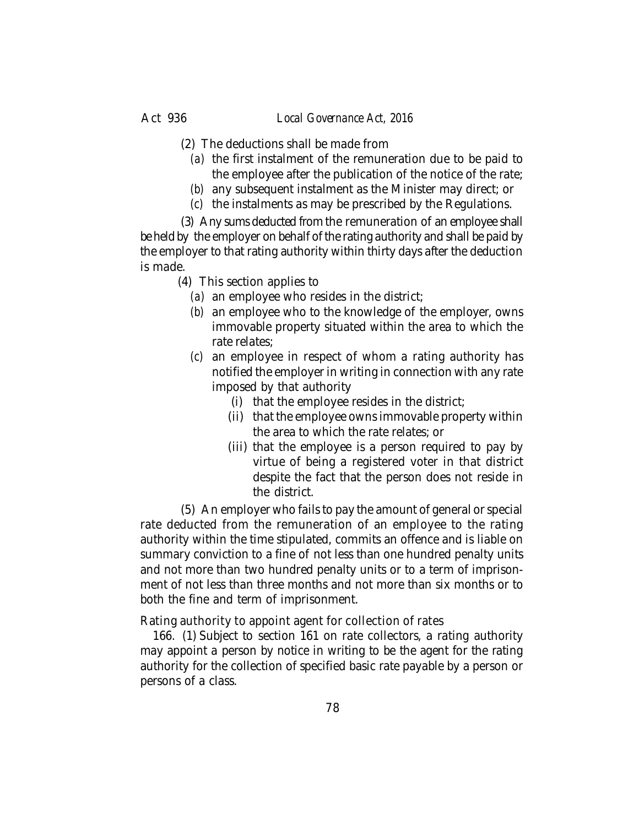- (2) The deductions shall be made from
	- *(a)* the first instalment of the remuneration due to be paid to the employee after the publication of the notice of the rate;
	- *(b)* any subsequent instalment as the Minister may direct; or
	- *(c)* the instalments as may be prescribed by the Regulations.

(3) Any sums deducted from the remuneration of an employee shall be held by the employer on behalf of the rating authority and shall be paid by the employer to that rating authority within thirty days after the deduction is made.

- (4) This section applies to
	- *(a)* an employee who resides in the district;
	- *(b)* an employee who to the knowledge of the employer, owns immovable property situated within the area to which the rate relates;
	- *(c)* an employee in respect of whom a rating authority has notified the employer in writing in connection with any rate imposed by that authority
		- (i) that the employee resides in the district;
		- (ii) that the employee owns immovable property within the area to which the rate relates; or
		- (iii) that the employee is a person required to pay by virtue of being a registered voter in that district despite the fact that the person does not reside in the district.

(5) An employer who fails to pay the amount of general or special rate deducted from the remuneration of an employee to the rating authority within the time stipulated, commits an offence and is liable on summary conviction to a fine of not less than one hundred penalty units and not more than two hundred penalty units or to a term of imprisonment of not less than three months and not more than six months or to both the fine and term of imprisonment.

Rating authority to appoint agent for collection of rates

166. (1) Subject to section 161 on rate collectors, a rating authority may appoint a person by notice in writing to be the agent for the rating authority for the collection of specified basic rate payable by a person or persons of a class.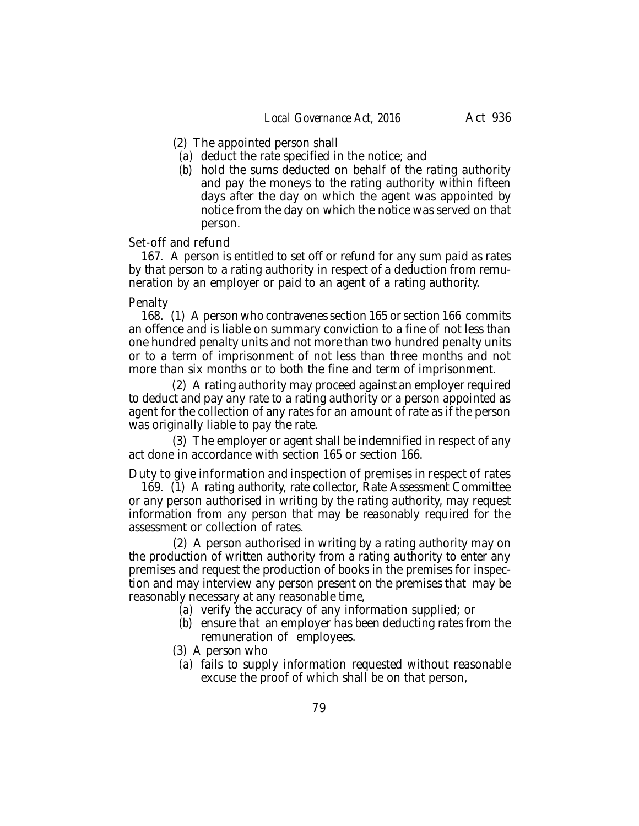- (2) The appointed person shall
	- *(a)* deduct the rate specified in the notice; and
	- *(b)* hold the sums deducted on behalf of the rating authority and pay the moneys to the rating authority within fifteen days after the day on which the agent was appointed by notice from the day on which the notice was served on that person.

### Set-off and refund

167. A person is entitled to set off or refund for any sum paid as rates by that person to a rating authority in respect of a deduction from remuneration by an employer or paid to an agent of a rating authority.

#### **Penalty**

168. (1) A person who contravenes section 165 or section 166 commits an offence and is liable on summary conviction to a fine of not less than one hundred penalty units and not more than two hundred penalty units or to a term of imprisonment of not less than three months and not more than six months or to both the fine and term of imprisonment.

 (2) A rating authority may proceed against an employer required to deduct and pay any rate to a rating authority or a person appointed as agent for the collection of any rates for an amount of rate as if the person was originally liable to pay the rate.

 (3) The employer or agent shall be indemnified in respect of any act done in accordance with section 165 or section 166.

Duty to give information and inspection of premises in respect of rates

169. (1) A rating authority, rate collector, Rate Assessment Committee or any person authorised in writing by the rating authority, may request information from any person that may be reasonably required for the assessment or collection of rates.

 (2) A person authorised in writing by a rating authority may on the production of written authority from a rating authority to enter any premises and request the production of books in the premises for inspection and may interview any person present on the premises that may be reasonably necessary at any reasonable time,

- *(a)* verify the accuracy of any information supplied; or
- *(b)* ensure that an employer has been deducting rates from the remuneration of employees.

(3) A person who

*(a)* fails to supply information requested without reasonable excuse the proof of which shall be on that person,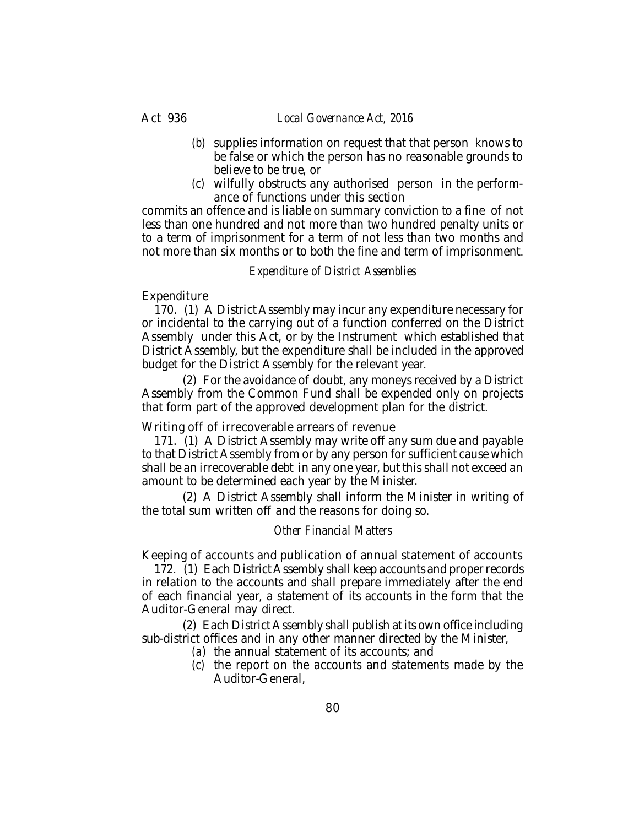### Act 936 *Local Governance Act, 2016*

- *(b)* supplies information on request that that person knows to be false or which the person has no reasonable grounds to believe to be true, or
- *(c)* wilfully obstructs any authorised person in the performance of functions under this section

commits an offence and is liable on summary conviction to a fine of not less than one hundred and not more than two hundred penalty units or to a term of imprisonment for a term of not less than two months and not more than six months or to both the fine and term of imprisonment.

## *Expenditure of District Assemblies*

## Expenditure

170. (1) A District Assembly may incur any expenditure necessary for or incidental to the carrying out of a function conferred on the District Assembly under this Act, or by the Instrument which established that District Assembly, but the expenditure shall be included in the approved budget for the District Assembly for the relevant year.

(2) For the avoidance of doubt, any moneys received by a District Assembly from the Common Fund shall be expended only on projects that form part of the approved development plan for the district.

## Writing off of irrecoverable arrears of revenue

171. (1) A District Assembly may write off any sum due and payable to that District Assembly from or by any person for sufficient cause which shall be an irrecoverable debt in any one year, but this shall not exceed an amount to be determined each year by the Minister.

(2) A District Assembly shall inform the Minister in writing of the total sum written off and the reasons for doing so.

### *Other Financial Matters*

Keeping of accounts and publication of annual statement of accounts

172. (1) Each District Assembly shall keep accounts and proper records in relation to the accounts and shall prepare immediately after the end of each financial year, a statement of its accounts in the form that the Auditor-General may direct.

(2) Each District Assembly shall publish at its own office including sub-district offices and in any other manner directed by the Minister,

- *(a)* the annual statement of its accounts; and
- *(c)* the report on the accounts and statements made by the Auditor-General,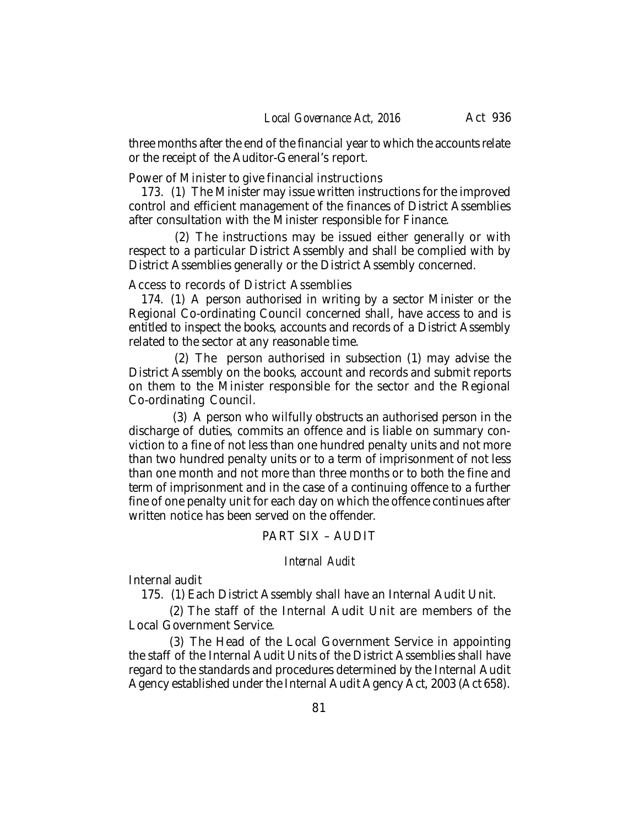three months after the end of the financial year to which the accounts relate or the receipt of the Auditor-General's report.

Power of Minister to give financial instructions

173. (1) The Minister may issue written instructions for the improved control and efficient management of the finances of District Assemblies after consultation with the Minister responsible for Finance.

 (2) The instructions may be issued either generally or with respect to a particular District Assembly and shall be complied with by District Assemblies generally or the District Assembly concerned.

Access to records of District Assemblies

174. (1) A person authorised in writing by a sector Minister or the Regional Co-ordinating Council concerned shall, have access to and is entitled to inspect the books, accounts and records of a District Assembly related to the sector at any reasonable time.

 (2) The person authorised in subsection (1) may advise the District Assembly on the books, account and records and submit reports on them to the Minister responsible for the sector and the Regional Co-ordinating Council.

 (3) A person who wilfully obstructs an authorised person in the discharge of duties, commits an offence and is liable on summary conviction to a fine of not less than one hundred penalty units and not more than two hundred penalty units or to a term of imprisonment of not less than one month and not more than three months or to both the fine and term of imprisonment and in the case of a continuing offence to a further fine of one penalty unit for each day on which the offence continues after written notice has been served on the offender.

# PART SIX – AUDIT

### *Internal Audit*

Internal audit

175. (1) Each District Assembly shall have an Internal Audit Unit.

(2) The staff of the Internal Audit Unit are members of the Local Government Service.

(3) The Head of the Local Government Service in appointing the staff of the Internal Audit Units of the District Assemblies shall have regard to the standards and procedures determined by the Internal Audit Agency established under the Internal Audit Agency Act, 2003 (Act 658).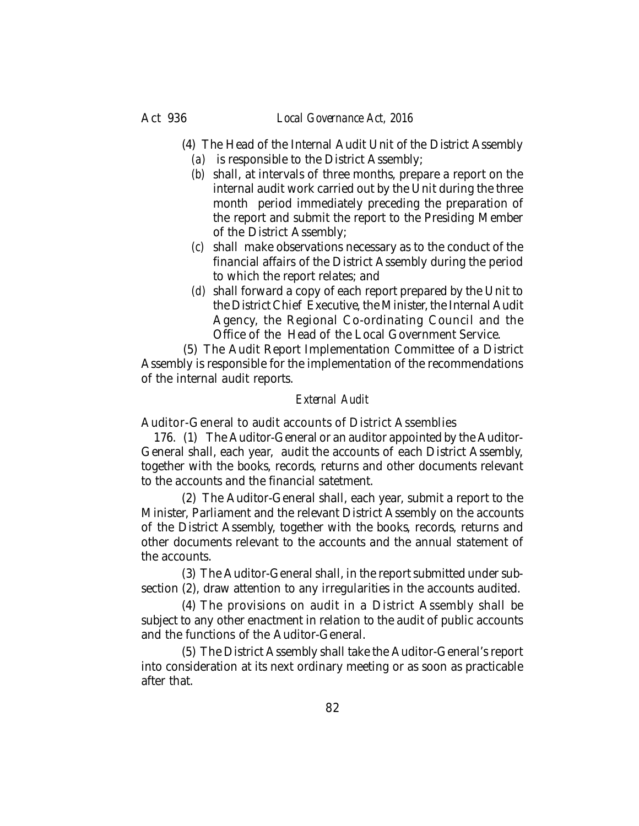- (4) The Head of the Internal Audit Unit of the District Assembly
	- *(a)* is responsible to the District Assembly;
	- *(b)* shall, at intervals of three months, prepare a report on the internal audit work carried out by the Unit during the three month period immediately preceding the preparation of the report and submit the report to the Presiding Member of the District Assembly;
	- *(c)* shall make observations necessary as to the conduct of the financial affairs of the District Assembly during the period to which the report relates; and
	- *(d)* shall forward a copy of each report prepared by the Unit to the District Chief Executive, the Minister, the Internal Audit Agency, the Regional Co-ordinating Council and the Office of the Head of the Local Government Service.

 (5) The Audit Report Implementation Committee of a District Assembly is responsible for the implementation of the recommendations of the internal audit reports.

## *External Audit*

Auditor-General to audit accounts of District Assemblies

176. (1) The Auditor-General or an auditor appointed by the Auditor-General shall, each year, audit the accounts of each District Assembly, together with the books, records, returns and other documents relevant to the accounts and the financial satetment.

(2) The Auditor-General shall, each year, submit a report to the Minister, Parliament and the relevant District Assembly on the accounts of the District Assembly, together with the books, records, returns and other documents relevant to the accounts and the annual statement of the accounts.

(3) The Auditor-General shall, in the report submitted under subsection (2), draw attention to any irregularities in the accounts audited.

(4) The provisions on audit in a District Assembly shall be subject to any other enactment in relation to the audit of public accounts and the functions of the Auditor-General.

(5) The District Assembly shall take the Auditor-General's report into consideration at its next ordinary meeting or as soon as practicable after that.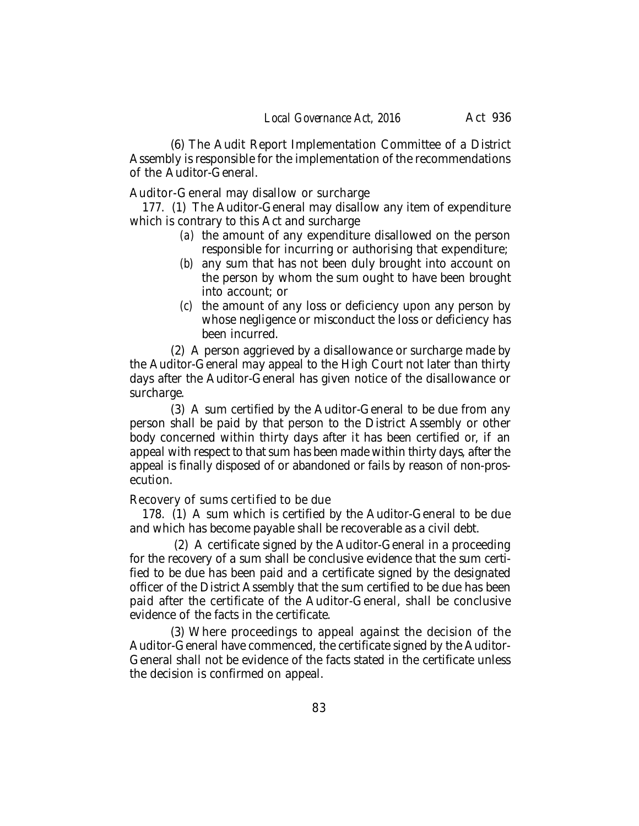(6) The Audit Report Implementation Committee of a District Assembly is responsible for the implementation of the recommendations of the Auditor-General.

Auditor-General may disallow or surcharge

177. (1) The Auditor-General may disallow any item of expenditure which is contrary to this Act and surcharge

- *(a)* the amount of any expenditure disallowed on the person responsible for incurring or authorising that expenditure;
- *(b)* any sum that has not been duly brought into account on the person by whom the sum ought to have been brought into account; or
- *(c)* the amount of any loss or deficiency upon any person by whose negligence or misconduct the loss or deficiency has been incurred.

(2) A person aggrieved by a disallowance or surcharge made by the Auditor-General may appeal to the High Court not later than thirty days after the Auditor-General has given notice of the disallowance or surcharge.

(3) A sum certified by the Auditor-General to be due from any person shall be paid by that person to the District Assembly or other body concerned within thirty days after it has been certified or, if an appeal with respect to that sum has been made within thirty days, after the appeal is finally disposed of or abandoned or fails by reason of non-prosecution.

Recovery of sums certified to be due

178. (1) A sum which is certified by the Auditor-General to be due and which has become payable shall be recoverable as a civil debt.

 (2) A certificate signed by the Auditor-General in a proceeding for the recovery of a sum shall be conclusive evidence that the sum certified to be due has been paid and a certificate signed by the designated officer of the District Assembly that the sum certified to be due has been paid after the certificate of the Auditor-General, shall be conclusive evidence of the facts in the certificate.

(3) Where proceedings to appeal against the decision of the Auditor-General have commenced, the certificate signed by the Auditor-General shall not be evidence of the facts stated in the certificate unless the decision is confirmed on appeal.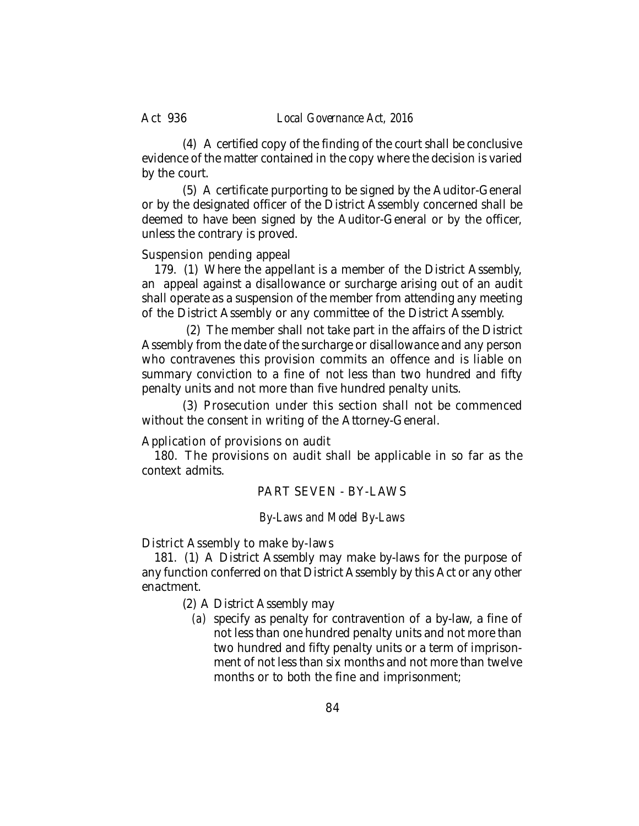#### Act 936 *Local Governance Act, 2016*

(4) A certified copy of the finding of the court shall be conclusive evidence of the matter contained in the copy where the decision is varied by the court.

(5) A certificate purporting to be signed by the Auditor-General or by the designated officer of the District Assembly concerned shall be deemed to have been signed by the Auditor-General or by the officer, unless the contrary is proved.

## Suspension pending appeal

179. (1) Where the appellant is a member of the District Assembly, an appeal against a disallowance or surcharge arising out of an audit shall operate as a suspension of the member from attending any meeting of the District Assembly or any committee of the District Assembly.

 (2) The member shall not take part in the affairs of the District Assembly from the date of the surcharge or disallowance and any person who contravenes this provision commits an offence and is liable on summary conviction to a fine of not less than two hundred and fifty penalty units and not more than five hundred penalty units.

(3) Prosecution under this section shall not be commenced without the consent in writing of the Attorney-General.

Application of provisions on audit

180. The provisions on audit shall be applicable in so far as the context admits.

## PART SEVEN - BY-LAWS

## *By-Laws and Model By-Laws*

District Assembly to make by-laws

181. (1) A District Assembly may make by-laws for the purpose of any function conferred on that District Assembly by this Act or any other enactment.

(2) A District Assembly may

*(a)* specify as penalty for contravention of a by-law, a fine of not less than one hundred penalty units and not more than two hundred and fifty penalty units or a term of imprisonment of not less than six months and not more than twelve months or to both the fine and imprisonment;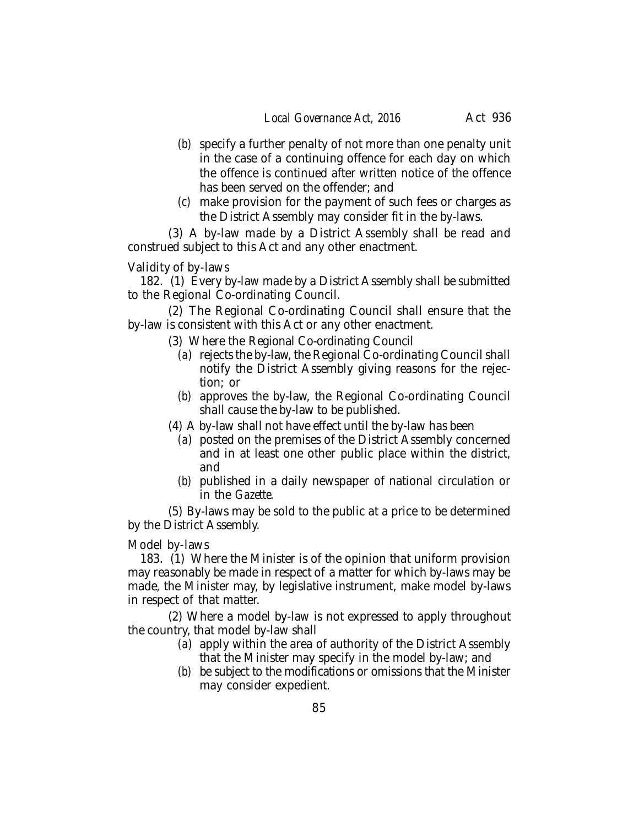- *(b)* specify a further penalty of not more than one penalty unit in the case of a continuing offence for each day on which the offence is continued after written notice of the offence has been served on the offender; and
- *(c)* make provision for the payment of such fees or charges as the District Assembly may consider fit in the by-laws.

(3) A by-law made by a District Assembly shall be read and construed subject to this Act and any other enactment.

Validity of by-laws

182. (1) Every by-law made by a District Assembly shall be submitted to the Regional Co-ordinating Council.

(2) The Regional Co-ordinating Council shall ensure that the by-law is consistent with this Act or any other enactment.

- (3) Where the Regional Co-ordinating Council
	- *(a)* rejects the by-law, the Regional Co-ordinating Council shall notify the District Assembly giving reasons for the rejection; or
	- *(b)* approves the by-law, the Regional Co-ordinating Council shall cause the by-law to be published.
- (4) A by-law shall not have effect until the by-law has been
	- *(a)* posted on the premises of the District Assembly concerned and in at least one other public place within the district, and
	- *(b)* published in a daily newspaper of national circulation or in the *Gazette.*

(5) By-laws may be sold to the public at a price to be determined by the District Assembly.

Model by-laws

183. (1) Where the Minister is of the opinion that uniform provision may reasonably be made in respect of a matter for which by-laws may be made, the Minister may, by legislative instrument, make model by-laws in respect of that matter.

(2) Where a model by-law is not expressed to apply throughout the country, that model by-law shall

- *(a)* apply within the area of authority of the District Assembly that the Minister may specify in the model by-law; and
- *(b)* be subject to the modifications or omissions that the Minister may consider expedient.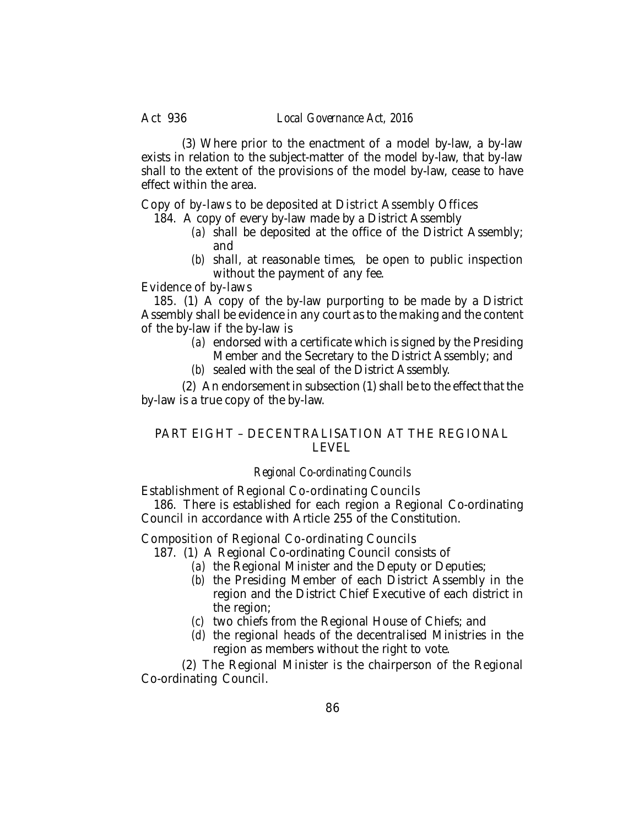(3) Where prior to the enactment of a model by-law, a by-law exists in relation to the subject-matter of the model by-law, that by-law shall to the extent of the provisions of the model by-law, cease to have effect within the area.

Copy of by-laws to be deposited at District Assembly Offices

- 184. A copy of every by-law made by a District Assembly
	- *(a)* shall be deposited at the office of the District Assembly; and
	- *(b)* shall, at reasonable times, be open to public inspection without the payment of any fee.

Evidence of by-laws

185. (1) A copy of the by-law purporting to be made by a District Assembly shall be evidence in any court as to the making and the content of the by-law if the by-law is

- *(a)* endorsed with a certificate which is signed by the Presiding Member and the Secretary to the District Assembly; and
- *(b)* sealed with the seal of the District Assembly.

(2) An endorsement in subsection (1) shall be to the effect that the by-law is a true copy of the by-law.

# PART EIGHT – DECENTRALISATION AT THE REGIONAL LEVEL

## *Regional Co-ordinating Councils*

Establishment of Regional Co-ordinating Councils

186. There is established for each region a Regional Co-ordinating Council in accordance with Article 255 of the Constitution.

Composition of Regional Co-ordinating Councils

187. (1) A Regional Co-ordinating Council consists of

- *(a)* the Regional Minister and the Deputy or Deputies;
- *(b)* the Presiding Member of each District Assembly in the region and the District Chief Executive of each district in the region;
- *(c)* two chiefs from the Regional House of Chiefs; and
- *(d)* the regional heads of the decentralised Ministries in the region as members without the right to vote.

(2) The Regional Minister is the chairperson of the Regional Co-ordinating Council.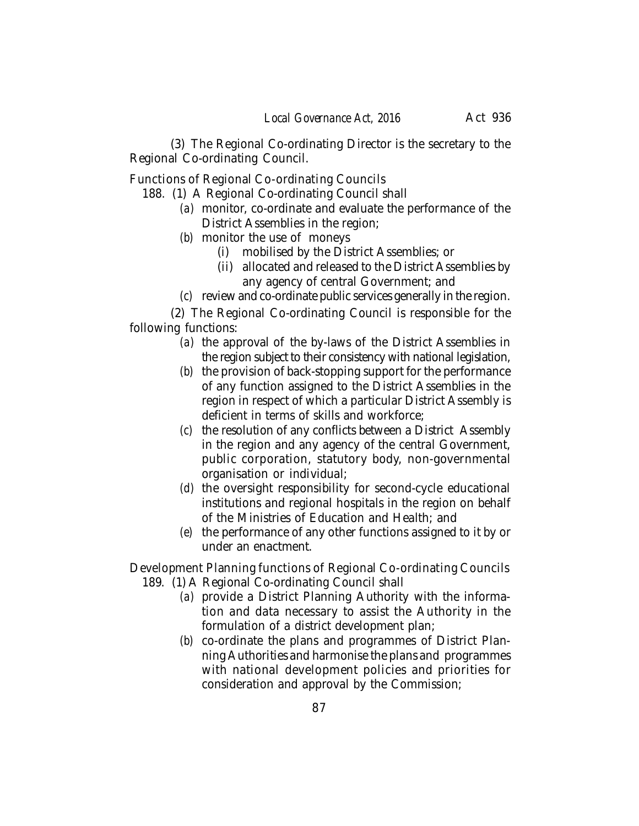(3) The Regional Co-ordinating Director is the secretary to the Regional Co-ordinating Council.

Functions of Regional Co-ordinating Councils

- 188. (1) A Regional Co-ordinating Council shall
	- *(a)* monitor, co-ordinate and evaluate the performance of the District Assemblies in the region;
	- *(b)* monitor the use of moneys
		- (i) mobilised by the District Assemblies; or
		- (ii) allocated and released to the District Assemblies by any agency of central Government; and
	- *(c)* review and co-ordinate public services generally in the region.

(2) The Regional Co-ordinating Council is responsible for the following functions:

- *(a)* the approval of the by-laws of the District Assemblies in the region subject to their consistency with national legislation,
- *(b)* the provision of back-stopping support for the performance of any function assigned to the District Assemblies in the region in respect of which a particular District Assembly is deficient in terms of skills and workforce;
- *(c)* the resolution of any conflicts between a District Assembly in the region and any agency of the central Government, public corporation, statutory body, non-governmental organisation or individual;
- *(d)* the oversight responsibility for second-cycle educational institutions and regional hospitals in the region on behalf of the Ministries of Education and Health; and
- *(e)* the performance of any other functions assigned to it by or under an enactment.

Development Planning functions of Regional Co-ordinating Councils 189. (1) A Regional Co-ordinating Council shall

- *(a)* provide a District Planning Authority with the information and data necessary to assist the Authority in the formulation of a district development plan;
- *(b)* co-ordinate the plans and programmes of District Planning Authorities and harmonise the plans and programmes with national development policies and priorities for consideration and approval by the Commission;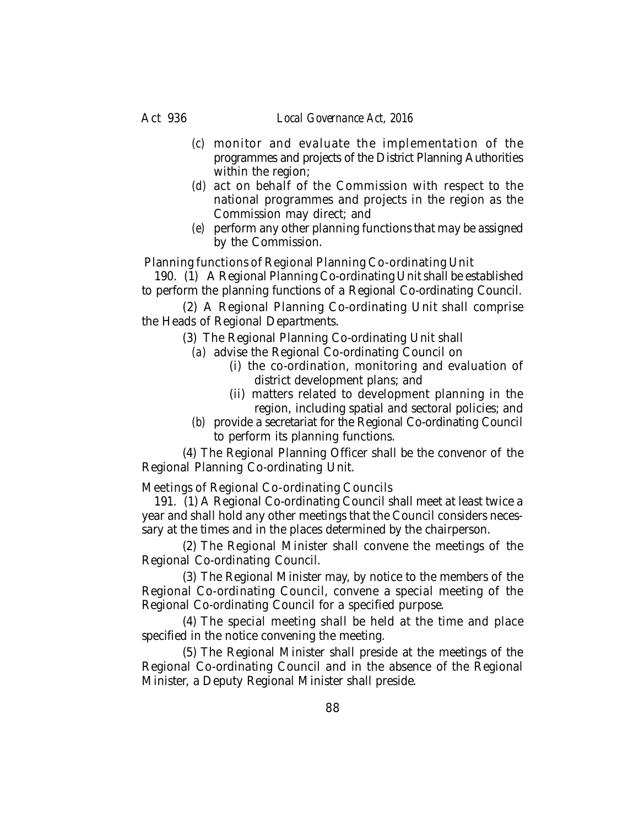### Act 936 *Local Governance Act, 2016*

- *(c)* monitor and evaluate the implementation of the programmes and projects of the District Planning Authorities within the region;
- *(d)* act on behalf of the Commission with respect to the national programmes and projects in the region as the Commission may direct; and
- *(e)* perform any other planning functions that may be assigned by the Commission.

Planning functions of Regional Planning Co-ordinating Unit

190. (1) A Regional Planning Co-ordinating Unit shall be established to perform the planning functions of a Regional Co-ordinating Council.

(2) A Regional Planning Co-ordinating Unit shall comprise the Heads of Regional Departments.

(3) The Regional Planning Co-ordinating Unit shall

- *(a)* advise the Regional Co-ordinating Council on
	- (i) the co-ordination, monitoring and evaluation of district development plans; and
	- (ii) matters related to development planning in the region, including spatial and sectoral policies; and
- *(b)* provide a secretariat for the Regional Co-ordinating Council to perform its planning functions.

(4) The Regional Planning Officer shall be the convenor of the Regional Planning Co-ordinating Unit.

Meetings of Regional Co-ordinating Councils

191. (1) A Regional Co-ordinating Council shall meet at least twice a year and shall hold any other meetings that the Council considers necessary at the times and in the places determined by the chairperson.

(2) The Regional Minister shall convene the meetings of the Regional Co-ordinating Council.

(3) The Regional Minister may, by notice to the members of the Regional Co-ordinating Council, convene a special meeting of the Regional Co-ordinating Council for a specified purpose.

(4) The special meeting shall be held at the time and place specified in the notice convening the meeting.

(5) The Regional Minister shall preside at the meetings of the Regional Co-ordinating Council and in the absence of the Regional Minister, a Deputy Regional Minister shall preside.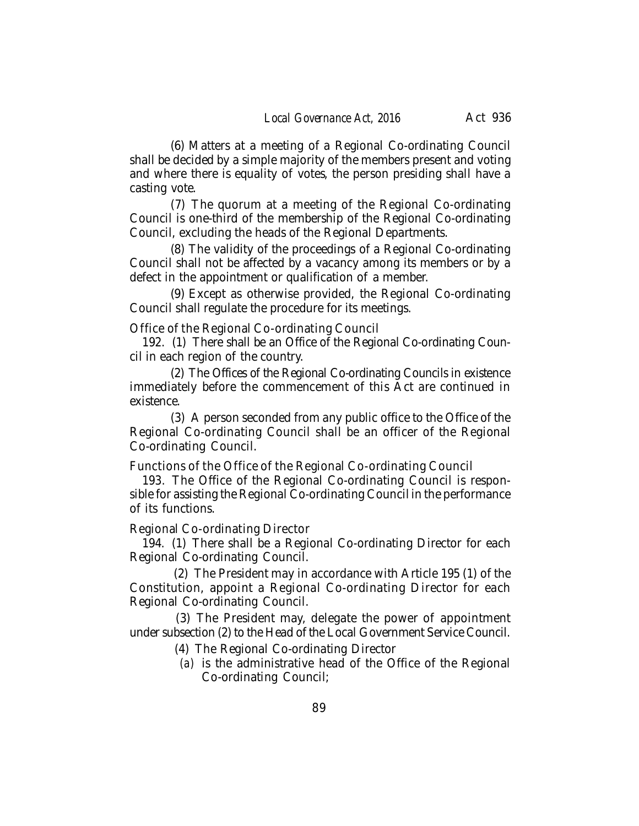(6) Matters at a meeting of a Regional Co-ordinating Council shall be decided by a simple majority of the members present and voting and where there is equality of votes, the person presiding shall have a casting vote.

(7) The quorum at a meeting of the Regional Co-ordinating Council is one-third of the membership of the Regional Co-ordinating Council, excluding the heads of the Regional Departments.

(8) The validity of the proceedings of a Regional Co-ordinating Council shall not be affected by a vacancy among its members or by a defect in the appointment or qualification of a member.

(9) Except as otherwise provided, the Regional Co-ordinating Council shall regulate the procedure for its meetings.

Office of the Regional Co-ordinating Council

192. (1) There shall be an Office of the Regional Co-ordinating Council in each region of the country.

(2) The Offices of the Regional Co-ordinating Councils in existence immediately before the commencement of this Act are continued in existence.

(3) A person seconded from any public office to the Office of the Regional Co-ordinating Council shall be an officer of the Regional Co-ordinating Council.

Functions of the Office of the Regional Co-ordinating Council

193. The Office of the Regional Co-ordinating Council is responsible for assisting the Regional Co-ordinating Council in the performance of its functions.

Regional Co-ordinating Director

194. (1) There shall be a Regional Co-ordinating Director for each Regional Co-ordinating Council.

 (2) The President may in accordance with Article 195 (1) of the Constitution, appoint a Regional Co-ordinating Director for each Regional Co-ordinating Council.

 (3) The President may, delegate the power of appointment under subsection (2) to the Head of the Local Government Service Council.

- (4) The Regional Co-ordinating Director
- *(a)* is the administrative head of the Office of the Regional Co-ordinating Council;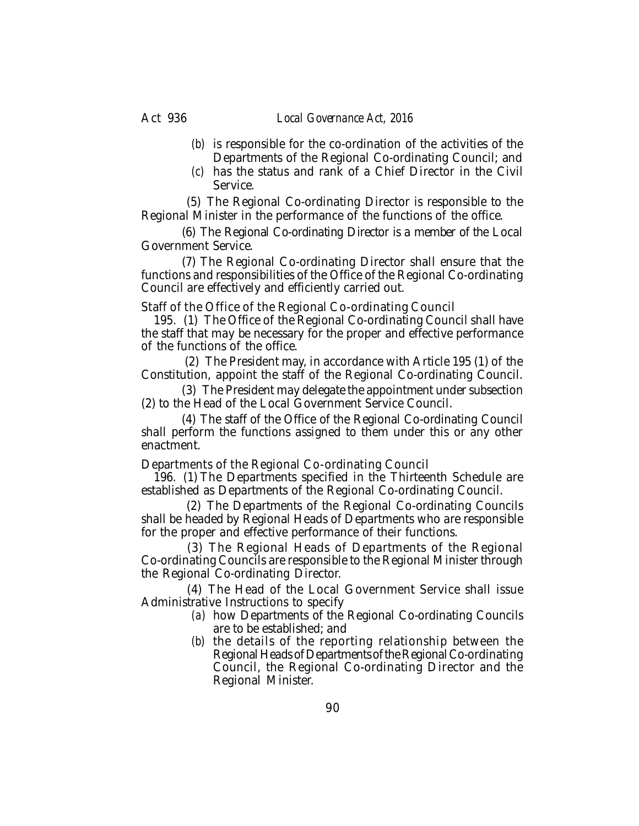- *(b)* is responsible for the co-ordination of the activities of the Departments of the Regional Co-ordinating Council; and
- *(c)* has the status and rank of a Chief Director in the Civil Service.

 (5) The Regional Co-ordinating Director is responsible to the Regional Minister in the performance of the functions of the office.

(6) The Regional Co-ordinating Director is a member of the Local Government Service.

(7) The Regional Co-ordinating Director shall ensure that the functions and responsibilities of the Office of the Regional Co-ordinating Council are effectively and efficiently carried out.

Staff of the Office of the Regional Co-ordinating Council

195. (1) The Office of the Regional Co-ordinating Council shall have the staff that may be necessary for the proper and effective performance of the functions of the office.

 (2) The President may, in accordance with Article 195 (1) of the Constitution, appoint the staff of the Regional Co-ordinating Council.

(3) The President may delegate the appointment under subsection (2) to the Head of the Local Government Service Council.

(4) The staff of the Office of the Regional Co-ordinating Council shall perform the functions assigned to them under this or any other enactment.

Departments of the Regional Co-ordinating Council

196. (1) The Departments specified in the Thirteenth Schedule are established as Departments of the Regional Co-ordinating Council.

 (2) The Departments of the Regional Co-ordinating Councils shall be headed by Regional Heads of Departments who are responsible for the proper and effective performance of their functions.

 (3) The Regional Heads of Departments of the Regional Co-ordinating Councils are responsible to the Regional Minister through the Regional Co-ordinating Director.

 (4) The Head of the Local Government Service shall issue Administrative Instructions to specify

- *(a)* how Departments of the Regional Co-ordinating Councils are to be established; and
- *(b)* the details of the reporting relationship between the Regional Heads of Departments of the Regional Co-ordinating Council, the Regional Co-ordinating Director and the Regional Minister.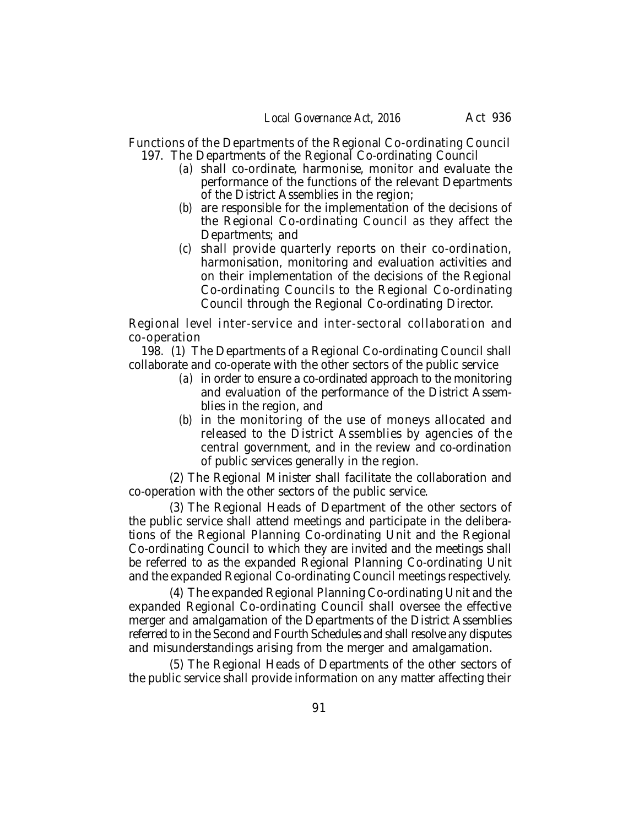Functions of the Departments of the Regional Co-ordinating Council 197. The Departments of the Regional Co-ordinating Council

- *(a)* shall co-ordinate, harmonise, monitor and evaluate the performance of the functions of the relevant Departments of the District Assemblies in the region;
- *(b)* are responsible for the implementation of the decisions of the Regional Co-ordinating Council as they affect the Departments; and
- *(c)* shall provide quarterly reports on their co-ordination, harmonisation, monitoring and evaluation activities and on their implementation of the decisions of the Regional Co-ordinating Councils to the Regional Co-ordinating Council through the Regional Co-ordinating Director.

Regional level inter-service and inter-sectoral collaboration and co-operation

198. (1) The Departments of a Regional Co-ordinating Council shall collaborate and co-operate with the other sectors of the public service

- *(a)* in order to ensure a co-ordinated approach to the monitoring and evaluation of the performance of the District Assemblies in the region, and
- *(b)* in the monitoring of the use of moneys allocated and released to the District Assemblies by agencies of the central government, and in the review and co-ordination of public services generally in the region.

(2) The Regional Minister shall facilitate the collaboration and co-operation with the other sectors of the public service.

(3) The Regional Heads of Department of the other sectors of the public service shall attend meetings and participate in the deliberations of the Regional Planning Co-ordinating Unit and the Regional Co-ordinating Council to which they are invited and the meetings shall be referred to as the expanded Regional Planning Co-ordinating Unit and the expanded Regional Co-ordinating Council meetings respectively.

(4) The expanded Regional Planning Co-ordinating Unit and the expanded Regional Co-ordinating Council shall oversee the effective merger and amalgamation of the Departments of the District Assemblies referred to in the Second and Fourth Schedules and shall resolve any disputes and misunderstandings arising from the merger and amalgamation.

(5) The Regional Heads of Departments of the other sectors of the public service shall provide information on any matter affecting their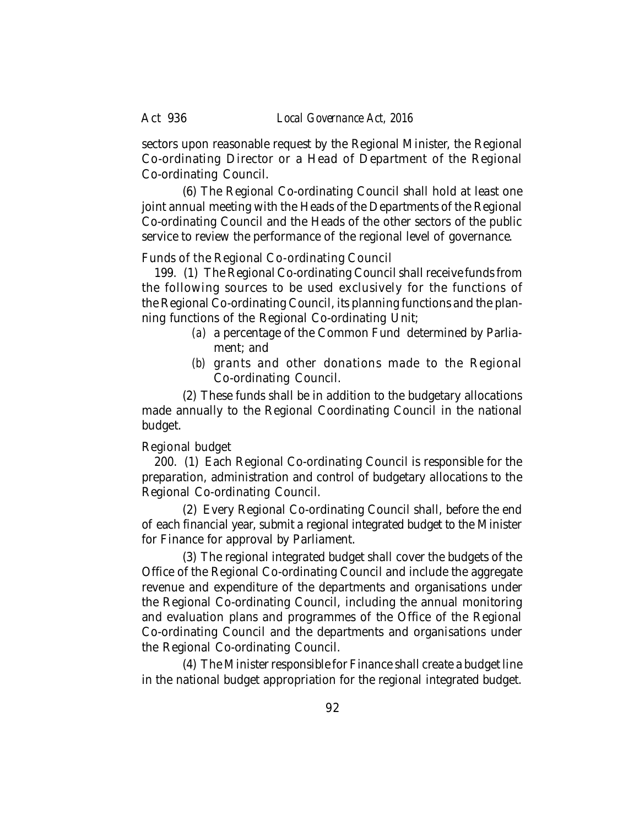sectors upon reasonable request by the Regional Minister, the Regional Co-ordinating Director or a Head of Department of the Regional Co-ordinating Council.

(6) The Regional Co-ordinating Council shall hold at least one joint annual meeting with the Heads of the Departments of the Regional Co-ordinating Council and the Heads of the other sectors of the public service to review the performance of the regional level of governance.

## Funds of the Regional Co-ordinating Council

199. (1) The Regional Co-ordinating Council shall receive funds from the following sources to be used exclusively for the functions of the Regional Co-ordinating Council, its planning functions and the planning functions of the Regional Co-ordinating Unit;

- *(a)* a percentage of the Common Fund determined by Parliament; and
- *(b)* grants and other donations made to the Regional Co-ordinating Council.

(2) These funds shall be in addition to the budgetary allocations made annually to the Regional Coordinating Council in the national budget.

## Regional budget

200. (1) Each Regional Co-ordinating Council is responsible for the preparation, administration and control of budgetary allocations to the Regional Co-ordinating Council.

(2) Every Regional Co-ordinating Council shall, before the end of each financial year, submit a regional integrated budget to the Minister for Finance for approval by Parliament.

(3) The regional integrated budget shall cover the budgets of the Office of the Regional Co-ordinating Council and include the aggregate revenue and expenditure of the departments and organisations under the Regional Co-ordinating Council, including the annual monitoring and evaluation plans and programmes of the Office of the Regional Co-ordinating Council and the departments and organisations under the Regional Co-ordinating Council.

(4) The Minister responsible for Finance shall create a budget line in the national budget appropriation for the regional integrated budget.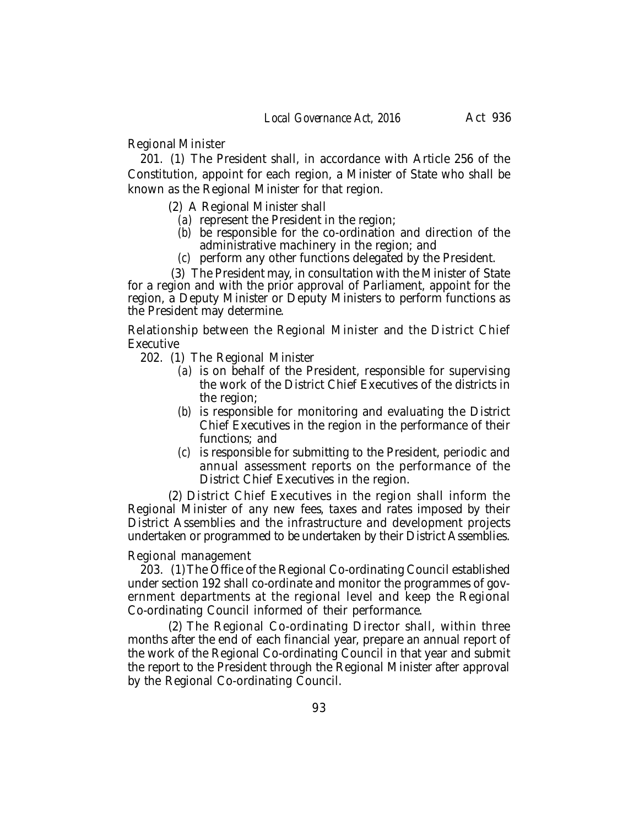Regional Minister

201. (1) The President shall, in accordance with Article 256 of the Constitution, appoint for each region, a Minister of State who shall be known as the Regional Minister for that region.

(2) A Regional Minister shall

- *(a)* represent the President in the region;
- *(b)* be responsible for the co-ordination and direction of the administrative machinery in the region; and
- *(c)* perform any other functions delegated by the President.

 (3) The President may, in consultation with the Minister of State for a region and with the prior approval of Parliament, appoint for the region, a Deputy Minister or Deputy Ministers to perform functions as the President may determine.

Relationship between the Regional Minister and the District Chief **Executive** 

- 202. (1) The Regional Minister
	- *(a)* is on behalf of the President, responsible for supervising the work of the District Chief Executives of the districts in the region;
	- *(b)* is responsible for monitoring and evaluating the District Chief Executives in the region in the performance of their functions; and
	- *(c)* is responsible for submitting to the President, periodic and annual assessment reports on the performance of the District Chief Executives in the region.

(2) District Chief Executives in the region shall inform the Regional Minister of any new fees, taxes and rates imposed by their District Assemblies and the infrastructure and development projects undertaken or programmed to be undertaken by their District Assemblies.

## Regional management

203. (1)The Office of the Regional Co-ordinating Council established under section 192 shall co-ordinate and monitor the programmes of government departments at the regional level and keep the Regional Co-ordinating Council informed of their performance.

(2) The Regional Co-ordinating Director shall, within three months after the end of each financial year, prepare an annual report of the work of the Regional Co-ordinating Council in that year and submit the report to the President through the Regional Minister after approval by the Regional Co-ordinating Council.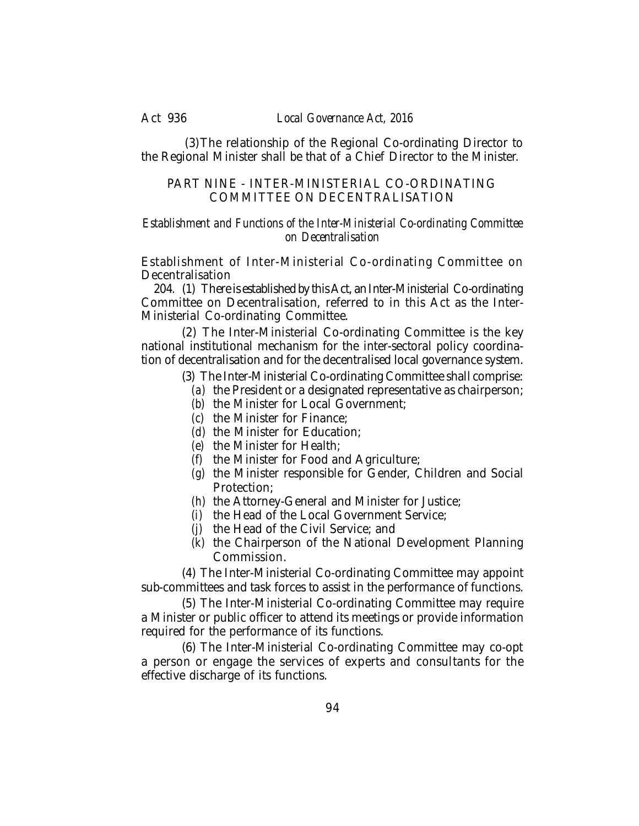Act 936 *Local Governance Act, 2016*

 (3)The relationship of the Regional Co-ordinating Director to the Regional Minister shall be that of a Chief Director to the Minister.

## PART NINE - INTER-MINISTERIAL CO-ORDINATING COMMITTEE ON DECENTRALISATION

## *Establishment and Functions of the Inter-Ministerial Co-ordinating Committee on Decentralisation*

Establishment of Inter-Ministerial Co-ordinating Committee on **Decentralisation** 

204. (1) There is established by this Act, an Inter-Ministerial Co-ordinating Committee on Decentralisation, referred to in this Act as the Inter-Ministerial Co-ordinating Committee.

(2) The Inter-Ministerial Co-ordinating Committee is the key national institutional mechanism for the inter-sectoral policy coordination of decentralisation and for the decentralised local governance system.

- (3) The Inter-Ministerial Co-ordinating Committee shall comprise:
	- *(a)* the President or a designated representative as chairperson;
	- *(b)* the Minister for Local Government;
	- *(c)* the Minister for Finance;
	- *(d)* the Minister for Education;
	- *(e)* the Minister for Health;
	- *(f)* the Minister for Food and Agriculture;
	- *(g)* the Minister responsible for Gender, Children and Social Protection;
	- *(h)* the Attorney-General and Minister for Justice;
	- *(i)* the Head of the Local Government Service;
	- *(j)* the Head of the Civil Service; and
	- *(k)* the Chairperson of the National Development Planning Commission.

(4) The Inter-Ministerial Co-ordinating Committee may appoint sub-committees and task forces to assist in the performance of functions.

(5) The Inter-Ministerial Co-ordinating Committee may require a Minister or public officer to attend its meetings or provide information required for the performance of its functions.

(6) The Inter-Ministerial Co-ordinating Committee may co-opt a person or engage the services of experts and consultants for the effective discharge of its functions.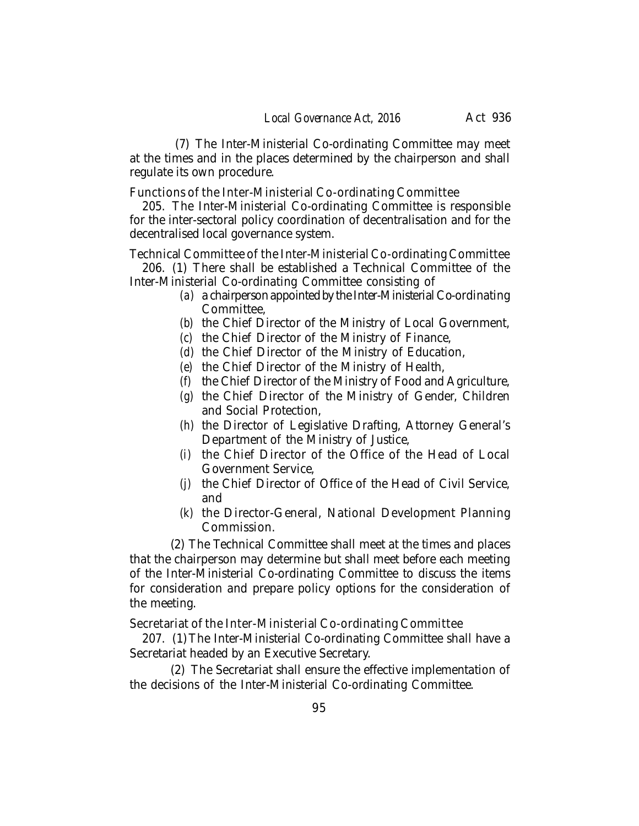(7) The Inter-Ministerial Co-ordinating Committee may meet at the times and in the places determined by the chairperson and shall regulate its own procedure.

Functions of the Inter-Ministerial Co-ordinating Committee

205. The Inter-Ministerial Co-ordinating Committee is responsible for the inter-sectoral policy coordination of decentralisation and for the decentralised local governance system.

Technical Committee of the Inter-Ministerial Co-ordinating Committee

206. (1) There shall be established a Technical Committee of the Inter-Ministerial Co-ordinating Committee consisting of

- *(a)* a chairperson appointed by the Inter-Ministerial Co-ordinating Committee,
- *(b)* the Chief Director of the Ministry of Local Government,
- *(c)* the Chief Director of the Ministry of Finance,
- *(d)* the Chief Director of the Ministry of Education,
- *(e)* the Chief Director of the Ministry of Health,
- *(f)* the Chief Director of the Ministry of Food and Agriculture,
- *(g)* the Chief Director of the Ministry of Gender, Children and Social Protection,
- *(h)* the Director of Legislative Drafting, Attorney General's Department of the Ministry of Justice,
- *(i)* the Chief Director of the Office of the Head of Local Government Service,
- *(j)* the Chief Director of Office of the Head of Civil Service, and
- *(k)* the Director-General, National Development Planning Commission.

(2) The Technical Committee shall meet at the times and places that the chairperson may determine but shall meet before each meeting of the Inter-Ministerial Co-ordinating Committee to discuss the items for consideration and prepare policy options for the consideration of the meeting.

Secretariat of the Inter-Ministerial Co-ordinating Committee

207. (1) The Inter-Ministerial Co-ordinating Committee shall have a Secretariat headed by an Executive Secretary.

(2) The Secretariat shall ensure the effective implementation of the decisions of the Inter-Ministerial Co-ordinating Committee.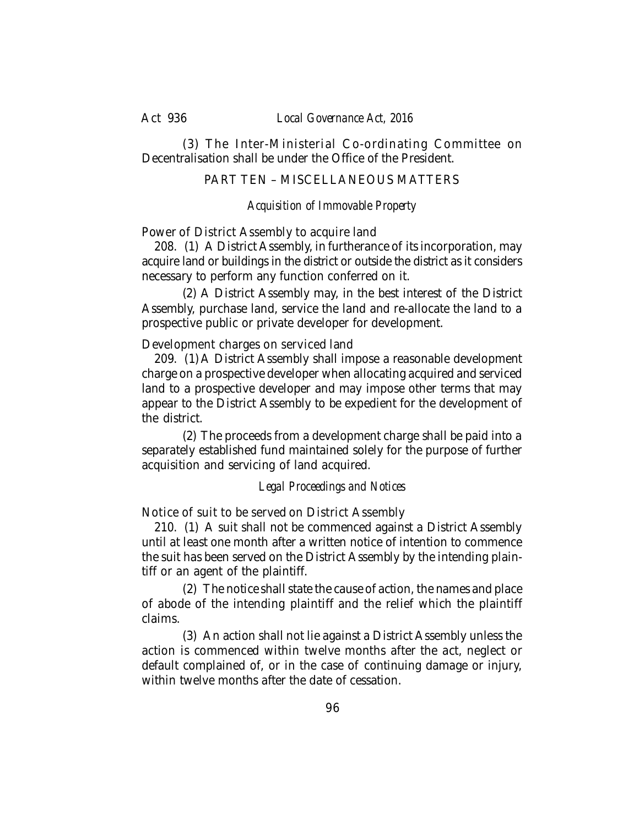Act 936 *Local Governance Act, 2016*

(3) The Inter-Ministerial Co-ordinating Committee on Decentralisation shall be under the Office of the President.

## PART TEN – MISCEL LANEOUS MATTERS

## *Acquisition of Immovable Property*

Power of District Assembly to acquire land

208. (1) A District Assembly, in furtherance of its incorporation, may acquire land or buildings in the district or outside the district as it considers necessary to perform any function conferred on it.

(2) A District Assembly may, in the best interest of the District Assembly, purchase land, service the land and re-allocate the land to a prospective public or private developer for development.

Development charges on serviced land

209. (1) A District Assembly shall impose a reasonable development charge on a prospective developer when allocating acquired and serviced land to a prospective developer and may impose other terms that may appear to the District Assembly to be expedient for the development of the district.

(2) The proceeds from a development charge shall be paid into a separately established fund maintained solely for the purpose of further acquisition and servicing of land acquired.

## *Legal Proceedings and Notices*

Notice of suit to be served on District Assembly

210. (1) A suit shall not be commenced against a District Assembly until at least one month after a written notice of intention to commence the suit has been served on the District Assembly by the intending plaintiff or an agent of the plaintiff.

(2) The notice shall state the cause of action, the names and place of abode of the intending plaintiff and the relief which the plaintiff claims.

(3) An action shall not lie against a District Assembly unless the action is commenced within twelve months after the act, neglect or default complained of, or in the case of continuing damage or injury, within twelve months after the date of cessation.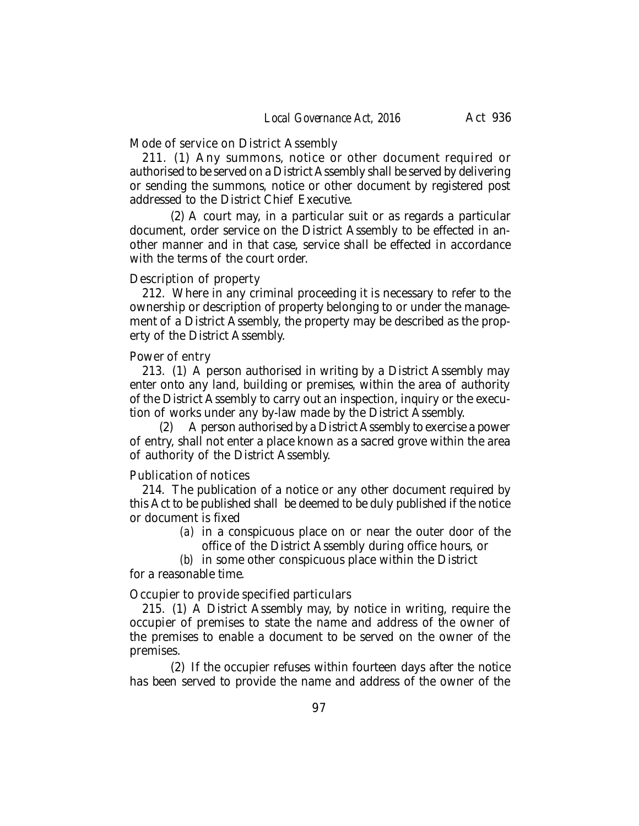Mode of service on District Assembly

211. (1) Any summons, notice or other document required or authorised to be served on a District Assembly shall be served by delivering or sending the summons, notice or other document by registered post addressed to the District Chief Executive.

(2) A court may, in a particular suit or as regards a particular document, order service on the District Assembly to be effected in another manner and in that case, service shall be effected in accordance with the terms of the court order.

### Description of property

212. Where in any criminal proceeding it is necessary to refer to the ownership or description of property belonging to or under the management of a District Assembly, the property may be described as the property of the District Assembly.

## Power of entry

213. (1) A person authorised in writing by a District Assembly may enter onto any land, building or premises, within the area of authority of the District Assembly to carry out an inspection, inquiry or the execution of works under any by-law made by the District Assembly.

(2) A person authorised by a District Assembly to exercise a power of entry, shall not enter a place known as a sacred grove within the area of authority of the District Assembly.

## Publication of notices

214. The publication of a notice or any other document required by this Act to be published shall be deemed to be duly published if the notice or document is fixed

*(a)* in a conspicuous place on or near the outer door of the office of the District Assembly during office hours, or

*(b)* in some other conspicuous place within the District for a reasonable time.

Occupier to provide specified particulars

215. (1) A District Assembly may, by notice in writing, require the occupier of premises to state the name and address of the owner of the premises to enable a document to be served on the owner of the premises.

(2) If the occupier refuses within fourteen days after the notice has been served to provide the name and address of the owner of the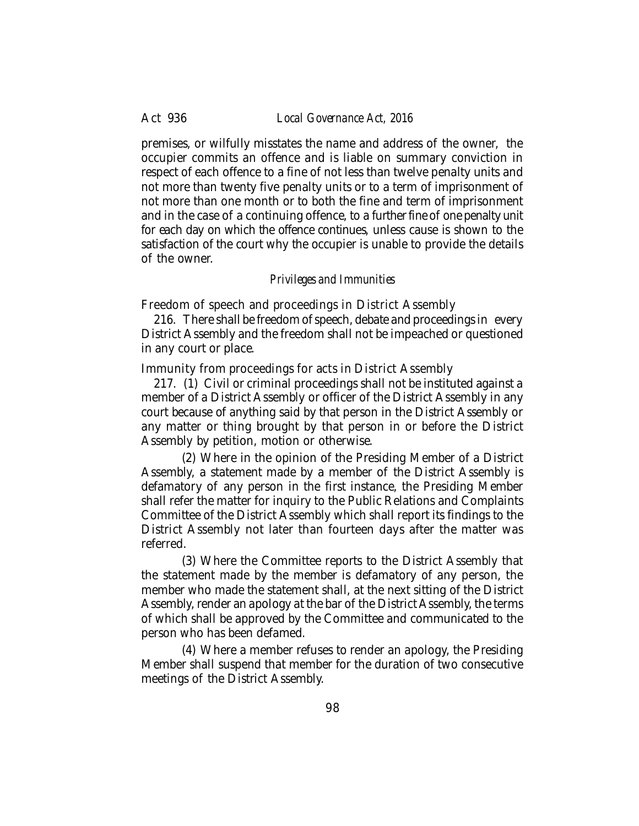premises, or wilfully misstates the name and address of the owner, the occupier commits an offence and is liable on summary conviction in respect of each offence to a fine of not less than twelve penalty units and not more than twenty five penalty units or to a term of imprisonment of not more than one month or to both the fine and term of imprisonment and in the case of a continuing offence, to a further fine of one penalty unit for each day on which the offence continues, unless cause is shown to the satisfaction of the court why the occupier is unable to provide the details of the owner.

## *Privileges and Immunities*

Freedom of speech and proceedings in District Assembly

216. There shall be freedom of speech, debate and proceedings in every District Assembly and the freedom shall not be impeached or questioned in any court or place.

Immunity from proceedings for acts in District Assembly

217. (1) Civil or criminal proceedings shall not be instituted against a member of a District Assembly or officer of the District Assembly in any court because of anything said by that person in the District Assembly or any matter or thing brought by that person in or before the District Assembly by petition, motion or otherwise.

(2) Where in the opinion of the Presiding Member of a District Assembly, a statement made by a member of the District Assembly is defamatory of any person in the first instance, the Presiding Member shall refer the matter for inquiry to the Public Relations and Complaints Committee of the District Assembly which shall report its findings to the District Assembly not later than fourteen days after the matter was referred.

(3) Where the Committee reports to the District Assembly that the statement made by the member is defamatory of any person, the member who made the statement shall, at the next sitting of the District Assembly, render an apology at the bar of the District Assembly, the terms of which shall be approved by the Committee and communicated to the person who has been defamed.

(4) Where a member refuses to render an apology, the Presiding Member shall suspend that member for the duration of two consecutive meetings of the District Assembly.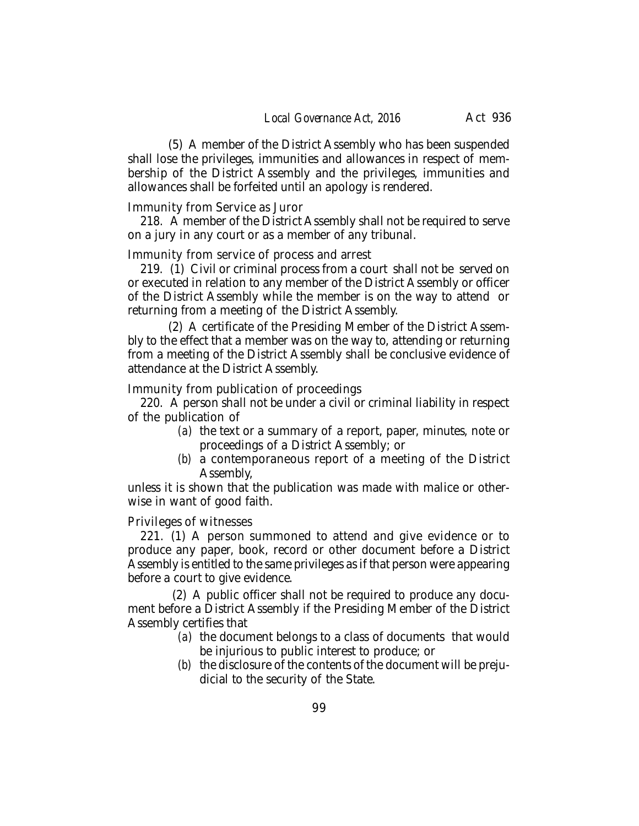(5) A member of the District Assembly who has been suspended shall lose the privileges, immunities and allowances in respect of membership of the District Assembly and the privileges, immunities and allowances shall be forfeited until an apology is rendered.

### Immunity from Service as Juror

218. A member of the District Assembly shall not be required to serve on a jury in any court or as a member of any tribunal.

### Immunity from service of process and arrest

219. (1) Civil or criminal process from a court shall not be served on or executed in relation to any member of the District Assembly or officer of the District Assembly while the member is on the way to attend or returning from a meeting of the District Assembly.

(2) A certificate of the Presiding Member of the District Assembly to the effect that a member was on the way to, attending or returning from a meeting of the District Assembly shall be conclusive evidence of attendance at the District Assembly.

Immunity from publication of proceedings

220. A person shall not be under a civil or criminal liability in respect of the publication of

- *(a)* the text or a summary of a report, paper, minutes, note or proceedings of a District Assembly; or
- *(b)* a contemporaneous report of a meeting of the District Assembly,

unless it is shown that the publication was made with malice or otherwise in want of good faith.

### Privileges of witnesses

221. (1) A person summoned to attend and give evidence or to produce any paper, book, record or other document before a District Assembly is entitled to the same privileges as if that person were appearing before a court to give evidence.

 (2) A public officer shall not be required to produce any document before a District Assembly if the Presiding Member of the District Assembly certifies that

- *(a)* the document belongs to a class of documents that would be injurious to public interest to produce; or
- *(b)* the disclosure of the contents of the document will be prejudicial to the security of the State.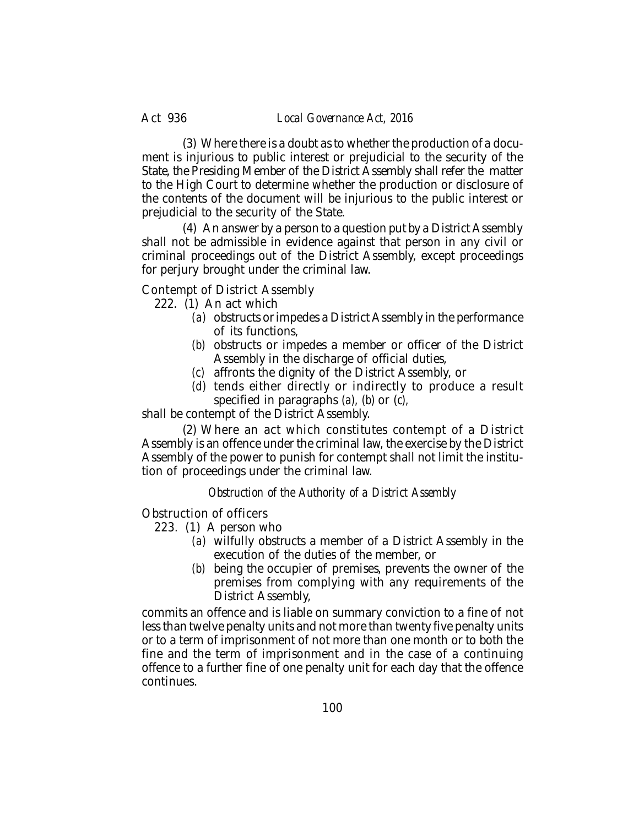(3) Where there is a doubt as to whether the production of a document is injurious to public interest or prejudicial to the security of the State, the Presiding Member of the District Assembly shall refer the matter to the High Court to determine whether the production or disclosure of the contents of the document will be injurious to the public interest or prejudicial to the security of the State.

(4) An answer by a person to a question put by a District Assembly shall not be admissible in evidence against that person in any civil or criminal proceedings out of the District Assembly, except proceedings for perjury brought under the criminal law.

Contempt of District Assembly

- 222. (1) An act which
	- *(a)* obstructs or impedes a District Assembly in the performance of its functions,
	- *(b)* obstructs or impedes a member or officer of the District Assembly in the discharge of official duties,
	- *(c)* affronts the dignity of the District Assembly, or
	- *(d)* tends either directly or indirectly to produce a result specified in paragraphs *(a), (b)* or (*c),*

shall be contempt of the District Assembly.

(2) Where an act which constitutes contempt of a District Assembly is an offence under the criminal law, the exercise by the District Assembly of the power to punish for contempt shall not limit the institution of proceedings under the criminal law.

*Obstruction of the Authority of a District Assembly*

Obstruction of officers

223. (1) A person who

- *(a)* wilfully obstructs a member of a District Assembly in the execution of the duties of the member, or
- *(b)* being the occupier of premises, prevents the owner of the premises from complying with any requirements of the District Assembly,

commits an offence and is liable on summary conviction to a fine of not less than twelve penalty units and not more than twenty five penalty units or to a term of imprisonment of not more than one month or to both the fine and the term of imprisonment and in the case of a continuing offence to a further fine of one penalty unit for each day that the offence continues.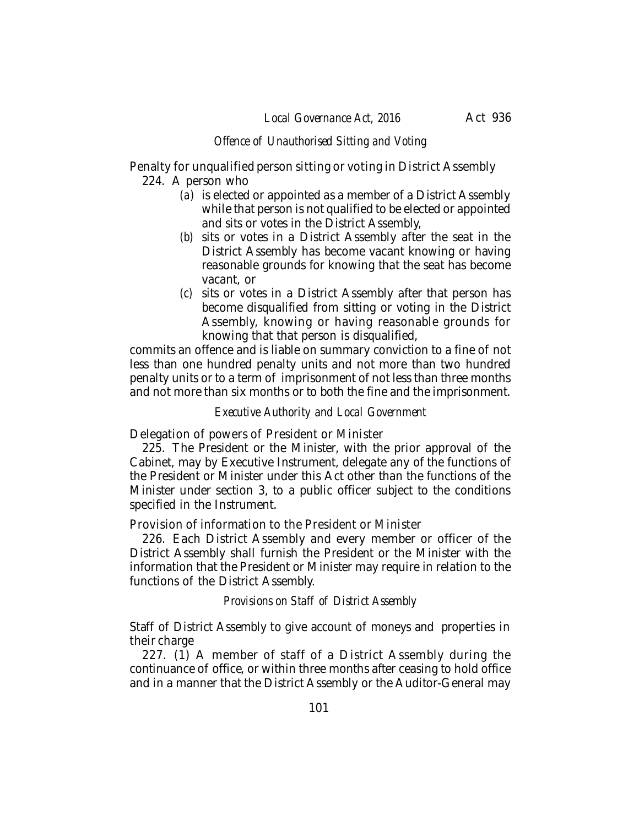## *Offence of Unauthorised Sitting and Voting*

Penalty for unqualified person sitting or voting in District Assembly 224. A person who

- *(a)* is elected or appointed as a member of a District Assembly while that person is not qualified to be elected or appointed and sits or votes in the District Assembly,
- *(b)* sits or votes in a District Assembly after the seat in the District Assembly has become vacant knowing or having reasonable grounds for knowing that the seat has become vacant, or
- *(c)* sits or votes in a District Assembly after that person has become disqualified from sitting or voting in the District Assembly, knowing or having reasonable grounds for knowing that that person is disqualified,

commits an offence and is liable on summary conviction to a fine of not less than one hundred penalty units and not more than two hundred penalty units or to a term of imprisonment of not less than three months and not more than six months or to both the fine and the imprisonment.

### *Executive Authority and Local Government*

Delegation of powers of President or Minister

225. The President or the Minister, with the prior approval of the Cabinet, may by Executive Instrument, delegate any of the functions of the President or Minister under this Act other than the functions of the Minister under section 3, to a public officer subject to the conditions specified in the Instrument.

Provision of information to the President or Minister

226. Each District Assembly and every member or officer of the District Assembly shall furnish the President or the Minister with the information that the President or Minister may require in relation to the functions of the District Assembly.

*Provisions on Staff of District Assembly*

Staff of District Assembly to give account of moneys and properties in their charge

227. (1) A member of staff of a District Assembly during the continuance of office, or within three months after ceasing to hold office and in a manner that the District Assembly or the Auditor-General may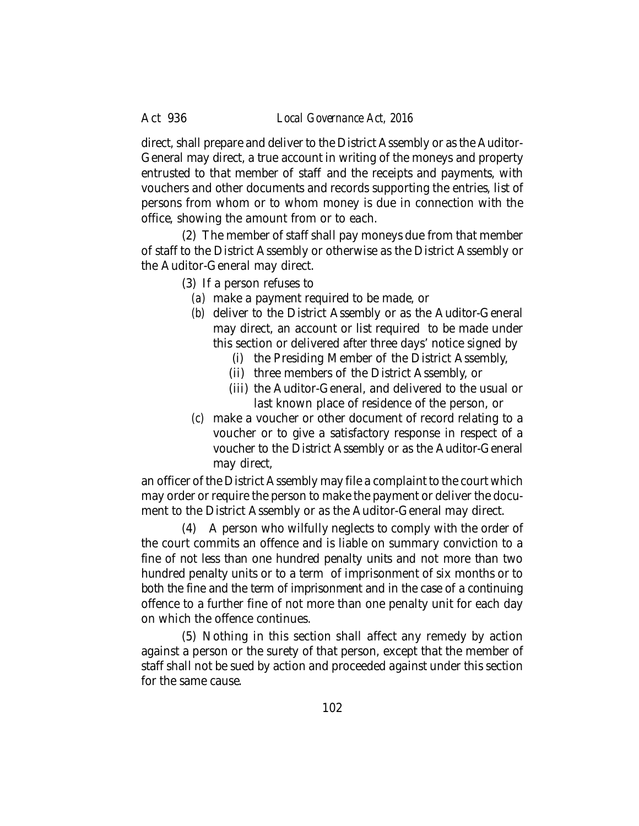direct, shall prepare and deliver to the District Assembly or as the Auditor-General may direct, a true account in writing of the moneys and property entrusted to that member of staff and the receipts and payments, with vouchers and other documents and records supporting the entries, list of persons from whom or to whom money is due in connection with the office, showing the amount from or to each.

(2) The member of staff shall pay moneys due from that member of staff to the District Assembly or otherwise as the District Assembly or the Auditor-General may direct.

- (3) If a person refuses to
	- *(a)* make a payment required to be made, or
	- *(b)* deliver to the District Assembly or as the Auditor-General may direct, an account or list required to be made under this section or delivered after three days' notice signed by
		- (i) the Presiding Member of the District Assembly,
		- (ii) three members of the District Assembly, or
		- (iii) the Auditor-General, and delivered to the usual or last known place of residence of the person, or
	- *(c)* make a voucher or other document of record relating to a voucher or to give a satisfactory response in respect of a voucher to the District Assembly or as the Auditor-General may direct,

an officer of the District Assembly may file a complaint to the court which may order or require the person to make the payment or deliver the document to the District Assembly or as the Auditor-General may direct.

(4) A person who wilfully neglects to comply with the order of the court commits an offence and is liable on summary conviction to a fine of not less than one hundred penalty units and not more than two hundred penalty units or to a term of imprisonment of six months or to both the fine and the term of imprisonment and in the case of a continuing offence to a further fine of not more than one penalty unit for each day on which the offence continues.

(5) Nothing in this section shall affect any remedy by action against a person or the surety of that person, except that the member of staff shall not be sued by action and proceeded against under this section for the same cause.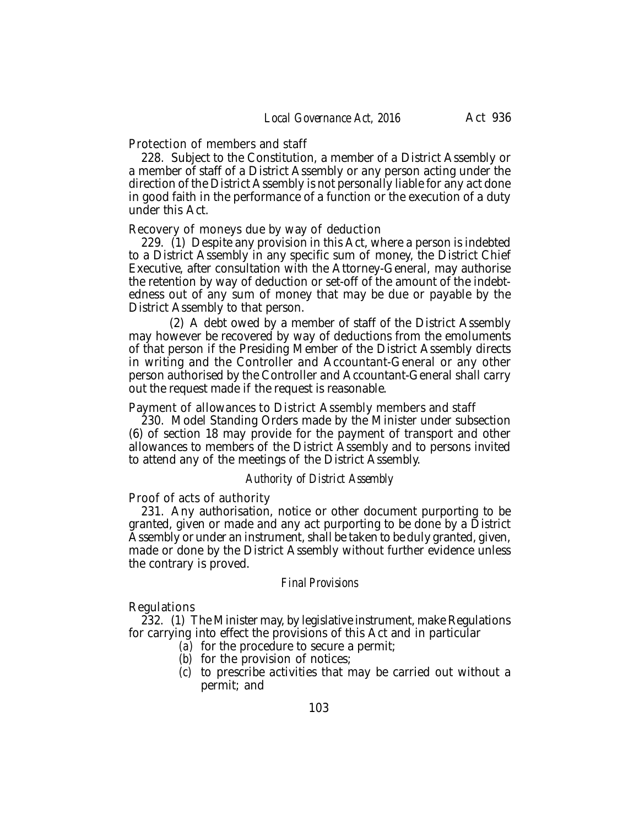Protection of members and staff

228. Subject to the Constitution, a member of a District Assembly or a member of staff of a District Assembly or any person acting under the direction of the District Assembly is not personally liable for any act done in good faith in the performance of a function or the execution of a duty under this Act.

#### Recovery of moneys due by way of deduction

229. (1) Despite any provision in this Act, where a person is indebted to a District Assembly in any specific sum of money, the District Chief Executive, after consultation with the Attorney-General, may authorise the retention by way of deduction or set-off of the amount of the indebtedness out of any sum of money that may be due or payable by the District Assembly to that person.

(2) A debt owed by a member of staff of the District Assembly may however be recovered by way of deductions from the emoluments of that person if the Presiding Member of the District Assembly directs in writing and the Controller and Accountant-General or any other person authorised by the Controller and Accountant-General shall carry out the request made if the request is reasonable.

Payment of allowances to District Assembly members and staff

230. Model Standing Orders made by the Minister under subsection (6) of section 18 may provide for the payment of transport and other allowances to members of the District Assembly and to persons invited to attend any of the meetings of the District Assembly.

### *Authority of District Assembly*

Proof of acts of authority

231. Any authorisation, notice or other document purporting to be granted, given or made and any act purporting to be done by a District Assembly or under an instrument, shall be taken to be duly granted, given, made or done by the District Assembly without further evidence unless the contrary is proved.

#### *Final Provisions*

#### Regulations

232. (1) The Minister may, by legislative instrument, make Regulations for carrying into effect the provisions of this Act and in particular

- *(a)* for the procedure to secure a permit;
- *(b)* for the provision of notices;
- *(c)* to prescribe activities that may be carried out without a permit; and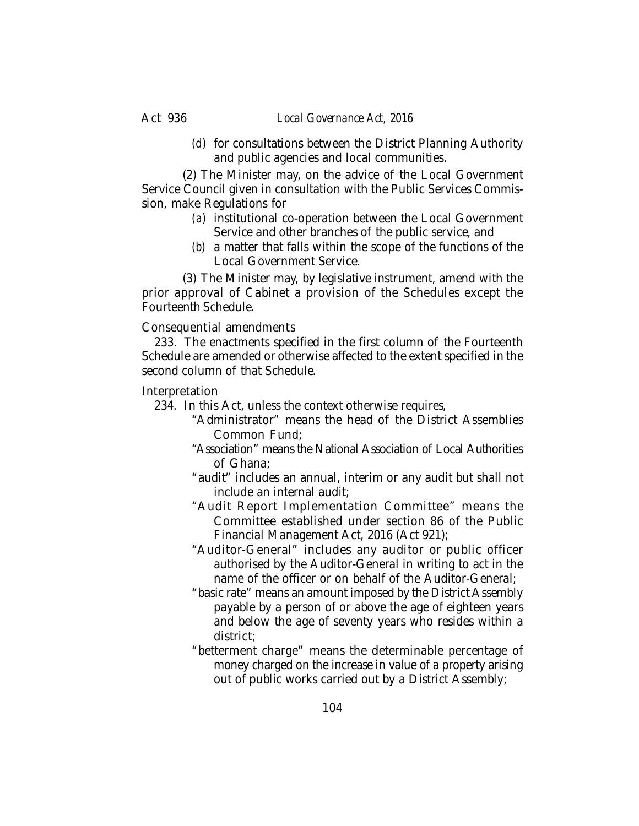*(d)* for consultations between the District Planning Authority and public agencies and local communities.

(2) The Minister may, on the advice of the Local Government Service Council given in consultation with the Public Services Commission, make Regulations for

- *(a)* institutional co-operation between the Local Government Service and other branches of the public service, and
- *(b)* a matter that falls within the scope of the functions of the Local Government Service.

(3) The Minister may, by legislative instrument, amend with the prior approval of Cabinet a provision of the Schedules except the Fourteenth Schedule.

Consequential amendments

233. The enactments specified in the first column of the Fourteenth Schedule are amended or otherwise affected to the extent specified in the second column of that Schedule.

Interpretation

- 234. In this Act, unless the context otherwise requires,
	- "Administrator" means the head of the District Assemblies Common Fund;
	- "Association" means the National Association of Local Authorities of Ghana;
	- "audit" includes an annual, interim or any audit but shall not include an internal audit;
	- "Audit Report Implementation Committee" means the Committee established under section 86 of the Public Financial Management Act, 2016 (Act 921);
	- "Auditor-General" includes any auditor or public officer authorised by the Auditor-General in writing to act in the name of the officer or on behalf of the Auditor-General;
	- "basic rate" means an amount imposed by the District Assembly payable by a person of or above the age of eighteen years and below the age of seventy years who resides within a district;
	- "betterment charge" means the determinable percentage of money charged on the increase in value of a property arising out of public works carried out by a District Assembly;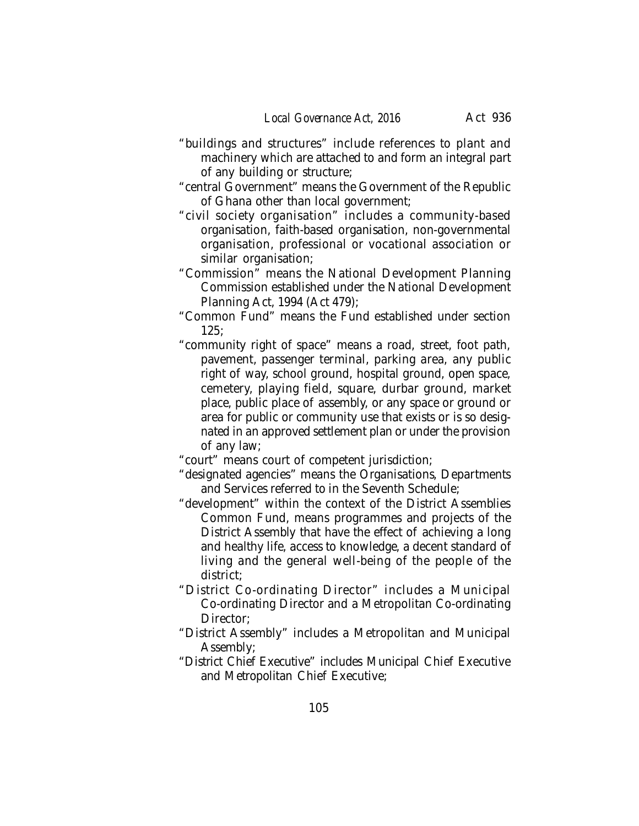- "buildings and structures" include references to plant and machinery which are attached to and form an integral part of any building or structure;
- "central Government" means the Government of the Republic of Ghana other than local government;
- "civil society organisation" includes a community-based organisation, faith-based organisation, non-governmental organisation, professional or vocational association or similar organisation;
- "Commission" means the National Development Planning Commission established under the National Development Planning Act, 1994 (Act 479);
- "Common Fund" means the Fund established under section  $125:$
- "community right of space" means a road, street, foot path, pavement, passenger terminal, parking area, any public right of way, school ground, hospital ground, open space, cemetery, playing field, square, durbar ground, market place, public place of assembly, or any space or ground or area for public or community use that exists or is so designated in an approved settlement plan or under the provision of any law;

"court" means court of competent jurisdiction;

- "designated agencies" means the Organisations, Departments and Services referred to in the Seventh Schedule;
- "development" within the context of the District Assemblies Common Fund, means programmes and projects of the District Assembly that have the effect of achieving a long and healthy life, access to knowledge, a decent standard of living and the general well-being of the people of the district;
- "District Co-ordinating Director" includes a Municipal Co-ordinating Director and a Metropolitan Co-ordinating Director;
- "District Assembly" includes a Metropolitan and Municipal Assembly;
- "District Chief Executive" includes Municipal Chief Executive and Metropolitan Chief Executive;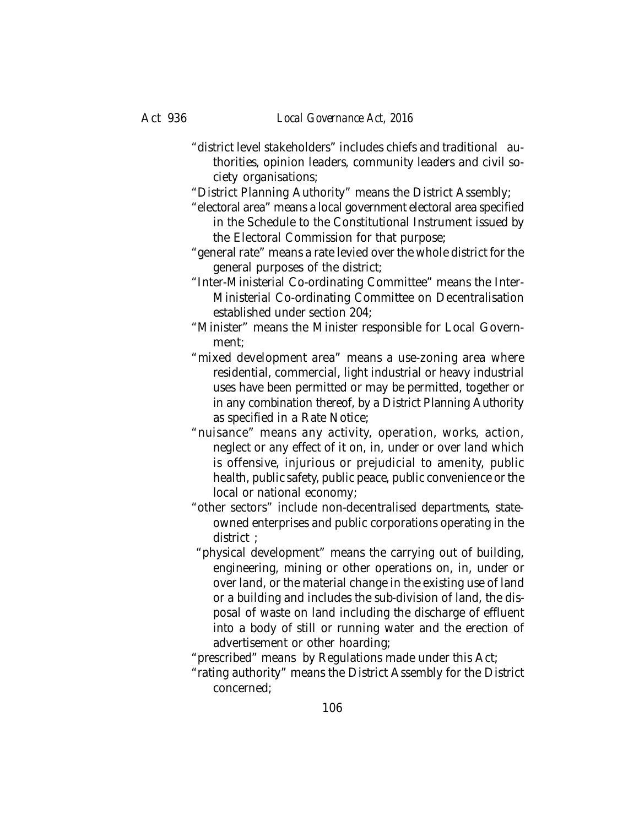- "district level stakeholders" includes chiefs and traditional authorities, opinion leaders, community leaders and civil society organisations;
- "District Planning Authority" means the District Assembly;
- "electoral area" means a local government electoral area specified in the Schedule to the Constitutional Instrument issued by the Electoral Commission for that purpose;
- "general rate" means a rate levied over the whole district for the general purposes of the district;
- "Inter-Ministerial Co-ordinating Committee" means the Inter-Ministerial Co-ordinating Committee on Decentralisation established under section 204;
- "Minister" means the Minister responsible for Local Government;
- "mixed development area" means a use-zoning area where residential, commercial, light industrial or heavy industrial uses have been permitted or may be permitted, together or in any combination thereof, by a District Planning Authority as specified in a Rate Notice;
- "nuisance" means any activity, operation, works, action, neglect or any effect of it on, in, under or over land which is offensive, injurious or prejudicial to amenity, public health, public safety, public peace, public convenience or the local or national economy;
- "other sectors" include non-decentralised departments, stateowned enterprises and public corporations operating in the district ;
- "physical development" means the carrying out of building, engineering, mining or other operations on, in, under or over land, or the material change in the existing use of land or a building and includes the sub-division of land, the disposal of waste on land including the discharge of effluent into a body of still or running water and the erection of advertisement or other hoarding;
- "prescribed" means by Regulations made under this Act;
- "rating authority" means the District Assembly for the District concerned;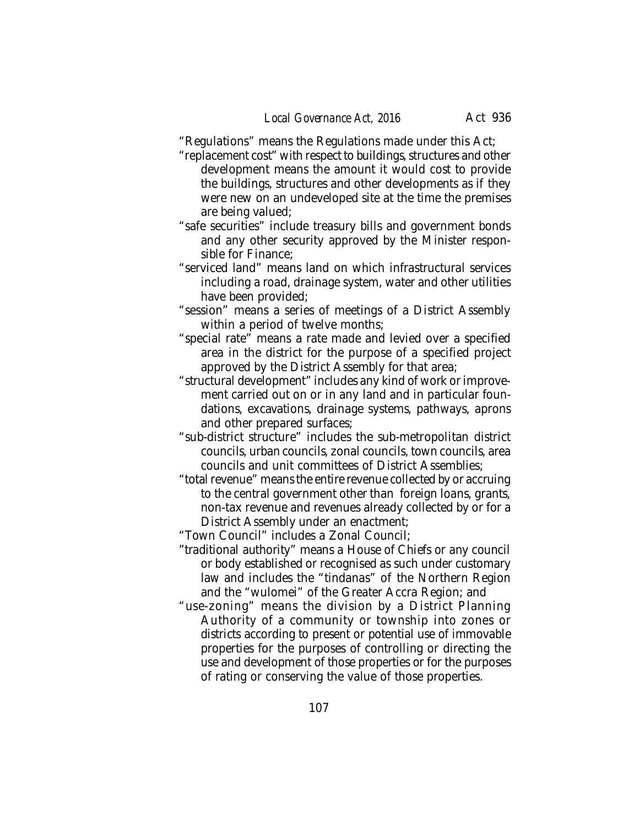"Regulations" means the Regulations made under this Act;

- "replacement cost" with respect to buildings, structures and other development means the amount it would cost to provide the buildings, structures and other developments as if they were new on an undeveloped site at the time the premises are being valued;
- "safe securities" include treasury bills and government bonds and any other security approved by the Minister responsible for Finance;
- "serviced land" means land on which infrastructural services including a road, drainage system, water and other utilities have been provided;
- "session" means a series of meetings of a District Assembly within a period of twelve months;
- "special rate" means a rate made and levied over a specified area in the district for the purpose of a specified project approved by the District Assembly for that area;
- "structural development" includes any kind of work or improvement carried out on or in any land and in particular foundations, excavations, drainage systems, pathways, aprons and other prepared surfaces;
- "sub-district structure" includes the sub-metropolitan district councils, urban councils, zonal councils, town councils, area councils and unit committees of District Assemblies;
- "total revenue" means the entire revenue collected by or accruing to the central government other than foreign loans, grants, non-tax revenue and revenues already collected by or for a District Assembly under an enactment;

"Town Council" includes a Zonal Council;

- "traditional authority" means a House of Chiefs or any council or body established or recognised as such under customary law and includes the "tindanas" of the Northern Region and the "wulomei" of the Greater Accra Region; and
- "use-zoning" means the division by a District Planning Authority of a community or township into zones or districts according to present or potential use of immovable properties for the purposes of controlling or directing the use and development of those properties or for the purposes of rating or conserving the value of those properties.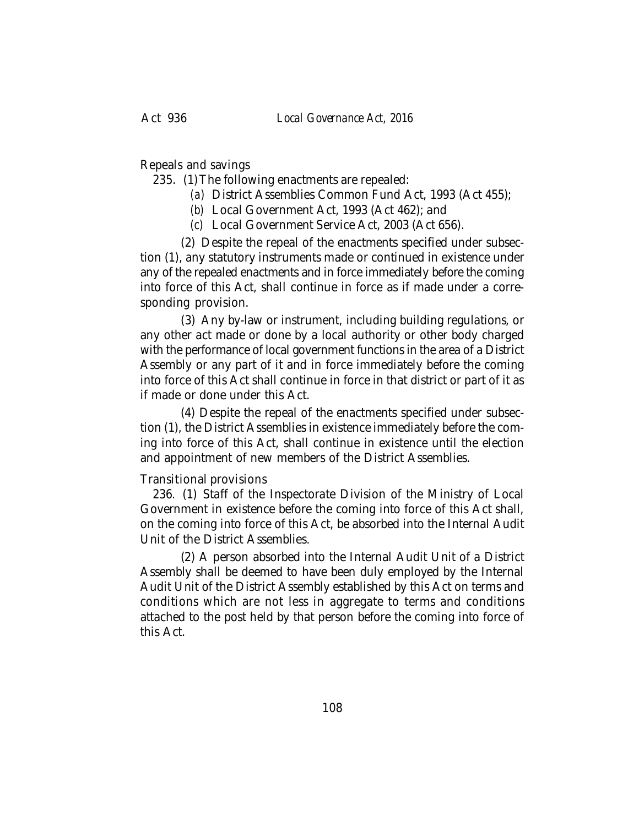Repeals and savings

235. (1)The following enactments are repealed:

- *(a)* District Assemblies Common Fund Act, 1993 (Act 455);
- *(b)* Local Government Act, 1993 (Act 462); and
- *(c)* Local Government Service Act, 2003 (Act 656).

(2) Despite the repeal of the enactments specified under subsection (1), any statutory instruments made or continued in existence under any of the repealed enactments and in force immediately before the coming into force of this Act, shall continue in force as if made under a corresponding provision.

(3) Any by-law or instrument, including building regulations, or any other act made or done by a local authority or other body charged with the performance of local government functions in the area of a District Assembly or any part of it and in force immediately before the coming into force of this Act shall continue in force in that district or part of it as if made or done under this Act.

(4) Despite the repeal of the enactments specified under subsection (1), the District Assemblies in existence immediately before the coming into force of this Act, shall continue in existence until the election and appointment of new members of the District Assemblies.

# Transitional provisions

236. (1) Staff of the Inspectorate Division of the Ministry of Local Government in existence before the coming into force of this Act shall, on the coming into force of this Act, be absorbed into the Internal Audit Unit of the District Assemblies.

(2) A person absorbed into the Internal Audit Unit of a District Assembly shall be deemed to have been duly employed by the Internal Audit Unit of the District Assembly established by this Act on terms and conditions which are not less in aggregate to terms and conditions attached to the post held by that person before the coming into force of this Act.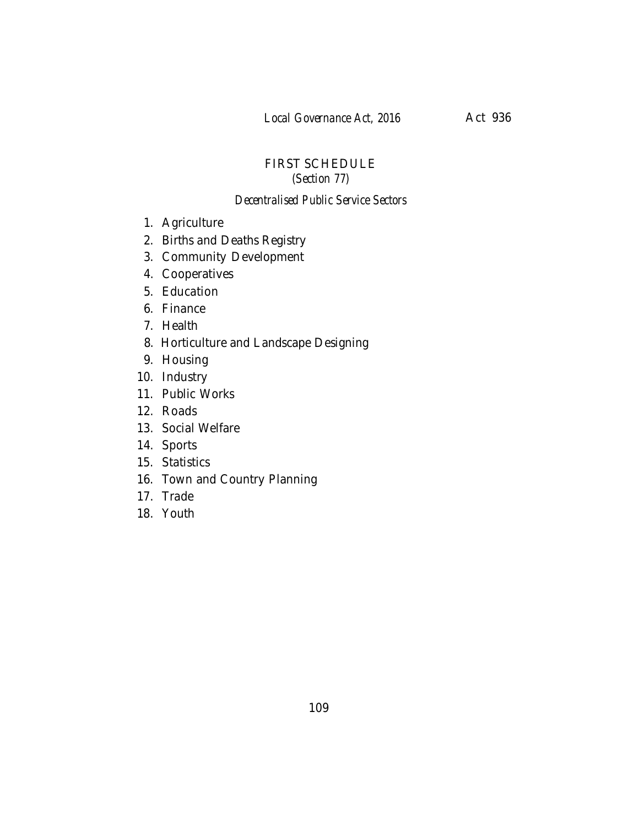# FIRST SCHEDULE *(Section 77)*

#### *Decentralised Public Service Sectors*

- 1. Agriculture
- 2. Births and Deaths Registry
- 3. Community Development
- 4. Cooperatives
- 5. Education
- 6. Finance
- 7. Health
- 8. Horticulture and Landscape Designing
- 9. Housing
- 10. Industry
- 11. Public Works
- 12. Roads
- 13. Social Welfare
- 14. Sports
- 15. Statistics
- 16. Town and Country Planning
- 17. Trade
- 18. Youth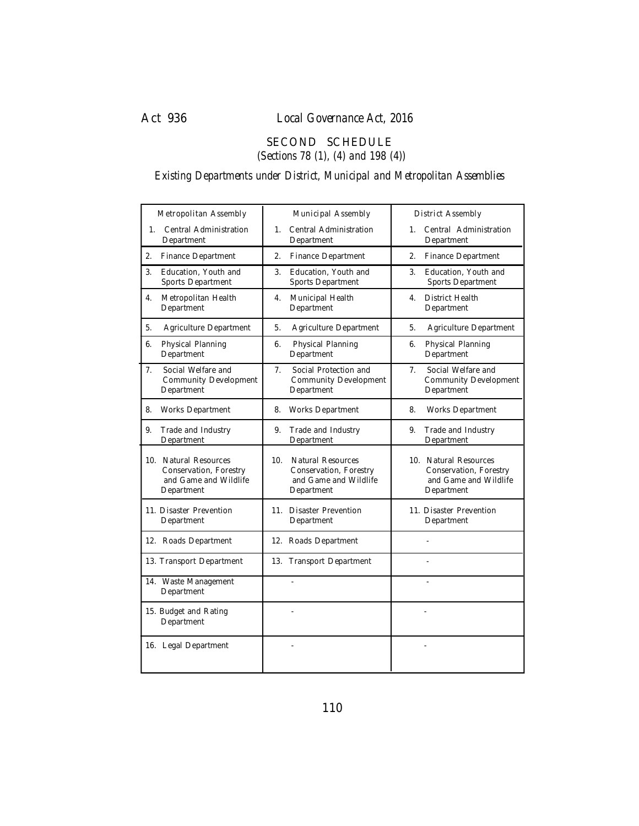### SECOND SCHEDULE  *(Sections 78 (1), (4) and 198 (4))*

# *Existing Departments under District, Municipal and Metropolitan Assemblies*

| Metropolitan Assembly                                                                  | Municipal Assembly                                                                               | District Assembly                                                                      |
|----------------------------------------------------------------------------------------|--------------------------------------------------------------------------------------------------|----------------------------------------------------------------------------------------|
| Central Administration                                                                 | $1_{-}$                                                                                          | $1_{\ldots}$                                                                           |
| $1_{-}$                                                                                | Central Administration                                                                           | Central Administration                                                                 |
| Department                                                                             | Department                                                                                       | Department                                                                             |
| Finance Department                                                                     | 2.                                                                                               | 2.                                                                                     |
| 2.                                                                                     | Finance Department                                                                               | Finance Department                                                                     |
| Education, Youth and                                                                   | Education, Youth and                                                                             | Education, Youth and                                                                   |
| 3.                                                                                     | 3.                                                                                               | 3.                                                                                     |
| Sports Department                                                                      | Sports Department                                                                                | Sports Department                                                                      |
| 4.                                                                                     | Municipal Health                                                                                 | <b>District Health</b>                                                                 |
| Metropolitan Health                                                                    | 4.                                                                                               | 4.                                                                                     |
| Department                                                                             | Department                                                                                       | Department                                                                             |
| 5.                                                                                     | Agriculture Department                                                                           | Agriculture Department                                                                 |
| Agriculture Department                                                                 | 5.                                                                                               | 5.                                                                                     |
| 6.                                                                                     | 6.                                                                                               | 6.                                                                                     |
| Physical Planning                                                                      | Physical Planning                                                                                | Physical Planning                                                                      |
| Department                                                                             | Department                                                                                       | Department                                                                             |
| Social Welfare and                                                                     | Social Protection and                                                                            | Social Welfare and                                                                     |
| 7.                                                                                     | 7 <sup>1</sup>                                                                                   | 7 <sup>1</sup>                                                                         |
| <b>Community Development</b>                                                           | <b>Community Development</b>                                                                     | <b>Community Development</b>                                                           |
| Department                                                                             | Department                                                                                       | Department                                                                             |
| 8.                                                                                     | 8.                                                                                               | 8.                                                                                     |
| Works Department                                                                       | Works Department                                                                                 | Works Department                                                                       |
| 9.                                                                                     | Trade and Industry                                                                               | 9.                                                                                     |
| Trade and Industry                                                                     | 9.                                                                                               | Trade and Industry                                                                     |
| Department                                                                             | Department                                                                                       | Department                                                                             |
| 10. Natural Resources<br>Conservation, Forestry<br>and Game and Wildlife<br>Department | 10.<br><b>Natural Resources</b><br>Conservation, Forestry<br>and Game and Wildlife<br>Department | 10. Natural Resources<br>Conservation, Forestry<br>and Game and Wildlife<br>Department |
| 11. Disaster Prevention                                                                | 11. Disaster Prevention                                                                          | 11. Disaster Prevention                                                                |
| Department                                                                             | Department                                                                                       | Department                                                                             |
| 12. Roads Department                                                                   | 12. Roads Department                                                                             |                                                                                        |
| 13. Transport Department                                                               | 13. Transport Department                                                                         |                                                                                        |
| 14. Waste Management<br>Department                                                     | ä,                                                                                               | $\sim$                                                                                 |
| 15. Budget and Rating<br>Department                                                    |                                                                                                  |                                                                                        |
| 16. Legal Department                                                                   |                                                                                                  |                                                                                        |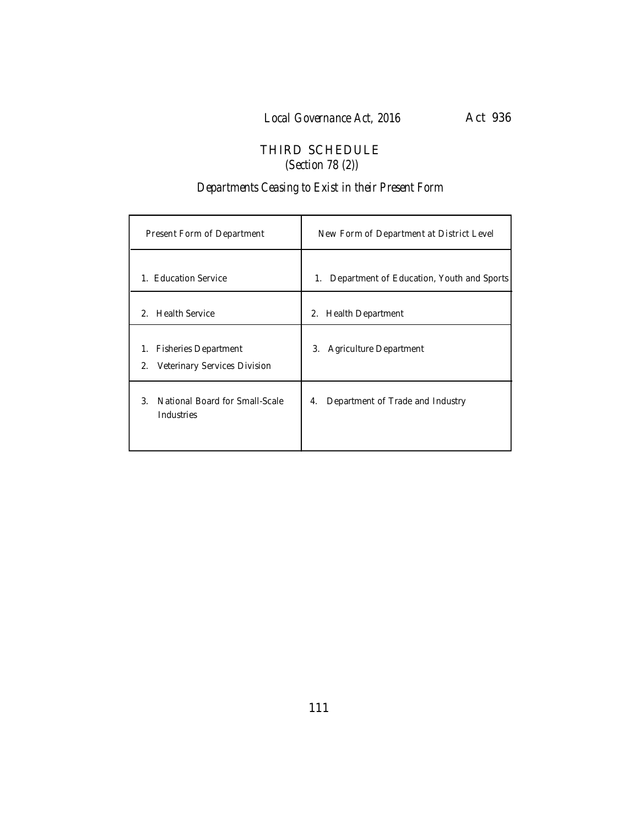# THIRD SCHEDULE  *(Section 78 (2))*

# *Departments Ceasing to Exist in their Present Form*

| Present Form of Department                                              | New Form of Department at District Level        |
|-------------------------------------------------------------------------|-------------------------------------------------|
| 1. Education Service                                                    | Department of Education, Youth and Sports<br>1. |
| 2. Health Service                                                       | <b>Health Department</b><br>2.                  |
| <b>Fisheries Department</b><br>1.<br>Veterinary Services Division<br>2. | <b>Agriculture Department</b><br>3.             |
| 3 <sub>1</sub><br>National Board for Small-Scale<br>Industries          | Department of Trade and Industry<br>4.          |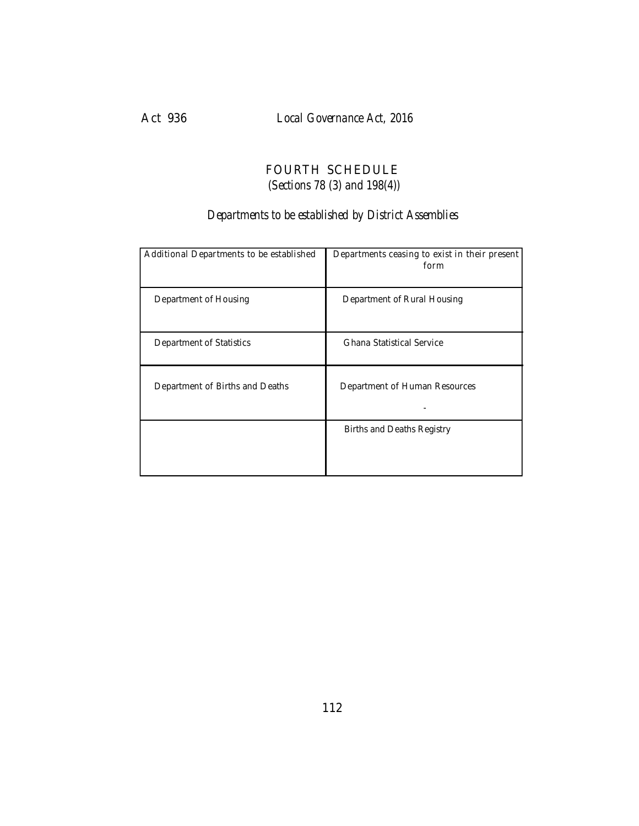# FOURTH SCHEDULE  *(Sections 78 (3) and 198(4))*

# *Departments to be established by District Assemblies*

| Additional Departments to be established | Departments ceasing to exist in their present<br>form |
|------------------------------------------|-------------------------------------------------------|
| Department of Housing                    | Department of Rural Housing                           |
| Department of Statistics                 | Ghana Statistical Service                             |
| Department of Births and Deaths          | Department of Human Resources                         |
|                                          | Births and Deaths Registry                            |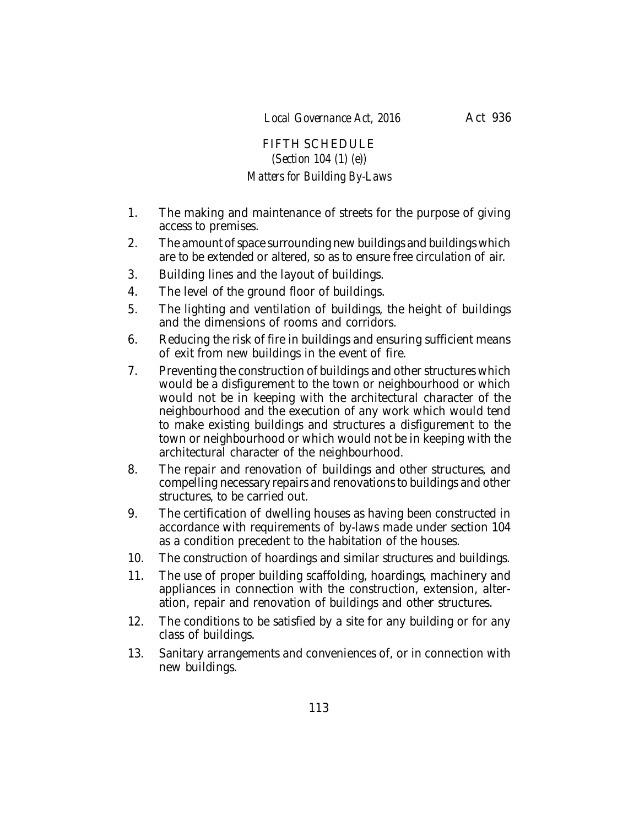# FIFTH SCHEDULE *(Section 104 (1) (e)) Matters for Building By-Laws*

- 1. The making and maintenance of streets for the purpose of giving access to premises.
- 2. The amount of space surrounding new buildings and buildings which are to be extended or altered, so as to ensure free circulation of air.
- 3. Building lines and the layout of buildings.
- 4. The level of the ground floor of buildings.
- 5. The lighting and ventilation of buildings, the height of buildings and the dimensions of rooms and corridors.
- 6. Reducing the risk of fire in buildings and ensuring sufficient means of exit from new buildings in the event of fire.
- 7. Preventing the construction of buildings and other structures which would be a disfigurement to the town or neighbourhood or which would not be in keeping with the architectural character of the neighbourhood and the execution of any work which would tend to make existing buildings and structures a disfigurement to the town or neighbourhood or which would not be in keeping with the architectural character of the neighbourhood.
- 8. The repair and renovation of buildings and other structures, and compelling necessary repairs and renovations to buildings and other structures, to be carried out.
- 9. The certification of dwelling houses as having been constructed in accordance with requirements of by-laws made under section 104 as a condition precedent to the habitation of the houses.
- 10. The construction of hoardings and similar structures and buildings.
- 11. The use of proper building scaffolding, hoardings, machinery and appliances in connection with the construction, extension, alteration, repair and renovation of buildings and other structures.
- 12. The conditions to be satisfied by a site for any building or for any class of buildings.
- 13. Sanitary arrangements and conveniences of, or in connection with new buildings.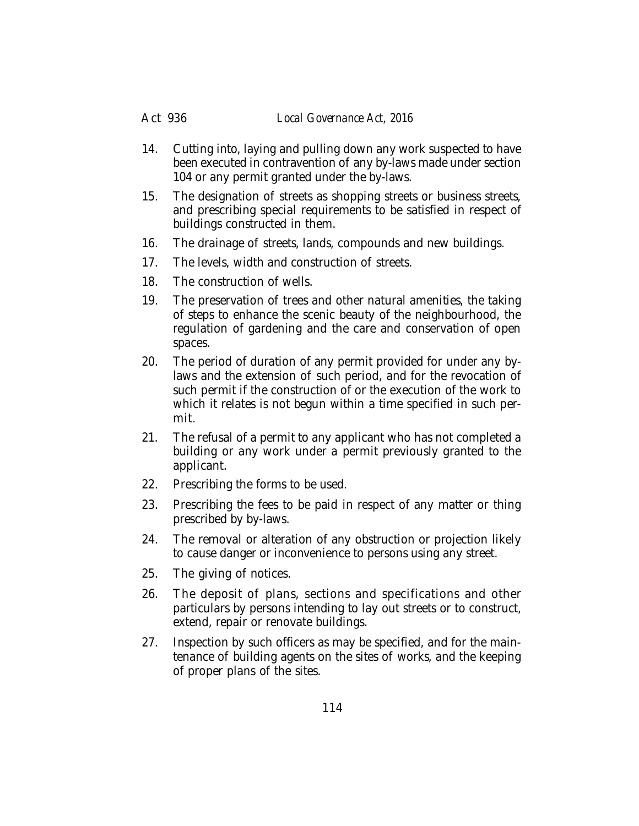#### Act 936 *Local Governance Act, 2016*

- 14. Cutting into, laying and pulling down any work suspected to have been executed in contravention of any by-laws made under section 104 or any permit granted under the by-laws.
- 15. The designation of streets as shopping streets or business streets, and prescribing special requirements to be satisfied in respect of buildings constructed in them.
- 16. The drainage of streets, lands, compounds and new buildings.
- 17. The levels, width and construction of streets.
- 18. The construction of wells.
- 19. The preservation of trees and other natural amenities, the taking of steps to enhance the scenic beauty of the neighbourhood, the regulation of gardening and the care and conservation of open spaces.
- 20. The period of duration of any permit provided for under any bylaws and the extension of such period, and for the revocation of such permit if the construction of or the execution of the work to which it relates is not begun within a time specified in such permit.
- 21. The refusal of a permit to any applicant who has not completed a building or any work under a permit previously granted to the applicant.
- 22. Prescribing the forms to be used.
- 23. Prescribing the fees to be paid in respect of any matter or thing prescribed by by-laws.
- 24. The removal or alteration of any obstruction or projection likely to cause danger or inconvenience to persons using any street.
- 25. The giving of notices.
- 26. The deposit of plans, sections and specifications and other particulars by persons intending to lay out streets or to construct, extend, repair or renovate buildings.
- 27. Inspection by such officers as may be specified, and for the maintenance of building agents on the sites of works, and the keeping of proper plans of the sites.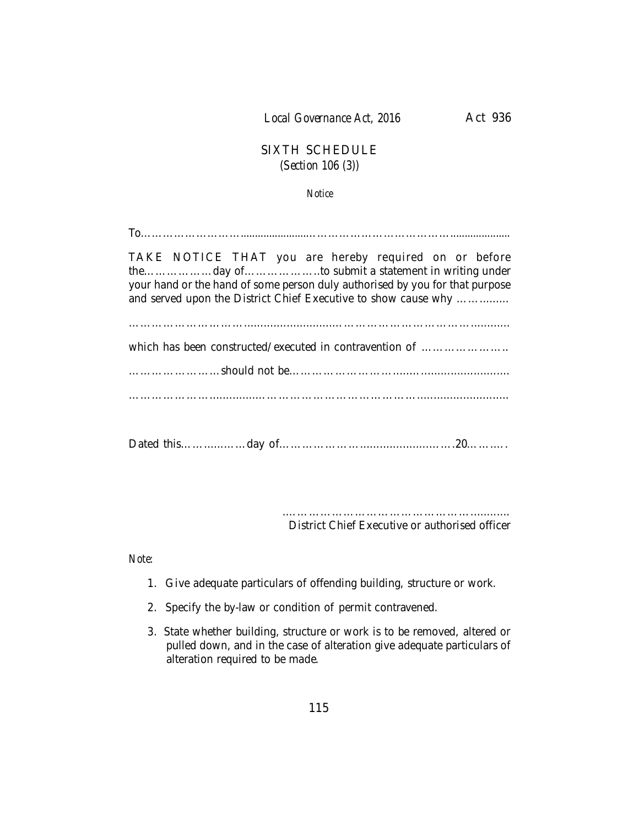# SIXTH SCHEDULE *(Section 106 (3))*

*Notice*

To……………………….......................…………………………………..................... TAKE NOTICE THAT you are hereby required on or before the………………day of………………..to submit a statement in writing under your hand or the hand of some person duly authorised by you for that purpose and served upon the District Chief Executive to show cause why ................ …………………………...........................………………………………............ which has been constructed/executed in contravention of …………………… ……………………should not be……………………….....…........................... …………………..............……………………………………............................ Dated this……......……day of………………….....................…….20…….….

> .…………………………………………............ District Chief Executive or authorised officer

*Note:*

- 1. Give adequate particulars of offending building, structure or work.
- 2. Specify the by-law or condition of permit contravened.
- 3. State whether building, structure or work is to be removed, altered or pulled down, and in the case of alteration give adequate particulars of alteration required to be made.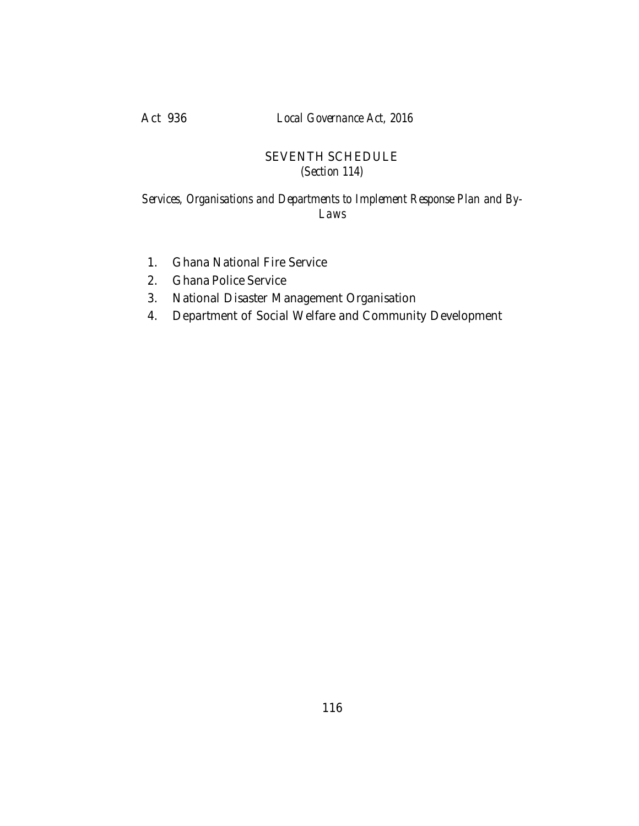Act 936 *Local Governance Act, 2016*

# SEVENTH SCHEDULE *(Section 114)*

### *Services, Organisations and Departments to Implement Response Plan and By-Laws*

- 1. Ghana National Fire Service
- 2. Ghana Police Service
- 3. National Disaster Management Organisation
- 4. Department of Social Welfare and Community Development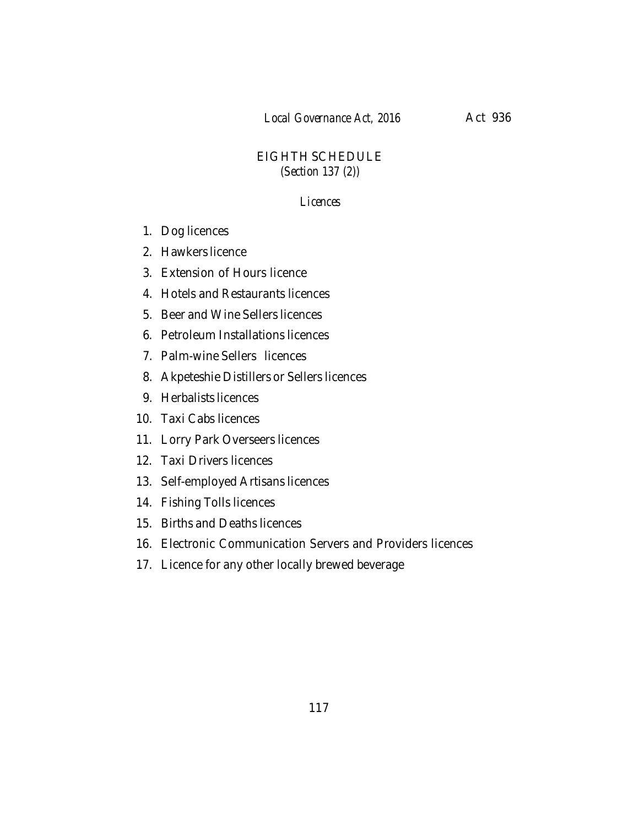## EIGHTH SCHEDULE *(Section 137 (2))*

#### *Licences*

- 1. Dog licences
- 2. Hawkers licence
- 3. Extension of Hours licence
- 4. Hotels and Restaurants licences
- 5. Beer and Wine Sellers licences
- 6. Petroleum Installations licences
- 7. Palm-wine Sellers licences
- 8. Akpeteshie Distillers or Sellers licences
- 9. Herbalists licences
- 10. Taxi Cabs licences
- 11. Lorry Park Overseers licences
- 12. Taxi Drivers licences
- 13. Self-employed Artisans licences
- 14. Fishing Tolls licences
- 15. Births and Deaths licences
- 16. Electronic Communication Servers and Providers licences
- 17. Licence for any other locally brewed beverage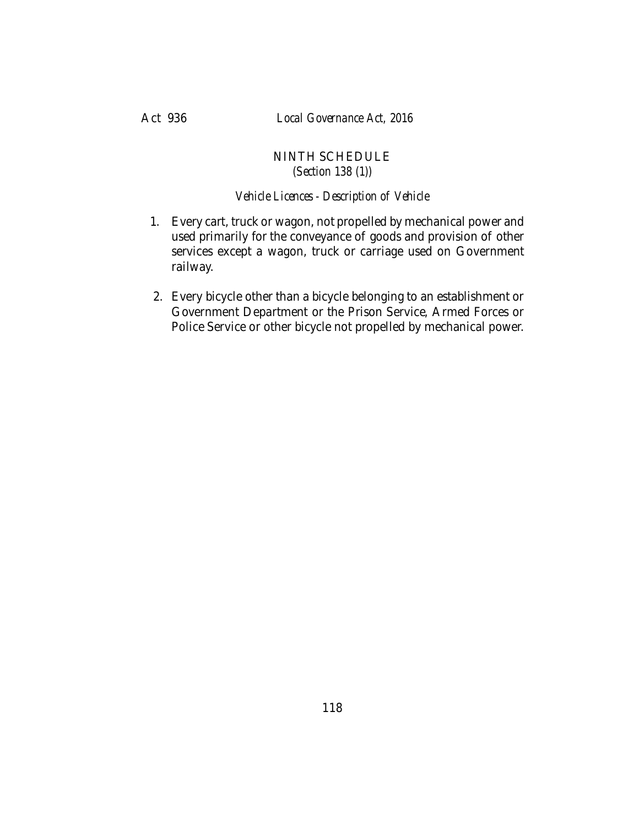### NINTH SCHEDULE *(Section 138 (1))*

### *Vehicle Licences - Description of Vehicle*

- 1. Every cart, truck or wagon, not propelled by mechanical power and used primarily for the conveyance of goods and provision of other services except a wagon, truck or carriage used on Government railway.
- 2. Every bicycle other than a bicycle belonging to an establishment or Government Department or the Prison Service, Armed Forces or Police Service or other bicycle not propelled by mechanical power.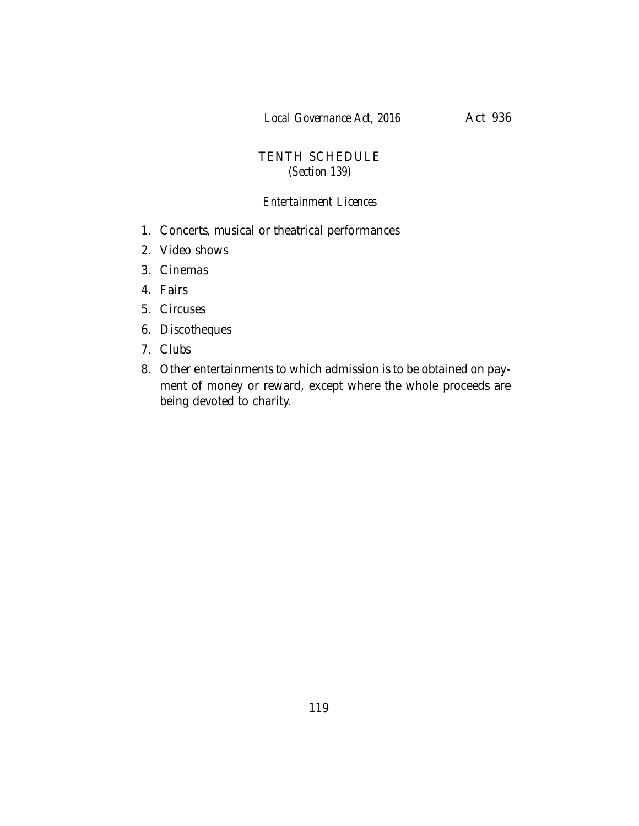## TENTH SCHEDULE *(Section 139)*

#### *Entertainment Licences*

- 1. Concerts, musical or theatrical performances
- 2. Video shows
- 3. Cinemas
- 4. Fairs
- 5. Circuses
- 6. Discotheques
- 7. Clubs
- 8. Other entertainments to which admission is to be obtained on payment of money or reward, except where the whole proceeds are being devoted to charity.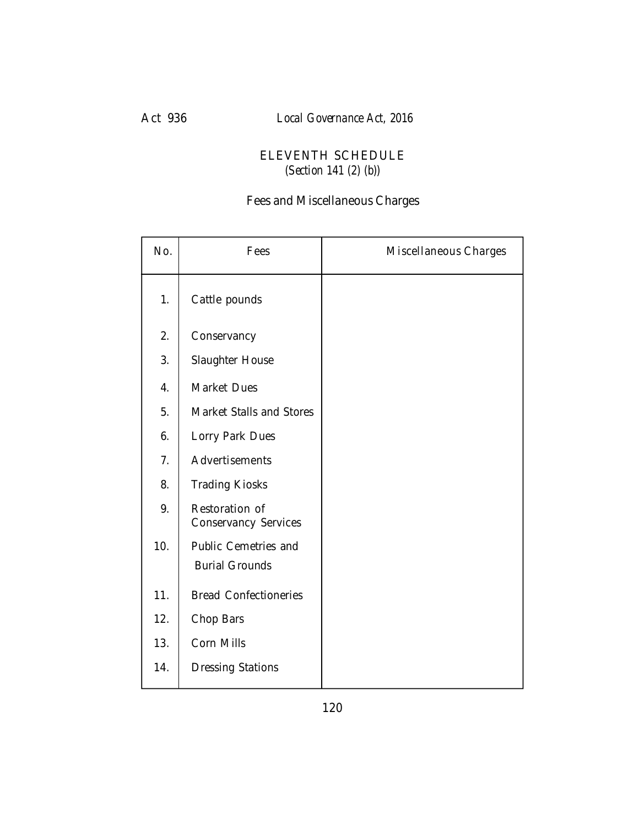# Act 936 *Local Governance Act, 2016*

# ELEVENTH SCHEDULE *(Section 141 (2) (b))*

# Fees and Miscellaneous Charges

| No. | Fees                                          | Miscellaneous Charges |
|-----|-----------------------------------------------|-----------------------|
| 1.  | Cattle pounds                                 |                       |
| 2.  | Conservancy                                   |                       |
| 3.  | Slaughter House                               |                       |
| 4.  | Market Dues                                   |                       |
| 5.  | Market Stalls and Stores                      |                       |
| 6.  | Lorry Park Dues                               |                       |
| 7.  | Advertisements                                |                       |
| 8.  | <b>Trading Kiosks</b>                         |                       |
| 9.  | Restoration of<br>Conservancy Services        |                       |
| 10. | Public Cemetries and<br><b>Burial Grounds</b> |                       |
| 11. | <b>Bread Confectioneries</b>                  |                       |
| 12. | Chop Bars                                     |                       |
| 13. | Corn Mills                                    |                       |
| 14. | <b>Dressing Stations</b>                      |                       |
|     |                                               |                       |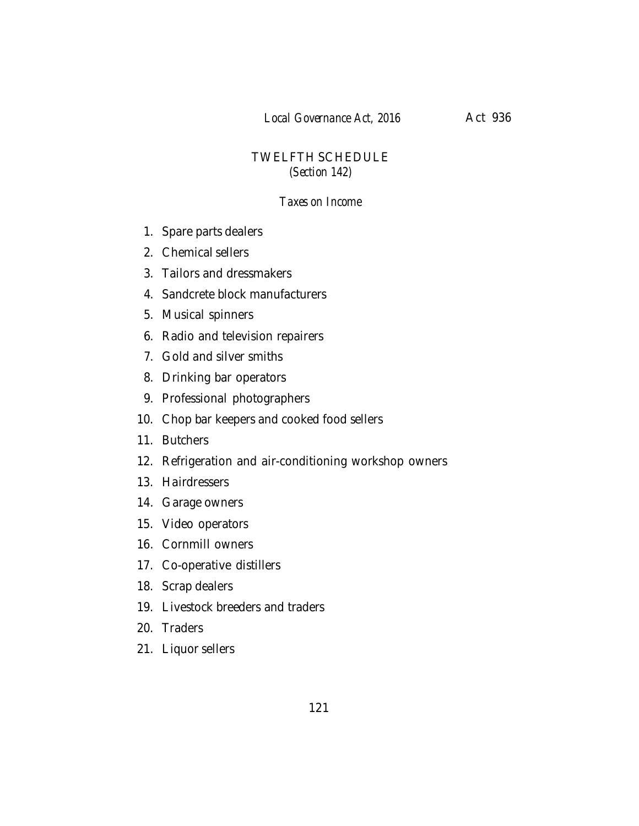# TWELFTH SCHEDULE *(Section 142)*

### *Taxes on Income*

- 1. Spare parts dealers
- 2. Chemical sellers
- 3. Tailors and dressmakers
- 4. Sandcrete block manufacturers
- 5. Musical spinners
- 6. Radio and television repairers
- 7. Gold and silver smiths
- 8. Drinking bar operators
- 9. Professional photographers
- 10. Chop bar keepers and cooked food sellers
- 11. Butchers
- 12. Refrigeration and air-conditioning workshop owners
- 13. Hairdressers
- 14. Garage owners
- 15. Video operators
- 16. Cornmill owners
- 17. Co-operative distillers
- 18. Scrap dealers
- 19. Livestock breeders and traders
- 20. Traders
- 21. Liquor sellers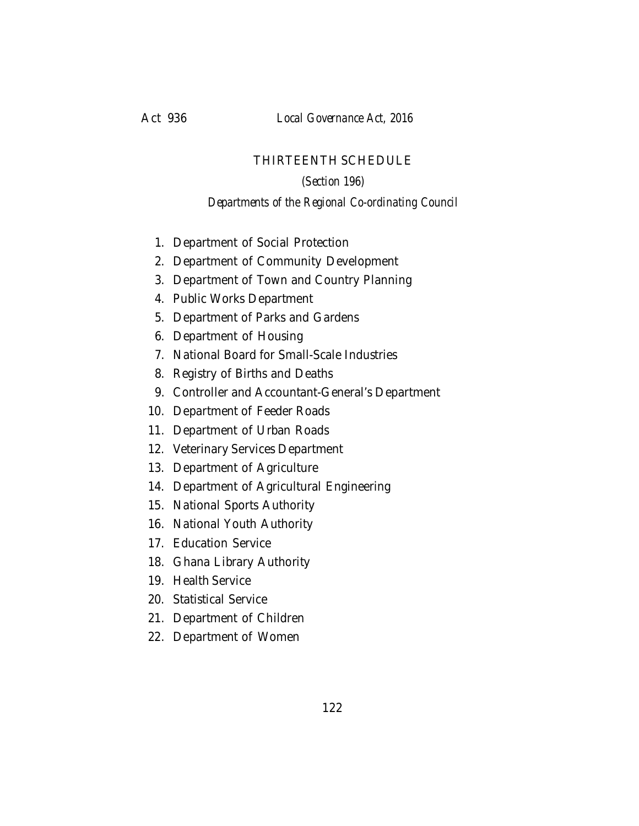### THIRTEENTH SCHEDULE

#### *(Section 196)*

#### *Departments of the Regional Co-ordinating Council*

- 1. Department of Social Protection
- 2. Department of Community Development
- 3. Department of Town and Country Planning
- 4. Public Works Department
- 5. Department of Parks and Gardens
- 6. Department of Housing
- 7. National Board for Small-Scale Industries
- 8. Registry of Births and Deaths
- 9. Controller and Accountant-General's Department
- 10. Department of Feeder Roads
- 11. Department of Urban Roads
- 12. Veterinary Services Department
- 13. Department of Agriculture
- 14. Department of Agricultural Engineering
- 15. National Sports Authority
- 16. National Youth Authority
- 17. Education Service
- 18. Ghana Library Authority
- 19. Health Service
- 20. Statistical Service
- 21. Department of Children
- 22. Department of Women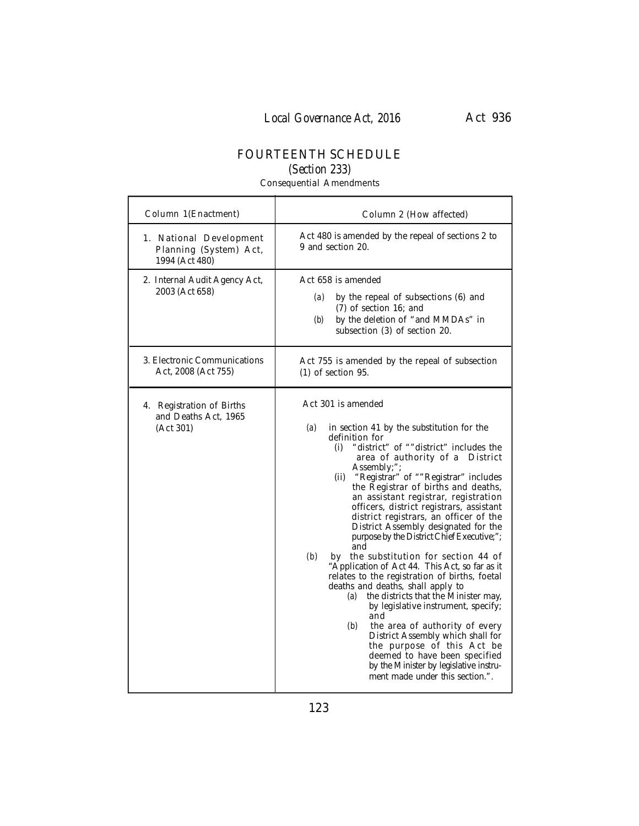# FOURTEENTH SCHEDULE

*(Section 233)*

Consequential Amendments

Ť

л

| Column 1(Enactment)                                                 | Column 2 (How affected)                                                                                                                                                                                                                                                                                                                                                                                                                                                                                                                                                                                                                                                                                                                                                                                                                                                                                                                                                                                                |
|---------------------------------------------------------------------|------------------------------------------------------------------------------------------------------------------------------------------------------------------------------------------------------------------------------------------------------------------------------------------------------------------------------------------------------------------------------------------------------------------------------------------------------------------------------------------------------------------------------------------------------------------------------------------------------------------------------------------------------------------------------------------------------------------------------------------------------------------------------------------------------------------------------------------------------------------------------------------------------------------------------------------------------------------------------------------------------------------------|
| 1. National Development<br>Planning (System) Act,<br>1994 (Act 480) | Act 480 is amended by the repeal of sections 2 to<br>9 and section 20.                                                                                                                                                                                                                                                                                                                                                                                                                                                                                                                                                                                                                                                                                                                                                                                                                                                                                                                                                 |
| 2. Internal Audit Agency Act,<br>2003 (Act 658)                     | Act 658 is amended<br>by the repeal of subsections (6) and<br>(a)<br>(7) of section 16; and<br>by the deletion of "and MMDAs" in<br>(b)<br>subsection (3) of section 20.                                                                                                                                                                                                                                                                                                                                                                                                                                                                                                                                                                                                                                                                                                                                                                                                                                               |
| 3. Electronic Communications<br>Act, 2008 (Act 755)                 | Act 755 is amended by the repeal of subsection<br>$(1)$ of section 95.                                                                                                                                                                                                                                                                                                                                                                                                                                                                                                                                                                                                                                                                                                                                                                                                                                                                                                                                                 |
| 4. Registration of Births<br>and Deaths Act, 1965<br>(Act 301)      | Act 301 is amended<br>(a)<br>in section 41 by the substitution for the<br>definition for<br>"district" of ""district" includes the<br>(i)<br>area of authority of a District<br>Assembly;";<br>(ii) "Registrar" of ""Registrar" includes<br>the Registrar of births and deaths,<br>an assistant registrar, registration<br>officers, district registrars, assistant<br>district registrars, an officer of the<br>District Assembly designated for the<br>purpose by the District Chief Executive;";<br>and<br>by the substitution for section 44 of<br>(b)<br>"Application of Act 44. This Act, so far as it<br>relates to the registration of births, foetal<br>deaths and deaths, shall apply to<br>(a) the districts that the Minister may,<br>by legislative instrument, specify;<br>and<br>(b)<br>the area of authority of every<br>District Assembly which shall for<br>the purpose of this Act be<br>deemed to have been specified<br>by the Minister by legislative instru-<br>ment made under this section.". |